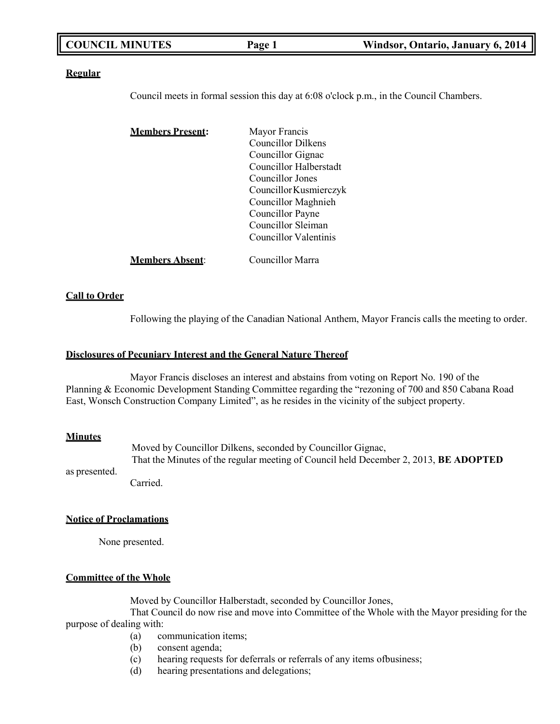| <b>COUNCIL MINUTES</b> | Page 1 | Windsor, Ontario, January 6, 2014 |
|------------------------|--------|-----------------------------------|
|                        |        |                                   |

### **Regular**

Council meets in formal session this day at 6:08 o'clock p.m., in the Council Chambers.

| <b>Members Present:</b> | Mayor Francis          |
|-------------------------|------------------------|
|                         | Councillor Dilkens     |
|                         | Councillor Gignac      |
|                         | Councillor Halberstadt |
|                         | Councillor Jones       |
|                         | Councillor Kusmierczyk |
|                         | Councillor Maghnieh    |
|                         | Councillor Payne       |
|                         | Councillor Sleiman     |
|                         | Councillor Valentinis  |
| <b>Members Absent:</b>  | Councillor Marra       |

### **Call to Order**

Following the playing of the Canadian National Anthem, Mayor Francis calls the meeting to order.

### **Disclosures of Pecuniary Interest and the General Nature Thereof**

Mayor Francis discloses an interest and abstains from voting on Report No. 190 of the Planning & Economic Development Standing Committee regarding the "rezoning of 700 and 850 Cabana Road East, Wonsch Construction Company Limited", as he resides in the vicinity of the subject property.

### **Minutes**

Moved by Councillor Dilkens, seconded by Councillor Gignac, That the Minutes of the regular meeting of Council held December 2, 2013, **BE ADOPTED**

as presented.

Carried.

### **Notice of Proclamations**

None presented.

### **Committee of the Whole**

Moved by Councillor Halberstadt, seconded by Councillor Jones,

That Council do now rise and move into Committee of the Whole with the Mayor presiding for the purpose of dealing with:

- (a) communication items;
- (b) consent agenda;
- (c) hearing requests for deferrals or referrals of any items ofbusiness;
- (d) hearing presentations and delegations;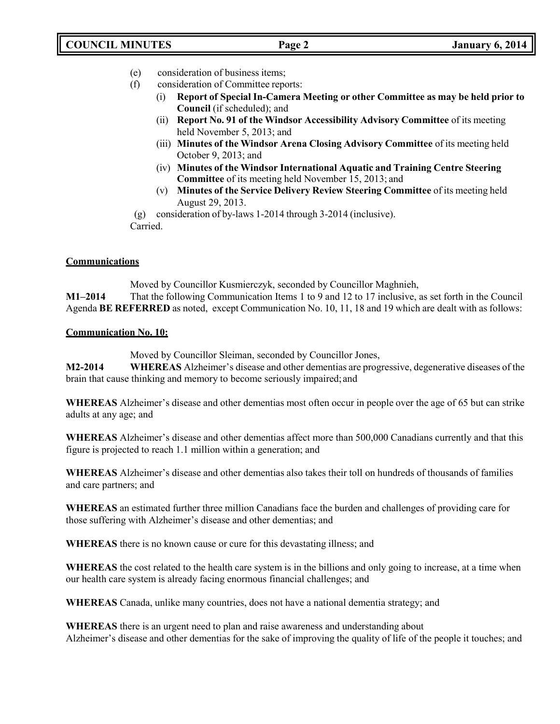- (e) consideration of business items;
- (f) consideration of Committee reports:
	- (i) **Report of Special In-Camera Meeting or other Committee as may be held prior to Council** (if scheduled); and
	- (ii) **Report No. 91 of the Windsor Accessibility Advisory Committee** of its meeting held November 5, 2013; and
	- (iii) **Minutes of the Windsor Arena Closing Advisory Committee** of its meeting held October 9, 2013; and
	- (iv) **Minutes of the Windsor International Aquatic and Training Centre Steering Committee** of its meeting held November 15, 2013; and
	- (v) **Minutes of the Service Delivery Review Steering Committee** of its meeting held August 29, 2013.

(g) consideration of by-laws 1-2014 through 3-2014 (inclusive). Carried.

## **Communications**

Moved by Councillor Kusmierczyk, seconded by Councillor Maghnieh, **M1–2014** That the following Communication Items 1 to 9 and 12 to 17 inclusive, as set forth in the Council Agenda **BE REFERRED** as noted, except Communication No. 10, 11, 18 and 19 which are dealt with as follows:

## **Communication No. 10:**

Moved by Councillor Sleiman, seconded by Councillor Jones,

**M2-2014 WHEREAS** Alzheimer's disease and other dementias are progressive, degenerative diseases of the brain that cause thinking and memory to become seriously impaired; and

**WHEREAS** Alzheimer's disease and other dementias most often occur in people over the age of 65 but can strike adults at any age; and

**WHEREAS** Alzheimer's disease and other dementias affect more than 500,000 Canadians currently and that this figure is projected to reach 1.1 million within a generation; and

**WHEREAS** Alzheimer's disease and other dementias also takes their toll on hundreds of thousands of families and care partners; and

**WHEREAS** an estimated further three million Canadians face the burden and challenges of providing care for those suffering with Alzheimer's disease and other dementias; and

**WHEREAS** there is no known cause or cure for this devastating illness; and

**WHEREAS** the cost related to the health care system is in the billions and only going to increase, at a time when our health care system is already facing enormous financial challenges; and

**WHEREAS** Canada, unlike many countries, does not have a national dementia strategy; and

**WHEREAS** there is an urgent need to plan and raise awareness and understanding about Alzheimer's disease and other dementias for the sake of improving the quality of life of the people it touches; and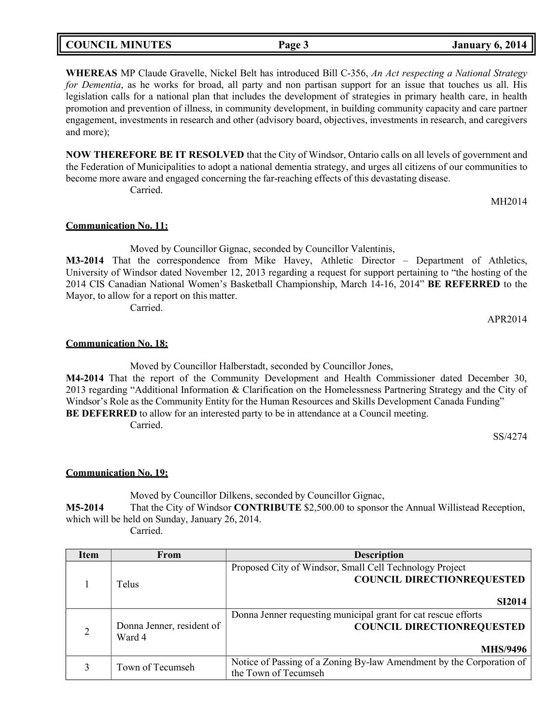| <b>COUNCIL MINUTES</b> | $Page \gtrsim$ | <b>January 6, 2014</b> |
|------------------------|----------------|------------------------|
|                        |                |                        |

**WHEREAS** MP Claude Gravelle, Nickel Belt has introduced Bill C-356, *An Act respecting a National Strategy for Dementia*, as he works for broad, all party and non partisan support for an issue that touches us all. His legislation calls for a national plan that includes the development of strategies in primary health care, in health promotion and prevention of illness, in community development, in building community capacity and care partner engagement, investments in research and other (advisory board, objectives, investments in research, and caregivers and more);

**NOW THEREFORE BE IT RESOLVED** that the City of Windsor, Ontario calls on all levels of government and the Federation of Municipalities to adopt a national dementia strategy, and urges all citizens of our communities to become more aware and engaged concerning the far-reaching effects of this devastating disease. Carried.

MH2014

### **Communication No. 11:**

Moved by Councillor Gignac, seconded by Councillor Valentinis,

**M3-2014** That the correspondence from Mike Havey, Athletic Director – Department of Athletics, University of Windsor dated November 12, 2013 regarding a request for support pertaining to "the hosting of the 2014 CIS Canadian National Women's Basketball Championship, March 14-16, 2014" **BE REFERRED** to the Mayor, to allow for a report on this matter.

Carried.

APR2014

### **Communication No. 18:**

Moved by Councillor Halberstadt, seconded by Councillor Jones, **M4-2014** That the report of the Community Development and Health Commissioner dated December 30, 2013 regarding "Additional Information & Clarification on the Homelessness Partnering Strategy and the City of Windsor's Role as the Community Entity for the Human Resources and Skills Development Canada Funding" **BE DEFERRED** to allow for an interested party to be in attendance at a Council meeting. Carried.

SS/4274

### **Communication No. 19:**

Moved by Councillor Dilkens, seconded by Councillor Gignac,

**M5-2014** That the City of Windsor **CONTRIBUTE** \$2,500.00 to sponsor the Annual Willistead Reception, which will be held on Sunday, January 26, 2014.

Carried.

| Item           | From                                | <b>Description</b>                                                                                                     |
|----------------|-------------------------------------|------------------------------------------------------------------------------------------------------------------------|
|                | Telus                               | Proposed City of Windsor, Small Cell Technology Project<br><b>COUNCIL DIRECTIONREQUESTED</b>                           |
|                |                                     | <b>SI2014</b>                                                                                                          |
| $\overline{2}$ | Donna Jenner, resident of<br>Ward 4 | Donna Jenner requesting municipal grant for cat rescue efforts<br><b>COUNCIL DIRECTIONREQUESTED</b><br><b>MHS/9496</b> |
|                | Town of Tecumseh                    | Notice of Passing of a Zoning By-law Amendment by the Corporation of<br>the Town of Tecumseh                           |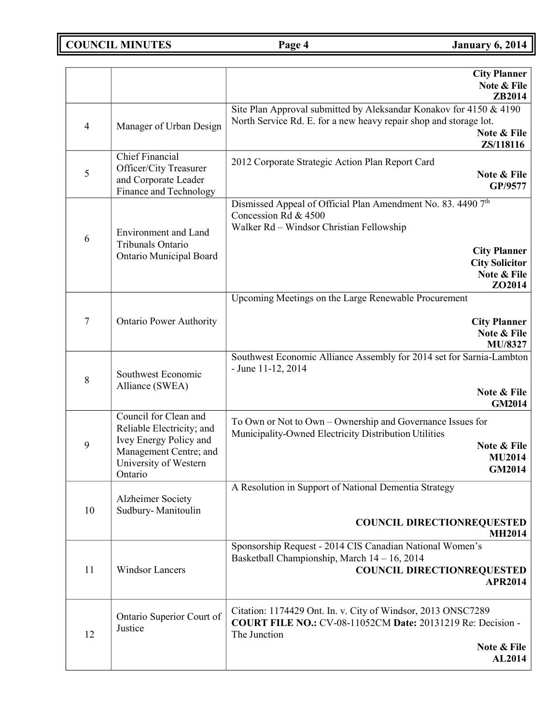**COUNCIL MINUTES Page 4 January 6, 2014** 

|                |                                                                                                                                            | <b>City Planner</b><br>Note & File<br>ZB2014                                                                                                                                                              |
|----------------|--------------------------------------------------------------------------------------------------------------------------------------------|-----------------------------------------------------------------------------------------------------------------------------------------------------------------------------------------------------------|
| $\overline{4}$ | Manager of Urban Design                                                                                                                    | Site Plan Approval submitted by Aleksandar Konakov for 4150 & 4190<br>North Service Rd. E. for a new heavy repair shop and storage lot.<br>Note & File<br>ZS/118116                                       |
| 5              | <b>Chief Financial</b><br>Officer/City Treasurer<br>and Corporate Leader<br>Finance and Technology                                         | 2012 Corporate Strategic Action Plan Report Card<br>Note & File<br>GP/9577                                                                                                                                |
| 6              | Environment and Land<br>Tribunals Ontario<br>Ontario Municipal Board                                                                       | Dismissed Appeal of Official Plan Amendment No. 83. 4490 7th<br>Concession Rd & 4500<br>Walker Rd - Windsor Christian Fellowship<br><b>City Planner</b><br><b>City Solicitor</b><br>Note & File<br>ZO2014 |
| $\tau$         | <b>Ontario Power Authority</b>                                                                                                             | Upcoming Meetings on the Large Renewable Procurement<br><b>City Planner</b><br>Note & File<br>MU/8327                                                                                                     |
| 8              | Southwest Economic<br>Alliance (SWEA)                                                                                                      | Southwest Economic Alliance Assembly for 2014 set for Sarnia-Lambton<br>- June 11-12, 2014<br>Note & File<br><b>GM2014</b>                                                                                |
| 9              | Council for Clean and<br>Reliable Electricity; and<br>Ivey Energy Policy and<br>Management Centre; and<br>University of Western<br>Ontario | To Own or Not to Own – Ownership and Governance Issues for<br>Municipality-Owned Electricity Distribution Utilities<br>Note & File<br><b>MU2014</b><br><b>GM2014</b>                                      |
| 10             | <b>Alzheimer Society</b><br>Sudbury-Manitoulin                                                                                             | A Resolution in Support of National Dementia Strategy<br><b>COUNCIL DIRECTIONREQUESTED</b><br><b>MH2014</b>                                                                                               |
| 11             | <b>Windsor Lancers</b>                                                                                                                     | Sponsorship Request - 2014 CIS Canadian National Women's<br>Basketball Championship, March 14 - 16, 2014<br><b>COUNCIL DIRECTIONREQUESTED</b><br>APR2014                                                  |
| 12             | Ontario Superior Court of<br>Justice                                                                                                       | Citation: 1174429 Ont. In. v. City of Windsor, 2013 ONSC7289<br>COURT FILE NO.: CV-08-11052CM Date: 20131219 Re: Decision -<br>The Junction<br>Note & File<br>AL2014                                      |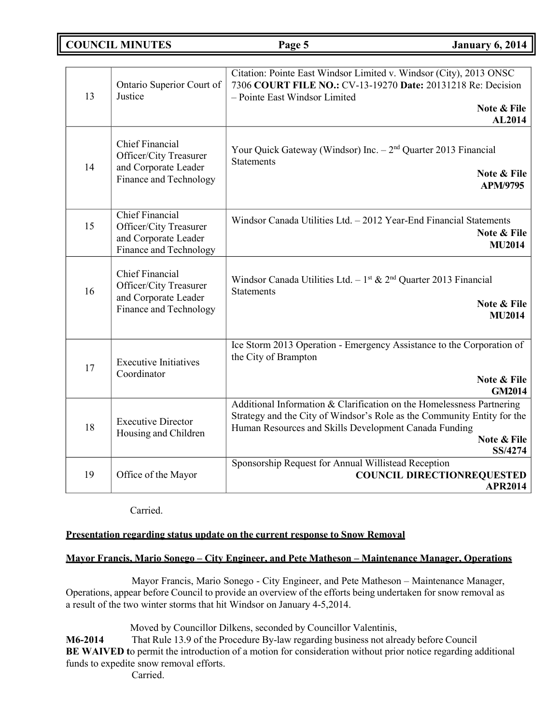## **COUNCIL MINUTES Page 5 January 6, 2014**

| 13 | Ontario Superior Court of<br>Justice                                                                      | Citation: Pointe East Windsor Limited v. Windsor (City), 2013 ONSC<br>7306 COURT FILE NO.: CV-13-19270 Date: 20131218 Re: Decision<br>- Pointe East Windsor Limited<br>Note & File<br><b>AL2014</b>                                 |
|----|-----------------------------------------------------------------------------------------------------------|-------------------------------------------------------------------------------------------------------------------------------------------------------------------------------------------------------------------------------------|
| 14 | <b>Chief Financial</b><br><b>Officer/City Treasurer</b><br>and Corporate Leader<br>Finance and Technology | Your Quick Gateway (Windsor) Inc. $-2nd$ Quarter 2013 Financial<br><b>Statements</b><br>Note & File<br><b>APM/9795</b>                                                                                                              |
| 15 | <b>Chief Financial</b><br>Officer/City Treasurer<br>and Corporate Leader<br>Finance and Technology        | Windsor Canada Utilities Ltd. - 2012 Year-End Financial Statements<br>Note & File<br><b>MU2014</b>                                                                                                                                  |
| 16 | <b>Chief Financial</b><br>Officer/City Treasurer<br>and Corporate Leader<br>Finance and Technology        | Windsor Canada Utilities Ltd. $-1^{st}$ & 2 <sup>nd</sup> Quarter 2013 Financial<br><b>Statements</b><br>Note & File<br><b>MU2014</b>                                                                                               |
| 17 | <b>Executive Initiatives</b><br>Coordinator                                                               | Ice Storm 2013 Operation - Emergency Assistance to the Corporation of<br>the City of Brampton<br>Note & File<br><b>GM2014</b>                                                                                                       |
| 18 | <b>Executive Director</b><br>Housing and Children                                                         | Additional Information & Clarification on the Homelessness Partnering<br>Strategy and the City of Windsor's Role as the Community Entity for the<br>Human Resources and Skills Development Canada Funding<br>Note & File<br>SS/4274 |
| 19 | Office of the Mayor                                                                                       | Sponsorship Request for Annual Willistead Reception<br><b>COUNCIL DIRECTIONREQUESTED</b><br><b>APR2014</b>                                                                                                                          |

Carried.

## **Presentation regarding status update on the current response to Snow Removal**

## **Mayor Francis, Mario Sonego – City Engineer, and Pete Matheson – Maintenance Manager, Operations**

Mayor Francis, Mario Sonego - City Engineer, and Pete Matheson – Maintenance Manager, Operations, appear before Council to provide an overview of the efforts being undertaken for snow removal as a result of the two winter storms that hit Windsor on January 4-5,2014.

Moved by Councillor Dilkens, seconded by Councillor Valentinis,

**M6-2014** That Rule 13.9 of the Procedure By-law regarding business not already before Council **BE** WAIVED to permit the introduction of a motion for consideration without prior notice regarding additional funds to expedite snow removal efforts.

Carried.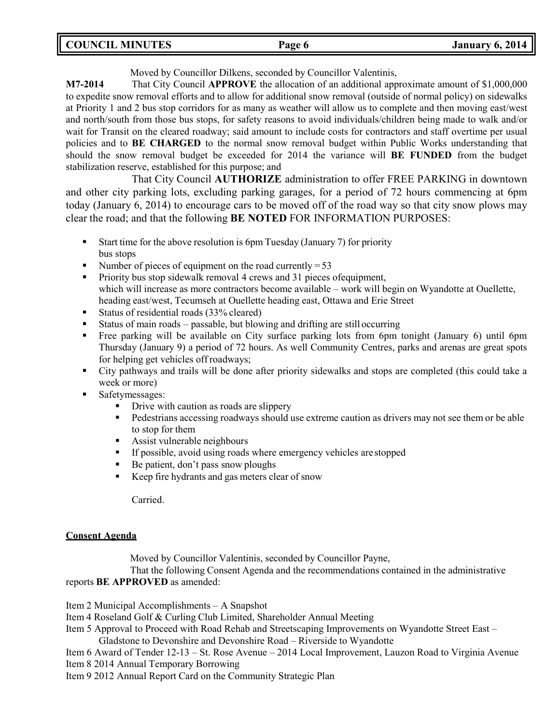| <b>COUNCIL MINUTES</b> | Page 6 | <b>January 6, 2014</b> |
|------------------------|--------|------------------------|
|                        |        |                        |

Moved by Councillor Dilkens, seconded by Councillor Valentinis,

**M7-2014** That City Council **APPROVE** the allocation of an additional approximate amount of \$1,000,000 to expedite snow removal efforts and to allow for additional snow removal (outside of normal policy) on sidewalks at Priority 1 and 2 bus stop corridors for as many as weather will allow us to complete and then moving east/west and north/south from those bus stops, for safety reasons to avoid individuals/children being made to walk and/or wait for Transit on the cleared roadway; said amount to include costs for contractors and staff overtime per usual policies and to **BE CHARGED** to the normal snow removal budget within Public Works understanding that should the snow removal budget be exceeded for 2014 the variance will **BE FUNDED** from the budget stabilization reserve, established for this purpose; and

That City Council **AUTHORIZE** administration to offer FREE PARKING in downtown and other city parking lots, excluding parking garages, for a period of 72 hours commencing at 6pm today (January 6, 2014) to encourage cars to be moved off of the road way so that city snow plows may clear the road; and that the following **BE NOTED** FOR INFORMATION PURPOSES:

- Start time for the above resolution is 6pm Tuesday (January 7) for priority bus stops
- $\blacksquare$  Number of pieces of equipment on the road currently = 53
- **•** Priority bus stop sidewalk removal 4 crews and 31 pieces of equipment, which will increase as more contractors become available – work will begin on Wyandotte at Ouellette, heading east/west, Tecumseh at Ouellette heading east, Ottawa and Erie Street
- Status of residential roads (33% cleared)
- Status of main roads passable, but blowing and drifting are still occurring
- Free parking will be available on City surface parking lots from 6pm tonight (January 6) until 6pm Thursday (January 9) a period of 72 hours. As well Community Centres, parks and arenas are great spots for helping get vehicles off roadways;
- City pathways and trails will be done after priority sidewalks and stops are completed (this could take a week or more)
- Safetymessages:
	- **•** Drive with caution as roads are slippery
	- **•** Pedestrians accessing roadways should use extreme caution as drivers may not see them or be able to stop for them
	- Assist vulnerable neighbours
	- If possible, avoid using roads where emergency vehicles are stopped
	- Be patient, don't pass snow ploughs
	- Keep fire hydrants and gas meters clear of snow

Carried.

## **Consent Agenda**

Moved by Councillor Valentinis, seconded by Councillor Payne,

That the following Consent Agenda and the recommendations contained in the administrative reports **BE APPROVED** as amended:

Item 2 Municipal Accomplishments – A Snapshot

Item 4 Roseland Golf & Curling Club Limited, Shareholder Annual Meeting

Item 5 Approval to Proceed with Road Rehab and Streetscaping Improvements on Wyandotte Street East –

Gladstone to Devonshire and Devonshire Road – Riverside to Wyandotte

Item 6 Award of Tender 12-13 – St. Rose Avenue – 2014 Local Improvement, Lauzon Road to Virginia Avenue Item 8 2014 Annual Temporary Borrowing

Item 9 2012 Annual Report Card on the Community Strategic Plan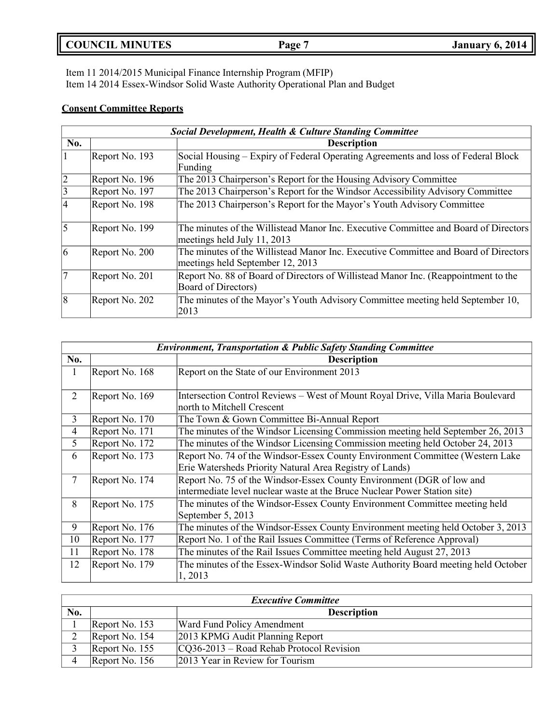| <b>COUNCIL MINUTES</b> | Page | <b>January 6, 2014</b> |
|------------------------|------|------------------------|
|                        |      |                        |

Item 11 2014/2015 Municipal Finance Internship Program (MFIP) Item 14 2014 Essex-Windsor Solid Waste Authority Operational Plan and Budget

# **Consent Committee Reports**

|                | <b>Social Development, Health &amp; Culture Standing Committee</b> |                                                                                                                         |  |
|----------------|--------------------------------------------------------------------|-------------------------------------------------------------------------------------------------------------------------|--|
| No.            |                                                                    | <b>Description</b>                                                                                                      |  |
|                | Report No. 193                                                     | Social Housing – Expiry of Federal Operating Agreements and loss of Federal Block<br>Funding                            |  |
| $\overline{2}$ | Report No. 196                                                     | The 2013 Chairperson's Report for the Housing Advisory Committee                                                        |  |
| $\overline{3}$ | Report No. 197                                                     | The 2013 Chairperson's Report for the Windsor Accessibility Advisory Committee                                          |  |
| $\overline{4}$ | Report No. 198                                                     | The 2013 Chairperson's Report for the Mayor's Youth Advisory Committee                                                  |  |
| $\overline{5}$ | Report No. 199                                                     | The minutes of the Willistead Manor Inc. Executive Committee and Board of Directors<br>meetings held July 11, 2013      |  |
| 6              | Report No. 200                                                     | The minutes of the Willistead Manor Inc. Executive Committee and Board of Directors<br>meetings held September 12, 2013 |  |
| $\overline{7}$ | Report No. 201                                                     | Report No. 88 of Board of Directors of Willistead Manor Inc. (Reappointment to the<br><b>Board of Directors)</b>        |  |
| 8              | Report No. 202                                                     | The minutes of the Mayor's Youth Advisory Committee meeting held September 10,<br>2013                                  |  |

|                | <b>Environment, Transportation &amp; Public Safety Standing Committee</b> |                                                                                                                                                    |  |
|----------------|---------------------------------------------------------------------------|----------------------------------------------------------------------------------------------------------------------------------------------------|--|
| No.            |                                                                           | <b>Description</b>                                                                                                                                 |  |
| $\perp$        | Report No. 168                                                            | Report on the State of our Environment 2013                                                                                                        |  |
| $\overline{2}$ | Report No. 169                                                            | Intersection Control Reviews – West of Mount Royal Drive, Villa Maria Boulevard<br>north to Mitchell Crescent                                      |  |
| 3              | Report No. 170                                                            | The Town & Gown Committee Bi-Annual Report                                                                                                         |  |
| 4              | Report No. 171                                                            | The minutes of the Windsor Licensing Commission meeting held September 26, 2013                                                                    |  |
| 5              | Report No. 172                                                            | The minutes of the Windsor Licensing Commission meeting held October 24, 2013                                                                      |  |
| 6              | Report No. 173                                                            | Report No. 74 of the Windsor-Essex County Environment Committee (Western Lake<br>Erie Watersheds Priority Natural Area Registry of Lands)          |  |
| 7              | Report No. 174                                                            | Report No. 75 of the Windsor-Essex County Environment (DGR of low and<br>intermediate level nuclear waste at the Bruce Nuclear Power Station site) |  |
| 8              | Report No. 175                                                            | The minutes of the Windsor-Essex County Environment Committee meeting held<br>September 5, 2013                                                    |  |
| 9              | Report No. 176                                                            | The minutes of the Windsor-Essex County Environment meeting held October 3, 2013                                                                   |  |
| 10             | Report No. 177                                                            | Report No. 1 of the Rail Issues Committee (Terms of Reference Approval)                                                                            |  |
| 11             | Report No. 178                                                            | The minutes of the Rail Issues Committee meeting held August 27, 2013                                                                              |  |
| 12             | Report No. 179                                                            | The minutes of the Essex-Windsor Solid Waste Authority Board meeting held October<br>1, 2013                                                       |  |

| <b>Executive Committee</b> |                |                                             |
|----------------------------|----------------|---------------------------------------------|
| No.                        |                | <b>Description</b>                          |
|                            | Report No. 153 | <b>Ward Fund Policy Amendment</b>           |
|                            | Report No. 154 | 2013 KPMG Audit Planning Report             |
|                            | Report No. 155 | $ CO36-2013 - Road Rehab Protocol Revision$ |
|                            | Report No. 156 | 2013 Year in Review for Tourism             |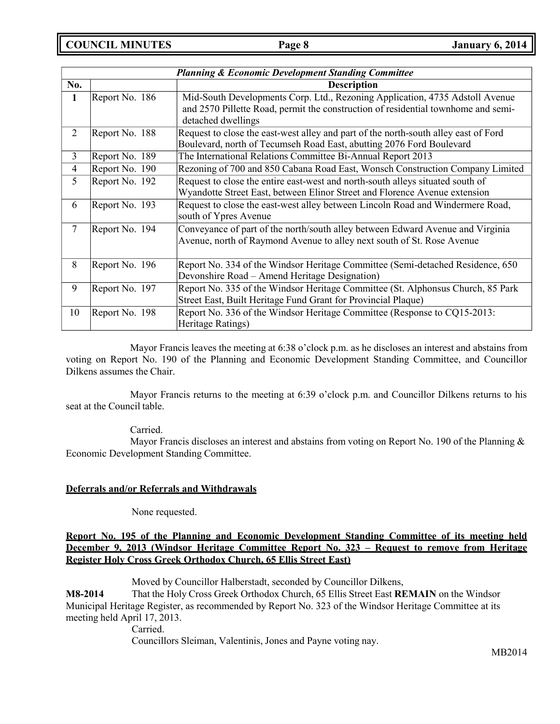**COUNCIL MINUTES Page 8 January 6, 2014**

|                | <b>Planning &amp; Economic Development Standing Committee</b> |                                                                                                                                                                                         |  |  |
|----------------|---------------------------------------------------------------|-----------------------------------------------------------------------------------------------------------------------------------------------------------------------------------------|--|--|
| No.            |                                                               | <b>Description</b>                                                                                                                                                                      |  |  |
| $\mathbf{1}$   | Report No. 186                                                | Mid-South Developments Corp. Ltd., Rezoning Application, 4735 Adstoll Avenue<br>and 2570 Pillette Road, permit the construction of residential townhome and semi-<br>detached dwellings |  |  |
| $\overline{2}$ | Report No. 188                                                | Request to close the east-west alley and part of the north-south alley east of Ford<br>Boulevard, north of Tecumseh Road East, abutting 2076 Ford Boulevard                             |  |  |
| $\overline{3}$ | Report No. 189                                                | The International Relations Committee Bi-Annual Report 2013                                                                                                                             |  |  |
| 4              | Report No. 190                                                | Rezoning of 700 and 850 Cabana Road East, Wonsch Construction Company Limited                                                                                                           |  |  |
| 5              | Report No. 192                                                | Request to close the entire east-west and north-south alleys situated south of<br>Wyandotte Street East, between Elinor Street and Florence Avenue extension                            |  |  |
| 6              | Report No. 193                                                | Request to close the east-west alley between Lincoln Road and Windermere Road,<br>south of Ypres Avenue                                                                                 |  |  |
| $\overline{7}$ | Report No. 194                                                | Conveyance of part of the north/south alley between Edward Avenue and Virginia<br>Avenue, north of Raymond Avenue to alley next south of St. Rose Avenue                                |  |  |
| 8              | Report No. 196                                                | Report No. 334 of the Windsor Heritage Committee (Semi-detached Residence, 650)<br>Devonshire Road – Amend Heritage Designation)                                                        |  |  |
| 9              | Report No. 197                                                | Report No. 335 of the Windsor Heritage Committee (St. Alphonsus Church, 85 Park<br>Street East, Built Heritage Fund Grant for Provincial Plaque)                                        |  |  |
| 10             | Report No. 198                                                | Report No. 336 of the Windsor Heritage Committee (Response to CQ15-2013:<br>Heritage Ratings)                                                                                           |  |  |

Mayor Francis leaves the meeting at 6:38 o'clock p.m. as he discloses an interest and abstains from voting on Report No. 190 of the Planning and Economic Development Standing Committee, and Councillor Dilkens assumes the Chair.

Mayor Francis returns to the meeting at 6:39 o'clock p.m. and Councillor Dilkens returns to his seat at the Council table.

## Carried.

Mayor Francis discloses an interest and abstains from voting on Report No. 190 of the Planning  $\&$ Economic Development Standing Committee.

## **Deferrals and/or Referrals and Withdrawals**

None requested.

## **Report No. 195 of the Planning and Economic Development Standing Committee of its meeting held December 9, 2013 (Windsor Heritage Committee Report No. 323 – Request to remove from Heritage Register Holy Cross Greek Orthodox Church, 65 Ellis Street East)**

Moved by Councillor Halberstadt, seconded by Councillor Dilkens,

**M8-2014** That the Holy Cross Greek Orthodox Church, 65 Ellis Street East **REMAIN** on the Windsor Municipal Heritage Register, as recommended by Report No. 323 of the Windsor Heritage Committee at its meeting held April 17, 2013.

Carried.

Councillors Sleiman, Valentinis, Jones and Payne voting nay.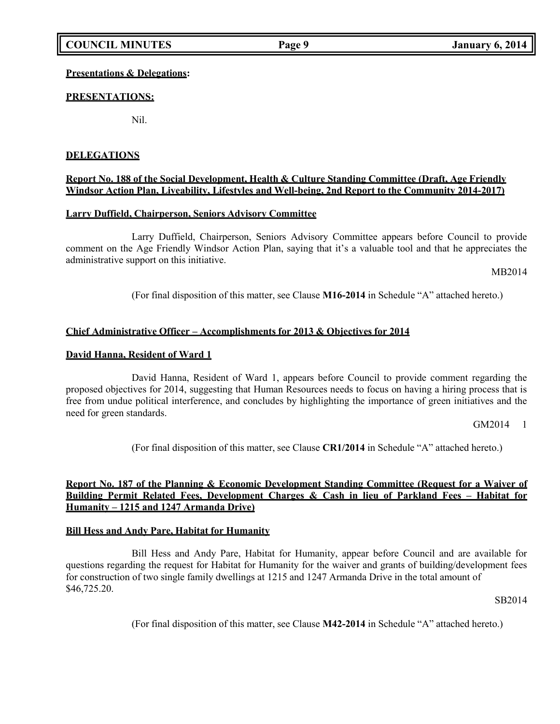## **Presentations & Delegations:**

## **PRESENTATIONS:**

Nil.

## **DELEGATIONS**

## **Report No. 188 of the Social Development, Health & Culture Standing Committee (Draft, Age Friendly Windsor Action Plan, Liveability, Lifestyles and Well-being, 2nd Report to the Community 2014-2017)**

## **Larry Duffield, Chairperson, Seniors Advisory Committee**

Larry Duffield, Chairperson, Seniors Advisory Committee appears before Council to provide comment on the Age Friendly Windsor Action Plan, saying that it's a valuable tool and that he appreciates the administrative support on this initiative.

MB2014

(For final disposition of this matter, see Clause **M16-2014** in Schedule "A" attached hereto.)

## **Chief Administrative Officer – Accomplishments for 2013 & Objectives for 2014**

### **David Hanna, Resident of Ward 1**

David Hanna, Resident of Ward 1, appears before Council to provide comment regarding the proposed objectives for 2014, suggesting that Human Resources needs to focus on having a hiring process that is free from undue political interference, and concludes by highlighting the importance of green initiatives and the need for green standards.

GM2014 1

(For final disposition of this matter, see Clause **CR1/2014** in Schedule "A" attached hereto.)

## **Report No. 187 of the Planning & Economic Development Standing Committee (Request for a Waiver of Building Permit Related Fees, Development Charges & Cash in lieu of Parkland Fees – Habitat for Humanity – 1215 and 1247 Armanda Drive)**

## **Bill Hess and Andy Pare, Habitat for Humanity**

Bill Hess and Andy Pare, Habitat for Humanity, appear before Council and are available for questions regarding the request for Habitat for Humanity for the waiver and grants of building/development fees for construction of two single family dwellings at 1215 and 1247 Armanda Drive in the total amount of \$46,725.20.

SB2014

(For final disposition of this matter, see Clause **M42-2014** in Schedule "A" attached hereto.)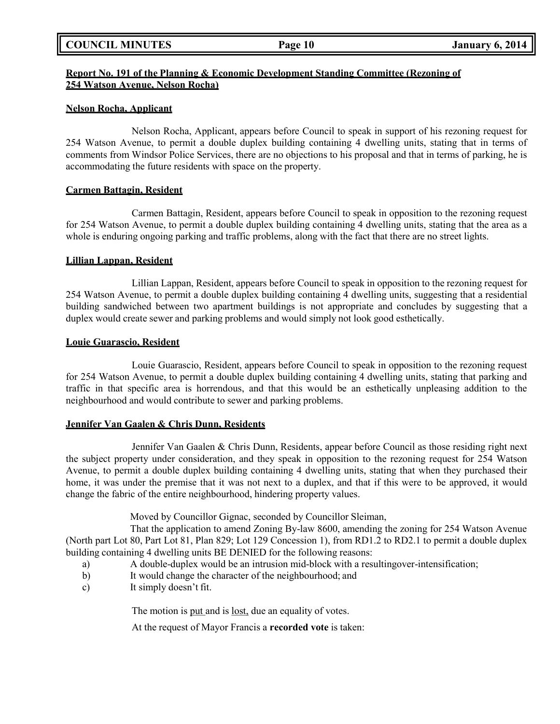## **Report No. 191 of the Planning & Economic Development Standing Committee (Rezoning of 254 Watson Avenue, Nelson Rocha)**

## **Nelson Rocha, Applicant**

Nelson Rocha, Applicant, appears before Council to speak in support of his rezoning request for 254 Watson Avenue, to permit a double duplex building containing 4 dwelling units, stating that in terms of comments from Windsor Police Services, there are no objections to his proposal and that in terms of parking, he is accommodating the future residents with space on the property.

### **Carmen Battagin, Resident**

Carmen Battagin, Resident, appears before Council to speak in opposition to the rezoning request for 254 Watson Avenue, to permit a double duplex building containing 4 dwelling units, stating that the area as a whole is enduring ongoing parking and traffic problems, along with the fact that there are no street lights.

### **Lillian Lappan, Resident**

Lillian Lappan, Resident, appears before Council to speak in opposition to the rezoning request for 254 Watson Avenue, to permit a double duplex building containing 4 dwelling units, suggesting that a residential building sandwiched between two apartment buildings is not appropriate and concludes by suggesting that a duplex would create sewer and parking problems and would simply not look good esthetically.

### **Louie Guarascio, Resident**

Louie Guarascio, Resident, appears before Council to speak in opposition to the rezoning request for 254 Watson Avenue, to permit a double duplex building containing 4 dwelling units, stating that parking and traffic in that specific area is horrendous, and that this would be an esthetically unpleasing addition to the neighbourhood and would contribute to sewer and parking problems.

## **Jennifer Van Gaalen & Chris Dunn, Residents**

Jennifer Van Gaalen & Chris Dunn, Residents, appear before Council as those residing right next the subject property under consideration, and they speak in opposition to the rezoning request for 254 Watson Avenue, to permit a double duplex building containing 4 dwelling units, stating that when they purchased their home, it was under the premise that it was not next to a duplex, and that if this were to be approved, it would change the fabric of the entire neighbourhood, hindering property values.

Moved by Councillor Gignac, seconded by Councillor Sleiman,

That the application to amend Zoning By-law 8600, amending the zoning for 254 Watson Avenue (North part Lot 80, Part Lot 81, Plan 829; Lot 129 Concession 1), from RD1.2 to RD2.1 to permit a double duplex building containing 4 dwelling units BE DENIED for the following reasons:

- a) A double-duplex would be an intrusion mid-block with a resultingover-intensification;
- b) It would change the character of the neighbourhood; and
- c) It simply doesn't fit.

The motion is put and is lost, due an equality of votes.

At the request of Mayor Francis a **recorded vote** is taken: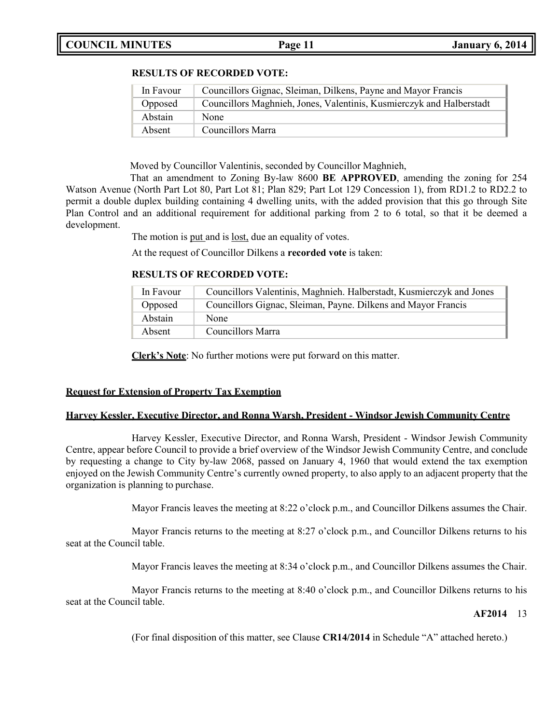# **COUNCIL MINUTES Page 11 January 6, 2014**

## **RESULTS OF RECORDED VOTE:**

| In Favour | Councillors Gignac, Sleiman, Dilkens, Payne and Mayor Francis        |
|-----------|----------------------------------------------------------------------|
| Opposed   | Councillors Maghnieh, Jones, Valentinis, Kusmierczyk and Halberstadt |
| Abstain   | None                                                                 |
| Absent    | Councillors Marra                                                    |

Moved by Councillor Valentinis, seconded by Councillor Maghnieh,

That an amendment to Zoning By-law 8600 **BE APPROVED**, amending the zoning for 254 Watson Avenue (North Part Lot 80, Part Lot 81; Plan 829; Part Lot 129 Concession 1), from RD1.2 to RD2.2 to permit a double duplex building containing 4 dwelling units, with the added provision that this go through Site Plan Control and an additional requirement for additional parking from 2 to 6 total, so that it be deemed a development.

The motion is put and is <u>lost</u>, due an equality of votes.

At the request of Councillor Dilkens a **recorded vote** is taken:

## **RESULTS OF RECORDED VOTE:**

| In Favour | Councillors Valentinis, Maghnieh. Halberstadt, Kusmierczyk and Jones |
|-----------|----------------------------------------------------------------------|
| Opposed   | Councillors Gignac, Sleiman, Payne. Dilkens and Mayor Francis        |
| Abstain   | <b>None</b>                                                          |
| Absent    | Councillors Marra                                                    |

**Clerk's Note**: No further motions were put forward on this matter.

## **Request for Extension of Property Tax Exemption**

## **Harvey Kessler, Executive Director, and Ronna Warsh, President - Windsor Jewish Community Centre**

Harvey Kessler, Executive Director, and Ronna Warsh, President - Windsor Jewish Community Centre, appear before Council to provide a brief overview of the Windsor Jewish Community Centre, and conclude by requesting a change to City by-law 2068, passed on January 4, 1960 that would extend the tax exemption enjoyed on the Jewish Community Centre's currently owned property, to also apply to an adjacent property that the organization is planning to purchase.

Mayor Francis leaves the meeting at 8:22 o'clock p.m., and Councillor Dilkens assumes the Chair.

Mayor Francis returns to the meeting at 8:27 o'clock p.m., and Councillor Dilkens returns to his seat at the Council table.

Mayor Francis leaves the meeting at 8:34 o'clock p.m., and Councillor Dilkens assumes the Chair.

Mayor Francis returns to the meeting at 8:40 o'clock p.m., and Councillor Dilkens returns to his seat at the Council table.

## **AF2014** 13

(For final disposition of this matter, see Clause **CR14/2014** in Schedule "A" attached hereto.)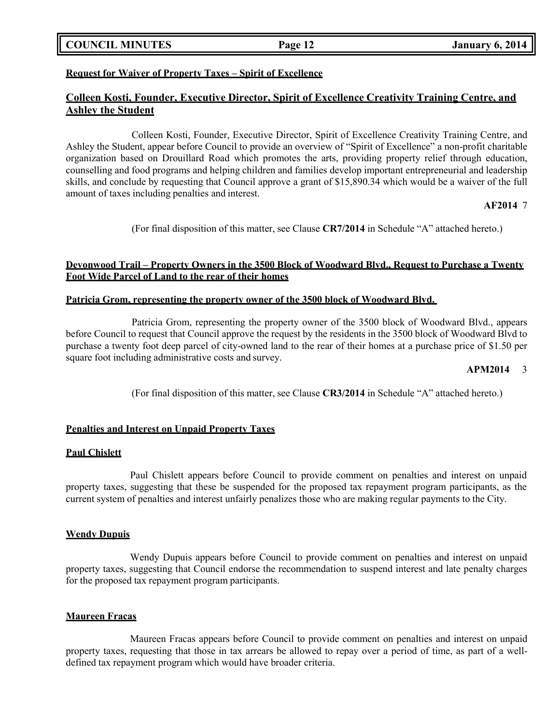**COUNCIL MINUTES Page 12 January 6, 2014**

## **Request for Waiver of Property Taxes – Spirit of Excellence**

# **Colleen Kosti, Founder, Executive Director, Spirit of Excellence Creativity Training Centre, and Ashley the Student**

Colleen Kosti, Founder, Executive Director, Spirit of Excellence Creativity Training Centre, and Ashley the Student, appear before Council to provide an overview of "Spirit of Excellence" a non-profit charitable organization based on Drouillard Road which promotes the arts, providing property relief through education, counselling and food programs and helping children and families develop important entrepreneurial and leadership skills, and conclude by requesting that Council approve a grant of \$15,890.34 which would be a waiver of the full amount of taxes including penalties and interest.

### **AF2014** 7

(For final disposition of this matter, see Clause **CR7/2014** in Schedule "A" attached hereto.)

## **Devonwood Trail – Property Owners in the 3500 Block of Woodward Blvd., Request to Purchase a Twenty Foot Wide Parcel of Land to the rear of their homes**

## **Patricia Grom, representing the property owner of the 3500 block of Woodward Blvd.**

Patricia Grom, representing the property owner of the 3500 block of Woodward Blvd., appears before Council to request that Council approve the request by the residents in the 3500 block of Woodward Blvd to purchase a twenty foot deep parcel of city-owned land to the rear of their homes at a purchase price of \$1.50 per square foot including administrative costs and survey.

## **APM2014** 3

(For final disposition of this matter, see Clause **CR3/2014** in Schedule "A" attached hereto.)

## **Penalties and Interest on Unpaid Property Taxes**

## **Paul Chislett**

Paul Chislett appears before Council to provide comment on penalties and interest on unpaid property taxes, suggesting that these be suspended for the proposed tax repayment program participants, as the current system of penalties and interest unfairly penalizes those who are making regular payments to the City.

### **Wendy Dupuis**

Wendy Dupuis appears before Council to provide comment on penalties and interest on unpaid property taxes, suggesting that Council endorse the recommendation to suspend interest and late penalty charges for the proposed tax repayment program participants.

## **Maureen Fracas**

Maureen Fracas appears before Council to provide comment on penalties and interest on unpaid property taxes, requesting that those in tax arrears be allowed to repay over a period of time, as part of a welldefined tax repayment program which would have broader criteria.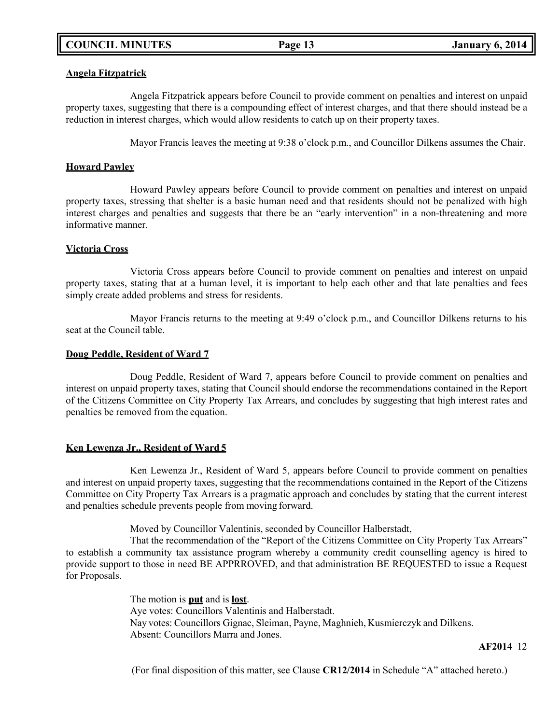### **Angela Fitzpatrick**

Angela Fitzpatrick appears before Council to provide comment on penalties and interest on unpaid property taxes, suggesting that there is a compounding effect of interest charges, and that there should instead be a reduction in interest charges, which would allow residents to catch up on their property taxes.

Mayor Francis leaves the meeting at 9:38 o'clock p.m., and Councillor Dilkens assumes the Chair.

## **Howard Pawley**

Howard Pawley appears before Council to provide comment on penalties and interest on unpaid property taxes, stressing that shelter is a basic human need and that residents should not be penalized with high interest charges and penalties and suggests that there be an "early intervention" in a non-threatening and more informative manner.

## **Victoria Cross**

Victoria Cross appears before Council to provide comment on penalties and interest on unpaid property taxes, stating that at a human level, it is important to help each other and that late penalties and fees simply create added problems and stress for residents.

Mayor Francis returns to the meeting at 9:49 o'clock p.m., and Councillor Dilkens returns to his seat at the Council table.

## **Doug Peddle, Resident of Ward 7**

Doug Peddle, Resident of Ward 7, appears before Council to provide comment on penalties and interest on unpaid property taxes, stating that Council should endorse the recommendations contained in the Report of the Citizens Committee on City Property Tax Arrears, and concludes by suggesting that high interest rates and penalties be removed from the equation.

## **Ken Lewenza Jr., Resident of Ward 5**

Ken Lewenza Jr., Resident of Ward 5, appears before Council to provide comment on penalties and interest on unpaid property taxes, suggesting that the recommendations contained in the Report of the Citizens Committee on City Property Tax Arrears is a pragmatic approach and concludes by stating that the current interest and penalties schedule prevents people from moving forward.

Moved by Councillor Valentinis, seconded by Councillor Halberstadt,

That the recommendation of the "Report of the Citizens Committee on City Property Tax Arrears" to establish a community tax assistance program whereby a community credit counselling agency is hired to provide support to those in need BE APPRROVED, and that administration BE REQUESTED to issue a Request for Proposals.

> The motion is **put** and is **lost**. Aye votes: Councillors Valentinis and Halberstadt. Nay votes: Councillors Gignac, Sleiman, Payne, Maghnieh, Kusmierczyk and Dilkens. Absent: Councillors Marra and Jones.

> > **AF2014** 12

(For final disposition of this matter, see Clause **CR12/2014** in Schedule "A" attached hereto.)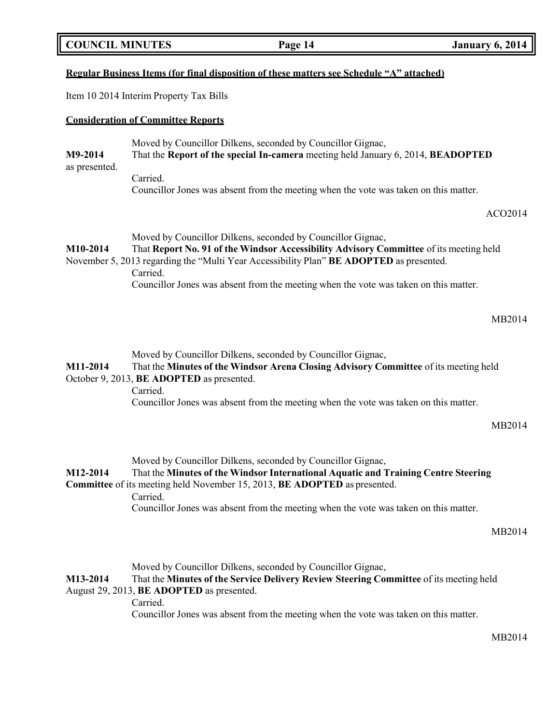**COUNCIL MINUTES Page 14 January 6, 2014**

## **Regular Business Items (for final disposition of these matters see Schedule "A" attached)**

Item 10 2014 Interim Property Tax Bills

## **Consideration of Committee Reports**

Moved by Councillor Dilkens, seconded by Councillor Gignac, **M9-2014** That the **Report of the special In-camera** meeting held January 6, 2014, **BEADOPTED** as presented. Carried. Councillor Jones was absent from the meeting when the vote was taken on this matter.

ACO2014

Moved by Councillor Dilkens, seconded by Councillor Gignac, **M10-2014** That **Report No. 91 of the Windsor Accessibility Advisory Committee** of its meeting held November 5, 2013 regarding the "Multi Year Accessibility Plan" **BE ADOPTED** as presented.

Carried.

Councillor Jones was absent from the meeting when the vote was taken on this matter.

Moved by Councillor Dilkens, seconded by Councillor Gignac,

## **M11-2014** That the **Minutes of the Windsor Arena Closing Advisory Committee** of its meeting held October 9, 2013, **BE ADOPTED** as presented.

Carried.

Councillor Jones was absent from the meeting when the vote was taken on this matter.

MB2014

Moved by Councillor Dilkens, seconded by Councillor Gignac,

# **M12-2014** That the **Minutes of the Windsor International Aquatic and Training Centre Steering Committee** of its meeting held November 15, 2013, **BE ADOPTED** as presented. Carried.

Councillor Jones was absent from the meeting when the vote was taken on this matter.

Moved by Councillor Dilkens, seconded by Councillor Gignac,

# **M13-2014** That the **Minutes of the Service Delivery Review Steering Committee** of its meeting held August 29, 2013, **BE ADOPTED** as presented.

Carried.

Councillor Jones was absent from the meeting when the vote was taken on this matter.

MB2014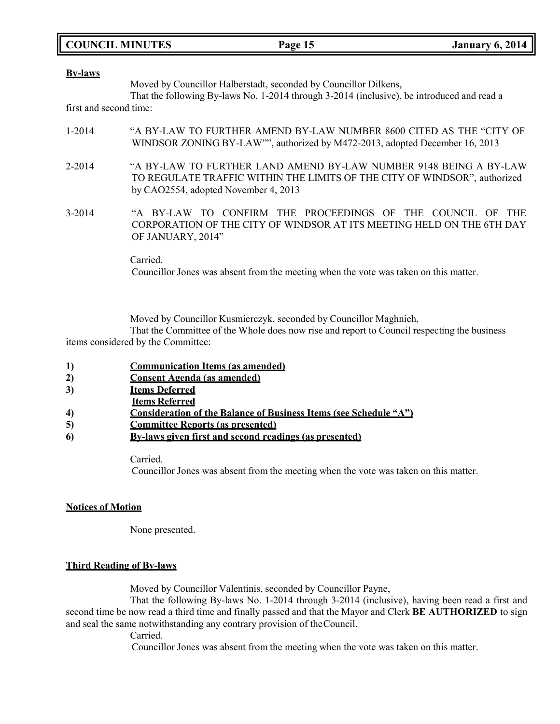**COUNCIL MINUTES Page 15 January 6, 2014**

### **By-laws**

Moved by Councillor Halberstadt, seconded by Councillor Dilkens,

That the following By-laws No. 1-2014 through 3-2014 (inclusive), be introduced and read a first and second time:

- 1-2014 "A BY-LAW TO FURTHER AMEND BY-LAW NUMBER 8600 CITED AS THE "CITY OF WINDSOR ZONING BY-LAW"", authorized by M472-2013, adopted December 16, 2013
- 2-2014 "A BY-LAW TO FURTHER LAND AMEND BY-LAW NUMBER 9148 BEING A BY-LAW TO REGULATE TRAFFIC WITHIN THE LIMITS OF THE CITY OF WINDSOR", authorized by CAO2554, adopted November 4, 2013
- 3-2014 "A BY-LAW TO CONFIRM THE PROCEEDINGS OF THE COUNCIL OF THE CORPORATION OF THE CITY OF WINDSOR AT ITS MEETING HELD ON THE 6TH DAY OF JANUARY, 2014"

Carried.

Councillor Jones was absent from the meeting when the vote was taken on this matter.

Moved by Councillor Kusmierczyk, seconded by Councillor Maghnieh,

That the Committee of the Whole does now rise and report to Council respecting the business items considered by the Committee:

- **1) Communication Items (as amended)**
- **2) Consent Agenda (as amended)**
- **3) Items Deferred**
- **Items Referred**
- **4) Consideration of the Balance of Business Items (see Schedule "A")**
- **5) Committee Reports (as presented)**
- **6) By-laws given first and second readings (as presented)**

Carried.

Councillor Jones was absent from the meeting when the vote was taken on this matter.

### **Notices of Motion**

None presented.

## **Third Reading of By-laws**

Moved by Councillor Valentinis, seconded by Councillor Payne,

That the following By-laws No. 1-2014 through 3-2014 (inclusive), having been read a first and second time be now read a third time and finally passed and that the Mayor and Clerk **BE AUTHORIZED** to sign and seal the same notwithstanding any contrary provision of theCouncil.

Carried.

Councillor Jones was absent from the meeting when the vote was taken on this matter.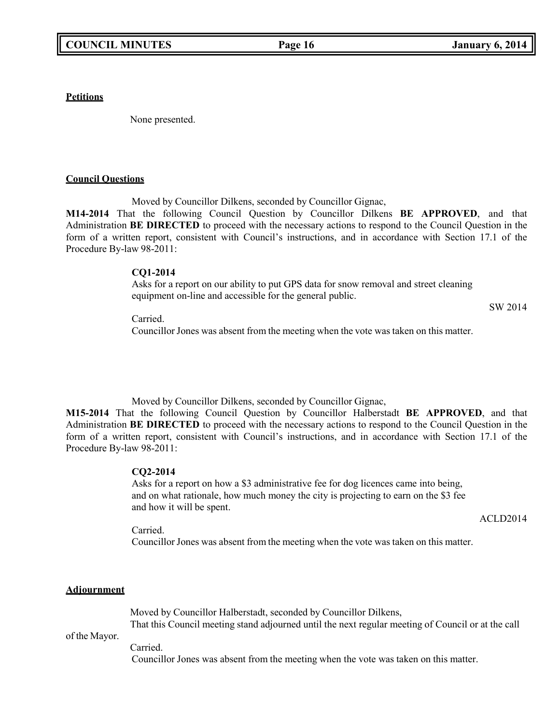**Petitions**

None presented.

### **Council Questions**

Moved by Councillor Dilkens, seconded by Councillor Gignac,

**M14-2014** That the following Council Question by Councillor Dilkens **BE APPROVED**, and that Administration **BE DIRECTED** to proceed with the necessary actions to respond to the Council Question in the form of a written report, consistent with Council's instructions, and in accordance with Section 17.1 of the Procedure By-law 98-2011:

**CQ1-2014**

Asks for a report on our ability to put GPS data for snow removal and street cleaning equipment on-line and accessible for the general public.

SW 2014

Carried.

Councillor Jones was absent from the meeting when the vote was taken on this matter.

Moved by Councillor Dilkens, seconded by Councillor Gignac,

**M15-2014** That the following Council Question by Councillor Halberstadt **BE APPROVED**, and that Administration **BE DIRECTED** to proceed with the necessary actions to respond to the Council Question in the form of a written report, consistent with Council's instructions, and in accordance with Section 17.1 of the Procedure By-law 98-2011:

## **CQ2-2014**

Asks for a report on how a \$3 administrative fee for dog licences came into being, and on what rationale, how much money the city is projecting to earn on the \$3 fee and how it will be spent.

ACLD2014

Carried. Councillor Jones was absent from the meeting when the vote was taken on this matter.

## **Adjournment**

Moved by Councillor Halberstadt, seconded by Councillor Dilkens, That this Council meeting stand adjourned until the next regular meeting of Council or at the call

of the Mayor.

Carried.

Councillor Jones was absent from the meeting when the vote was taken on this matter.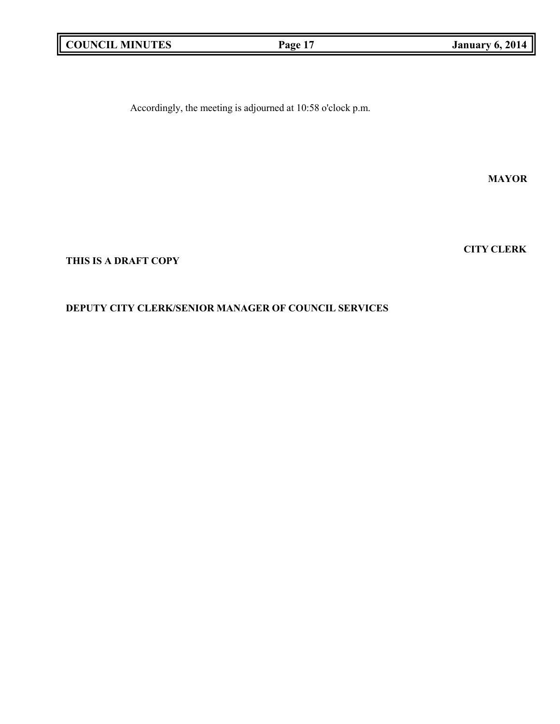Accordingly, the meeting is adjourned at 10:58 o'clock p.m.

**MAYOR**

**CITY CLERK**

**THIS IS A DRAFT COPY**

## **DEPUTY CITY CLERK/SENIOR MANAGER OF COUNCIL SERVICES**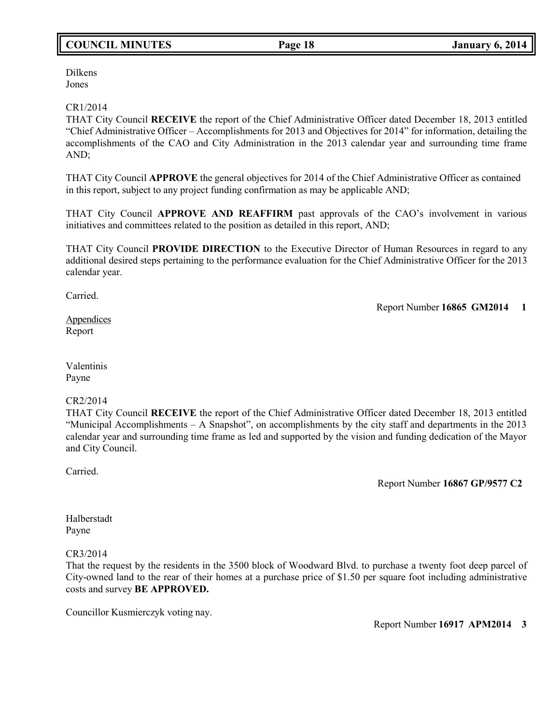# **COUNCIL MINUTES Page 18 January 6, 2014**

Dilkens Jones

## CR1/2014

THAT City Council **RECEIVE** the report of the Chief Administrative Officer dated December 18, 2013 entitled "Chief Administrative Officer – Accomplishments for 2013 and Objectives for 2014" for information, detailing the accomplishments of the CAO and City Administration in the 2013 calendar year and surrounding time frame AND;

THAT City Council **APPROVE** the general objectives for 2014 of the Chief Administrative Officer as contained in this report, subject to any project funding confirmation as may be applicable AND;

THAT City Council **APPROVE AND REAFFIRM** past approvals of the CAO's involvement in various initiatives and committees related to the position as detailed in this report, AND;

THAT City Council **PROVIDE DIRECTION** to the Executive Director of Human Resources in regard to any additional desired steps pertaining to the performance evaluation for the Chief Administrative Officer for the 2013 calendar year.

Carried.

Report Number **16865 GM2014 1**

Appendices Report

Valentinis Payne

## CR2/2014

THAT City Council **RECEIVE** the report of the Chief Administrative Officer dated December 18, 2013 entitled "Municipal Accomplishments – A Snapshot", on accomplishments by the city staff and departments in the 2013 calendar year and surrounding time frame as led and supported by the vision and funding dedication of the Mayor and City Council.

Carried.

Report Number **16867 GP/9577 C2**

Halberstadt Payne

CR3/2014

That the request by the residents in the 3500 block of Woodward Blvd. to purchase a twenty foot deep parcel of City-owned land to the rear of their homes at a purchase price of \$1.50 per square foot including administrative costs and survey **BE APPROVED.**

Councillor Kusmierczyk voting nay.

Report Number **16917 APM2014 3**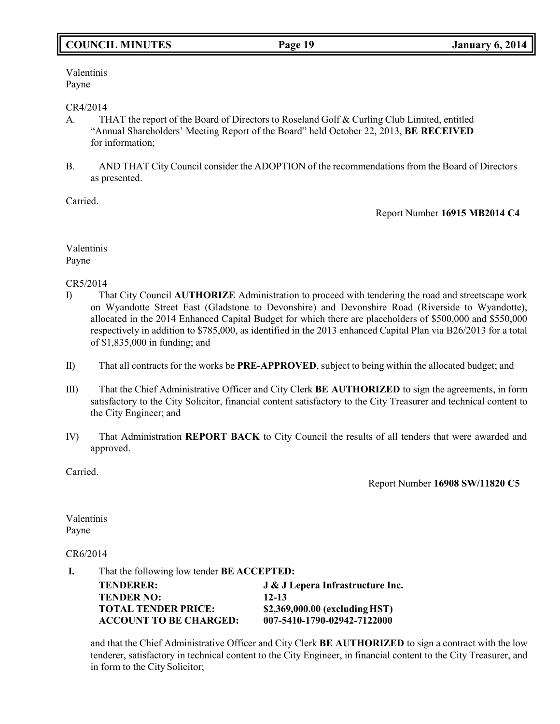# **COUNCIL MINUTES Page 19 January 6, 2014**

Valentinis Payne

### CR4/2014

- A. THAT the report of the Board of Directors to Roseland Golf & Curling Club Limited, entitled "Annual Shareholders' Meeting Report of the Board" held October 22, 2013, **BE RECEIVED** for information;
- B. AND THAT City Council consider the ADOPTION of the recommendations from the Board of Directors as presented.

Carried.

Report Number **16915 MB2014 C4**

Valentinis Payne

CR5/2014

- I) That City Council **AUTHORIZE** Administration to proceed with tendering the road and streetscape work on Wyandotte Street East (Gladstone to Devonshire) and Devonshire Road (Riverside to Wyandotte), allocated in the 2014 Enhanced Capital Budget for which there are placeholders of \$500,000 and \$550,000 respectively in addition to \$785,000, as identified in the 2013 enhanced Capital Plan via B26/2013 for a total of \$1,835,000 in funding; and
- II) That all contracts for the works be **PRE-APPROVED**, subject to being within the allocated budget; and
- III) That the Chief Administrative Officer and City Clerk **BE AUTHORIZED** to sign the agreements, in form satisfactory to the City Solicitor, financial content satisfactory to the City Treasurer and technical content to the City Engineer; and
- IV) That Administration **REPORT BACK** to City Council the results of all tenders that were awarded and approved.

Carried.

Report Number **16908 SW/11820 C5**

Valentinis Payne

CR6/2014

**I.** That the following low tender **BE ACCEPTED:**

| <b>TENDERER:</b>              | J & J Lepera Infrastructure Inc. |
|-------------------------------|----------------------------------|
| <b>TENDER NO:</b>             | $12 - 13$                        |
| <b>TOTAL TENDER PRICE:</b>    | \$2,369,000.00 (excluding HST)   |
| <b>ACCOUNT TO BE CHARGED:</b> | 007-5410-1790-02942-7122000      |

and that the Chief Administrative Officer and City Clerk **BE AUTHORIZED** to sign a contract with the low tenderer, satisfactory in technical content to the City Engineer, in financial content to the City Treasurer, and in form to the City Solicitor;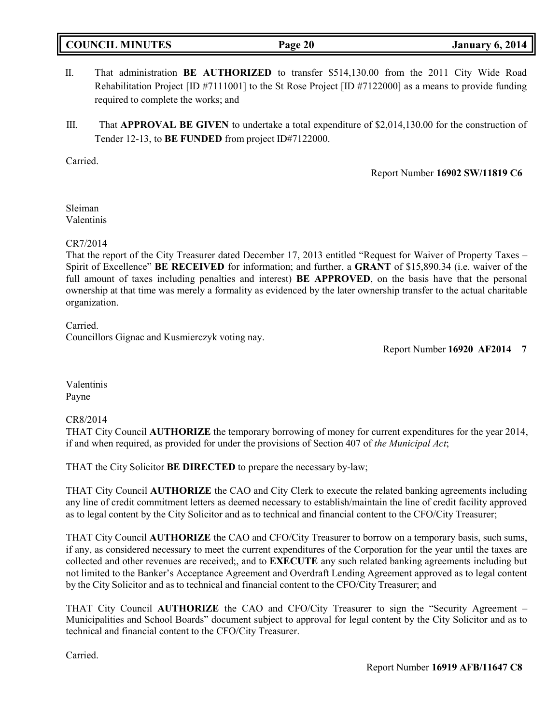# **COUNCIL MINUTES Page 20 January 6, 2014**

- II. That administration **BE AUTHORIZED** to transfer \$514,130.00 from the 2011 City Wide Road Rehabilitation Project [ID #7111001] to the St Rose Project [ID #7122000] as a means to provide funding required to complete the works; and
- III. That **APPROVAL BE GIVEN** to undertake a total expenditure of \$2,014,130.00 for the construction of Tender 12-13, to **BE FUNDED** from project ID#7122000.

Carried.

Report Number **16902 SW/11819 C6**

Sleiman Valentinis

## CR7/2014

That the report of the City Treasurer dated December 17, 2013 entitled "Request for Waiver of Property Taxes – Spirit of Excellence" **BE RECEIVED** for information; and further, a **GRANT** of \$15,890.34 (i.e. waiver of the full amount of taxes including penalties and interest) **BE APPROVED**, on the basis have that the personal ownership at that time was merely a formality as evidenced by the later ownership transfer to the actual charitable organization.

Carried.

Councillors Gignac and Kusmierczyk voting nay.

Report Number **16920 AF2014 7**

Valentinis Payne

## CR8/2014

THAT City Council **AUTHORIZE** the temporary borrowing of money for current expenditures for the year 2014, if and when required, as provided for under the provisions of Section 407 of *the Municipal Act*;

THAT the City Solicitor **BE DIRECTED** to prepare the necessary by-law;

THAT City Council **AUTHORIZE** the CAO and City Clerk to execute the related banking agreements including any line of credit commitment letters as deemed necessary to establish/maintain the line of credit facility approved as to legal content by the City Solicitor and as to technical and financial content to the CFO/City Treasurer;

THAT City Council **AUTHORIZE** the CAO and CFO/City Treasurer to borrow on a temporary basis, such sums, if any, as considered necessary to meet the current expenditures of the Corporation for the year until the taxes are collected and other revenues are received;, and to **EXECUTE** any such related banking agreements including but not limited to the Banker's Acceptance Agreement and Overdraft Lending Agreement approved as to legal content by the City Solicitor and as to technical and financial content to the CFO/City Treasurer; and

THAT City Council **AUTHORIZE** the CAO and CFO/City Treasurer to sign the "Security Agreement – Municipalities and School Boards" document subject to approval for legal content by the City Solicitor and as to technical and financial content to the CFO/City Treasurer.

Carried.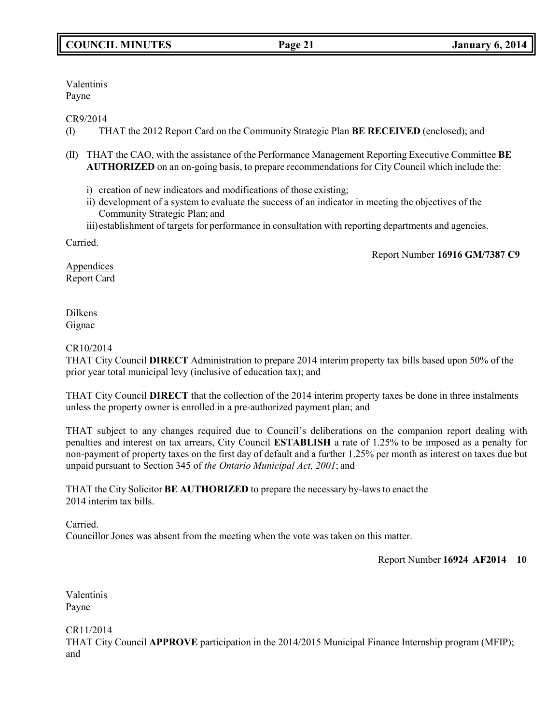Valentinis Payne

CR9/2014

- (I) THAT the 2012 Report Card on the Community Strategic Plan **BE RECEIVED** (enclosed); and
- (II) THAT the CAO, with the assistance of the Performance Management Reporting Executive Committee **BE AUTHORIZED** on an on-going basis, to prepare recommendations for City Council which include the:
	- i) creation of new indicators and modifications of those existing;
	- ii) development of a system to evaluate the success of an indicator in meeting the objectives of the Community Strategic Plan; and
	- iii) establishment of targets for performance in consultation with reporting departments and agencies.

Carried.

Report Number **16916 GM/7387 C9**

**Appendices** Report Card

Dilkens Gignac

## CR10/2014

THAT City Council **DIRECT** Administration to prepare 2014 interim property tax bills based upon 50% of the prior year total municipal levy (inclusive of education tax); and

THAT City Council **DIRECT** that the collection of the 2014 interim property taxes be done in three instalments unless the property owner is enrolled in a pre-authorized payment plan; and

THAT subject to any changes required due to Council's deliberations on the companion report dealing with penalties and interest on tax arrears, City Council **ESTABLISH** a rate of 1.25% to be imposed as a penalty for non-payment of property taxes on the first day of default and a further 1.25% per month as interest on taxes due but unpaid pursuant to Section 345 of *the Ontario Municipal Act, 2001*; and

THAT the City Solicitor **BE AUTHORIZED** to prepare the necessary by-laws to enact the 2014 interim tax bills.

Carried. Councillor Jones was absent from the meeting when the vote was taken on this matter.

Report Number **16924 AF2014 10**

Valentinis Payne

CR11/2014 THAT City Council **APPROVE** participation in the 2014/2015 Municipal Finance Internship program (MFIP); and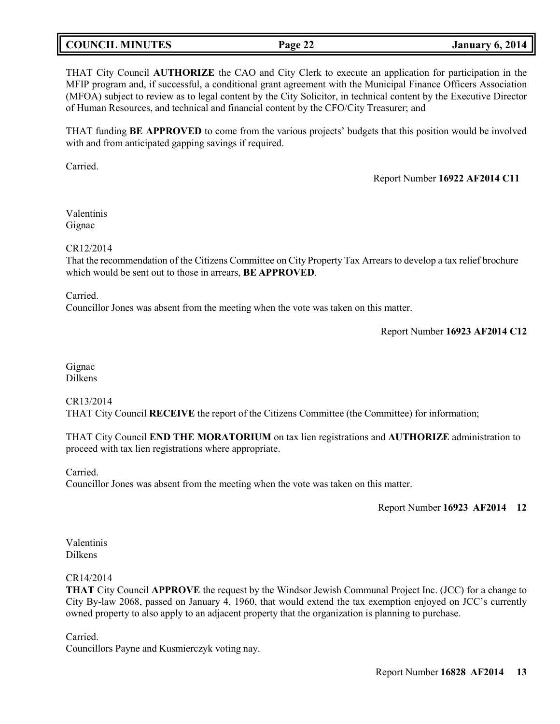## **COUNCIL MINUTES Page 22 January 6, 2014**

THAT City Council **AUTHORIZE** the CAO and City Clerk to execute an application for participation in the MFIP program and, if successful, a conditional grant agreement with the Municipal Finance Officers Association (MFOA) subject to review as to legal content by the City Solicitor, in technical content by the Executive Director of Human Resources, and technical and financial content by the CFO/City Treasurer; and

THAT funding **BE APPROVED** to come from the various projects' budgets that this position would be involved with and from anticipated gapping savings if required.

Carried.

## Report Number **16922 AF2014 C11**

Valentinis Gignac

### CR12/2014

That the recommendation of the Citizens Committee on City Property Tax Arrears to develop a tax relief brochure which would be sent out to those in arrears, **BE APPROVED**.

Carried.

Councillor Jones was absent from the meeting when the vote was taken on this matter.

Report Number **16923 AF2014 C12**

Gignac Dilkens

CR13/2014 THAT City Council **RECEIVE** the report of the Citizens Committee (the Committee) for information;

THAT City Council **END THE MORATORIUM** on tax lien registrations and **AUTHORIZE** administration to proceed with tax lien registrations where appropriate.

Carried.

Councillor Jones was absent from the meeting when the vote was taken on this matter.

Report Number **16923 AF2014 12**

Valentinis Dilkens

### CR14/2014

**THAT** City Council **APPROVE** the request by the Windsor Jewish Communal Project Inc. (JCC) for a change to City By-law 2068, passed on January 4, 1960, that would extend the tax exemption enjoyed on JCC's currently owned property to also apply to an adjacent property that the organization is planning to purchase.

Carried.

Councillors Payne and Kusmierczyk voting nay.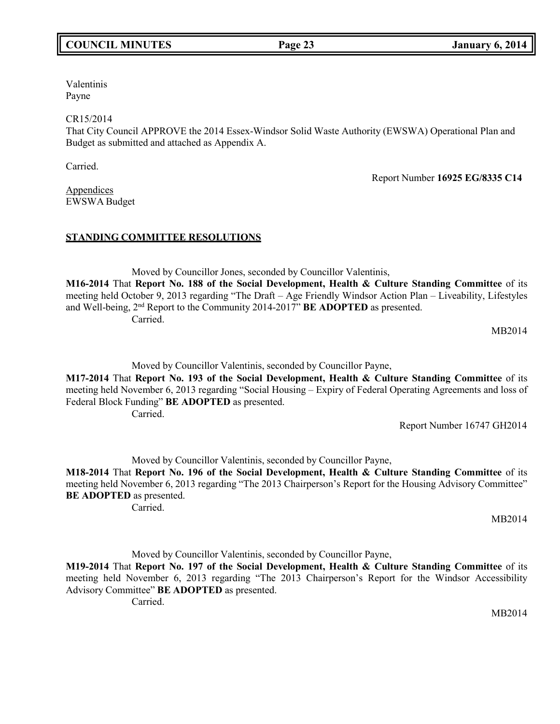# **COUNCIL MINUTES Page 23 January 6, 2014**

Valentinis Payne

CR15/2014

That City Council APPROVE the 2014 Essex-Windsor Solid Waste Authority (EWSWA) Operational Plan and Budget as submitted and attached as Appendix A.

Carried.

Report Number **16925 EG/8335 C14**

Appendices EWSWA Budget

## **STANDING COMMITTEE RESOLUTIONS**

Moved by Councillor Jones, seconded by Councillor Valentinis, **M16-2014** That **Report No. 188 of the Social Development, Health & Culture Standing Committee** of its meeting held October 9, 2013 regarding "The Draft – Age Friendly Windsor Action Plan – Liveability, Lifestyles and Well-being, 2nd Report to the Community 2014-2017" **BE ADOPTED** as presented. Carried.

MB2014

Moved by Councillor Valentinis, seconded by Councillor Payne,

**M17-2014** That **Report No. 193 of the Social Development, Health & Culture Standing Committee** of its meeting held November 6, 2013 regarding "Social Housing – Expiry of Federal Operating Agreements and loss of Federal Block Funding" **BE ADOPTED** as presented. Carried.

Report Number 16747 GH2014

Moved by Councillor Valentinis, seconded by Councillor Payne,

**M18-2014** That **Report No. 196 of the Social Development, Health & Culture Standing Committee** of its meeting held November 6, 2013 regarding "The 2013 Chairperson's Report for the Housing Advisory Committee" **BE ADOPTED** as presented.

Carried.

MB2014

Moved by Councillor Valentinis, seconded by Councillor Payne, **M19-2014** That **Report No. 197 of the Social Development, Health & Culture Standing Committee** of its meeting held November 6, 2013 regarding "The 2013 Chairperson's Report for the Windsor Accessibility Advisory Committee" **BE ADOPTED** as presented. Carried.

MB2014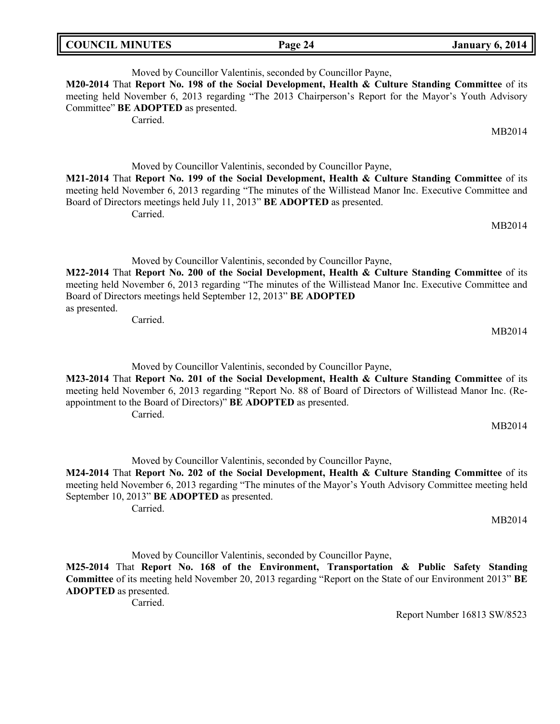| <b>COUNCIL MINUTES</b> | Page 24 | <b>January 6, 2014</b> |
|------------------------|---------|------------------------|
|                        |         |                        |

Moved by Councillor Valentinis, seconded by Councillor Payne, **M20-2014** That **Report No. 198 of the Social Development, Health & Culture Standing Committee** of its meeting held November 6, 2013 regarding "The 2013 Chairperson's Report for the Mayor's Youth Advisory Committee" **BE ADOPTED** as presented.

Carried.

Moved by Councillor Valentinis, seconded by Councillor Payne, **M21-2014** That **Report No. 199 of the Social Development, Health & Culture Standing Committee** of its meeting held November 6, 2013 regarding "The minutes of the Willistead Manor Inc. Executive Committee and Board of Directors meetings held July 11, 2013" **BE ADOPTED** as presented. Carried.

MB2014

MB2014

Moved by Councillor Valentinis, seconded by Councillor Payne,

**M22-2014** That **Report No. 200 of the Social Development, Health & Culture Standing Committee** of its meeting held November 6, 2013 regarding "The minutes of the Willistead Manor Inc. Executive Committee and Board of Directors meetings held September 12, 2013" **BE ADOPTED** as presented.

Carried.

Moved by Councillor Valentinis, seconded by Councillor Payne, **M23-2014** That **Report No. 201 of the Social Development, Health & Culture Standing Committee** of its meeting held November 6, 2013 regarding "Report No. 88 of Board of Directors of Willistead Manor Inc. (Reappointment to the Board of Directors)" **BE ADOPTED** as presented. Carried.

MB2014

MB2014

Moved by Councillor Valentinis, seconded by Councillor Payne,

**M24-2014** That **Report No. 202 of the Social Development, Health & Culture Standing Committee** of its meeting held November 6, 2013 regarding "The minutes of the Mayor's Youth Advisory Committee meeting held September 10, 2013" **BE ADOPTED** as presented.

Carried.

MB2014

Moved by Councillor Valentinis, seconded by Councillor Payne, **M25-2014** That **Report No. 168 of the Environment, Transportation & Public Safety Standing Committee** of its meeting held November 20, 2013 regarding "Report on the State of our Environment 2013" **BE ADOPTED** as presented.

Carried.

Report Number 16813 SW/8523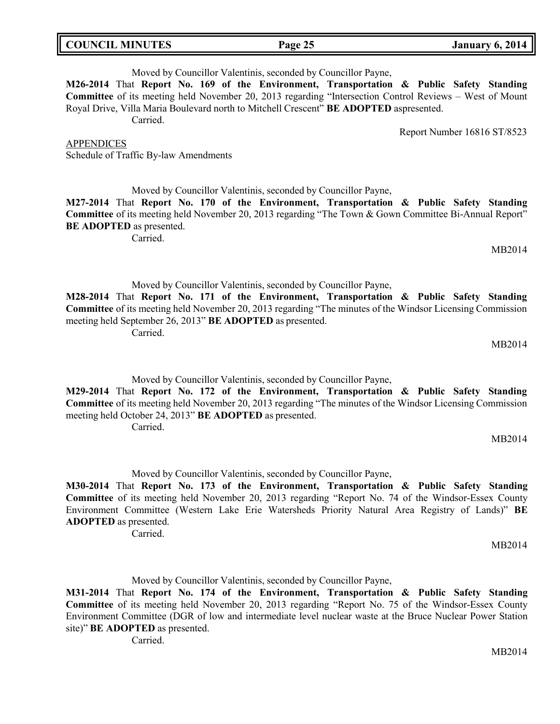MB2014

Moved by Councillor Valentinis, seconded by Councillor Payne, **M26-2014** That **Report No. 169 of the Environment, Transportation & Public Safety Standing Committee** of its meeting held November 20, 2013 regarding "Intersection Control Reviews – West of Mount Royal Drive, Villa Maria Boulevard north to Mitchell Crescent" **BE ADOPTED** aspresented. Carried.

Report Number 16816 ST/8523

Moved by Councillor Valentinis, seconded by Councillor Payne,

**M27-2014** That **Report No. 170 of the Environment, Transportation & Public Safety Standing Committee** of its meeting held November 20, 2013 regarding "The Town & Gown Committee Bi-Annual Report" **BE ADOPTED** as presented.

Carried.

Schedule of Traffic By-law Amendments

APPENDICES

Moved by Councillor Valentinis, seconded by Councillor Payne, **M28-2014** That **Report No. 171 of the Environment, Transportation & Public Safety Standing Committee** of its meeting held November 20, 2013 regarding "The minutes of the Windsor Licensing Commission meeting held September 26, 2013" **BE ADOPTED** as presented. Carried.

Moved by Councillor Valentinis, seconded by Councillor Payne,

Carried.

Moved by Councillor Valentinis, seconded by Councillor Payne,

**M30-2014** That **Report No. 173 of the Environment, Transportation & Public Safety Standing Committee** of its meeting held November 20, 2013 regarding "Report No. 74 of the Windsor-Essex County Environment Committee (Western Lake Erie Watersheds Priority Natural Area Registry of Lands)" **BE ADOPTED** as presented.

Carried.

Moved by Councillor Valentinis, seconded by Councillor Payne,

**M31-2014** That **Report No. 174 of the Environment, Transportation & Public Safety Standing Committee** of its meeting held November 20, 2013 regarding "Report No. 75 of the Windsor-Essex County Environment Committee (DGR of low and intermediate level nuclear waste at the Bruce Nuclear Power Station site)" **BE ADOPTED** as presented.

Carried.

**M29-2014** That **Report No. 172 of the Environment, Transportation & Public Safety Standing Committee** of its meeting held November 20, 2013 regarding "The minutes of the Windsor Licensing Commission meeting held October 24, 2013" **BE ADOPTED** as presented.

MB2014

MB2014

MB2014

MB2014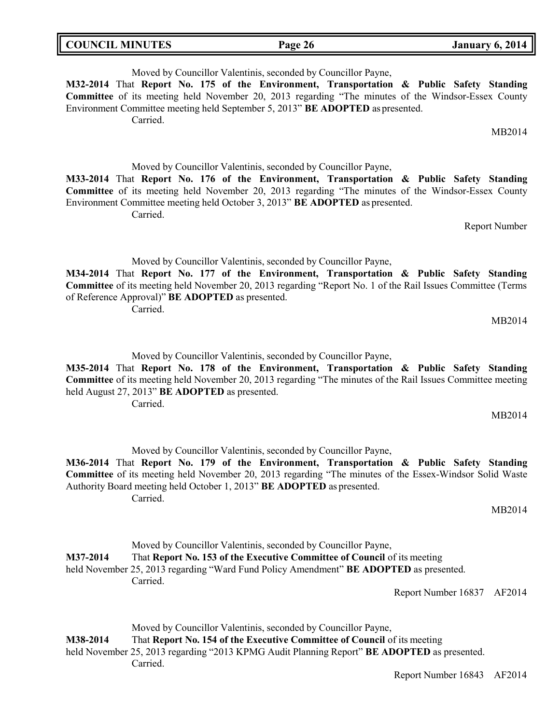| <b>COUNCIL MINUTES</b> | Page 26 | <b>January 6, 2014</b> |
|------------------------|---------|------------------------|
|                        |         |                        |

Moved by Councillor Valentinis, seconded by Councillor Payne, **M32-2014** That **Report No. 175 of the Environment, Transportation & Public Safety Standing Committee** of its meeting held November 20, 2013 regarding "The minutes of the Windsor-Essex County Environment Committee meeting held September 5, 2013" **BE ADOPTED** as presented. Carried. MB2014 Moved by Councillor Valentinis, seconded by Councillor Payne, **M33-2014** That **Report No. 176 of the Environment, Transportation & Public Safety Standing Committee** of its meeting held November 20, 2013 regarding "The minutes of the Windsor-Essex County Environment Committee meeting held October 3, 2013" **BE ADOPTED** as presented. Carried. Report Number Moved by Councillor Valentinis, seconded by Councillor Payne, **M34-2014** That **Report No. 177 of the Environment, Transportation & Public Safety Standing Committee** of its meeting held November 20, 2013 regarding "Report No. 1 of the Rail Issues Committee (Terms of Reference Approval)" **BE ADOPTED** as presented. Carried. MB2014

Moved by Councillor Valentinis, seconded by Councillor Payne,

**M35-2014** That **Report No. 178 of the Environment, Transportation & Public Safety Standing Committee** of its meeting held November 20, 2013 regarding "The minutes of the Rail Issues Committee meeting held August 27, 2013" **BE ADOPTED** as presented. Carried.

MB2014

Moved by Councillor Valentinis, seconded by Councillor Payne, **M36-2014** That **Report No. 179 of the Environment, Transportation & Public Safety Standing Committee** of its meeting held November 20, 2013 regarding "The minutes of the Essex-Windsor Solid Waste Authority Board meeting held October 1, 2013" **BE ADOPTED** as presented. Carried.

Moved by Councillor Valentinis, seconded by Councillor Payne, **M37-2014** That **Report No. 153 of the Executive Committee of Council** of its meeting held November 25, 2013 regarding "Ward Fund Policy Amendment" **BE ADOPTED** as presented. Carried. Report Number 16837 AF2014

Moved by Councillor Valentinis, seconded by Councillor Payne, **M38-2014** That **Report No. 154 of the Executive Committee of Council** of its meeting held November 25, 2013 regarding "2013 KPMG Audit Planning Report" **BE ADOPTED** as presented. Carried.

Report Number 16843 AF2014

MB2014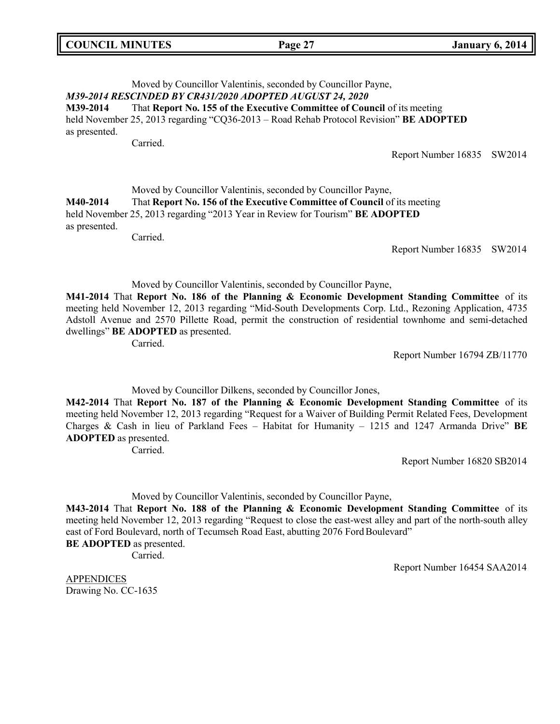|  | <b>COUNCIL MINUTES</b> |
|--|------------------------|
|--|------------------------|

## Moved by Councillor Valentinis, seconded by Councillor Payne, *M39-2014 RESCINDED BY CR431/2020 ADOPTED AUGUST 24, 2020* **M39-2014** That **Report No. 155 of the Executive Committee of Council** of its meeting held November 25, 2013 regarding "CQ36-2013 – Road Rehab Protocol Revision" **BE ADOPTED** as presented. Carried.

Report Number 16835 SW2014

## Moved by Councillor Valentinis, seconded by Councillor Payne, **M40-2014** That **Report No. 156 of the Executive Committee of Council** of its meeting held November 25, 2013 regarding "2013 Year in Review for Tourism" **BE ADOPTED** as presented.

Carried.

Report Number 16835 SW2014

### Moved by Councillor Valentinis, seconded by Councillor Payne,

**M41-2014** That **Report No. 186 of the Planning & Economic Development Standing Committee** of its meeting held November 12, 2013 regarding "Mid-South Developments Corp. Ltd., Rezoning Application, 4735 Adstoll Avenue and 2570 Pillette Road, permit the construction of residential townhome and semi-detached dwellings" **BE ADOPTED** as presented.

Carried.

Report Number 16794 ZB/11770

Moved by Councillor Dilkens, seconded by Councillor Jones,

**M42-2014** That **Report No. 187 of the Planning & Economic Development Standing Committee** of its meeting held November 12, 2013 regarding "Request for a Waiver of Building Permit Related Fees, Development Charges & Cash in lieu of Parkland Fees – Habitat for Humanity – 1215 and 1247 Armanda Drive" **BE ADOPTED** as presented.

Carried.

Report Number 16820 SB2014

Moved by Councillor Valentinis, seconded by Councillor Payne,

**M43-2014** That **Report No. 188 of the Planning & Economic Development Standing Committee** of its meeting held November 12, 2013 regarding "Request to close the east-west alley and part of the north-south alley east of Ford Boulevard, north of Tecumseh Road East, abutting 2076 Ford Boulevard" **BE ADOPTED** as presented.

Carried.

Report Number 16454 SAA2014

APPENDICES Drawing No. CC-1635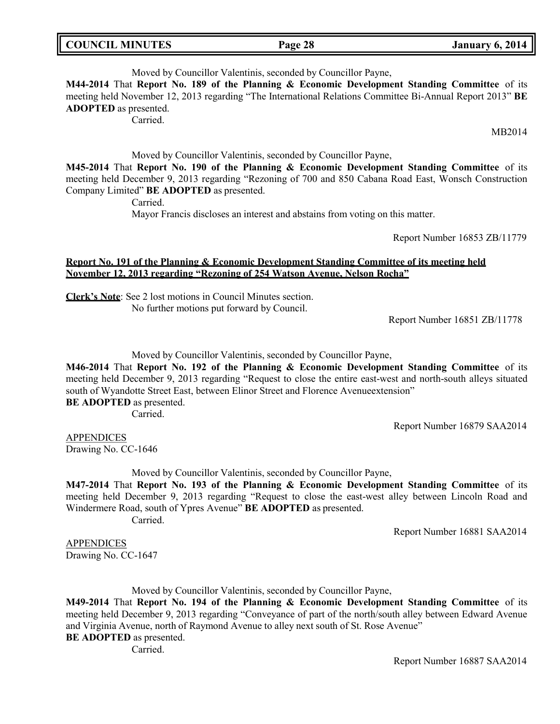| <b>COUNCIL MINUTES</b> |  |
|------------------------|--|
|------------------------|--|

# Moved by Councillor Valentinis, seconded by Councillor Payne,

**M44-2014** That **Report No. 189 of the Planning & Economic Development Standing Committee** of its meeting held November 12, 2013 regarding "The International Relations Committee Bi-Annual Report 2013" **BE ADOPTED** as presented.

Carried.

MB2014

Moved by Councillor Valentinis, seconded by Councillor Payne,

**M45-2014** That **Report No. 190 of the Planning & Economic Development Standing Committee** of its meeting held December 9, 2013 regarding "Rezoning of 700 and 850 Cabana Road East, Wonsch Construction Company Limited" **BE ADOPTED** as presented.

Carried.

Mayor Francis discloses an interest and abstains from voting on this matter.

Report Number 16853 ZB/11779

## **Report No. 191 of the Planning & Economic Development Standing Committee of its meeting held November 12, 2013 regarding "Rezoning of 254 Watson Avenue, Nelson Rocha"**

**Clerk's Note**: See 2 lost motions in Council Minutes section. No further motions put forward by Council.

Report Number 16851 ZB/11778

Moved by Councillor Valentinis, seconded by Councillor Payne,

**M46-2014** That **Report No. 192 of the Planning & Economic Development Standing Committee** of its meeting held December 9, 2013 regarding "Request to close the entire east-west and north-south alleys situated south of Wyandotte Street East, between Elinor Street and Florence Avenueextension" **BE ADOPTED** as presented.

Carried.

Report Number 16879 SAA2014

**APPENDICES** Drawing No. CC-1646

Moved by Councillor Valentinis, seconded by Councillor Payne,

**M47-2014** That **Report No. 193 of the Planning & Economic Development Standing Committee** of its meeting held December 9, 2013 regarding "Request to close the east-west alley between Lincoln Road and Windermere Road, south of Ypres Avenue" **BE ADOPTED** as presented. Carried.

Report Number 16881 SAA2014

APPENDICES Drawing No. CC-1647

Moved by Councillor Valentinis, seconded by Councillor Payne,

**M49-2014** That **Report No. 194 of the Planning & Economic Development Standing Committee** of its meeting held December 9, 2013 regarding "Conveyance of part of the north/south alley between Edward Avenue and Virginia Avenue, north of Raymond Avenue to alley next south of St. Rose Avenue" **BE ADOPTED** as presented.

Carried.

Report Number 16887 SAA2014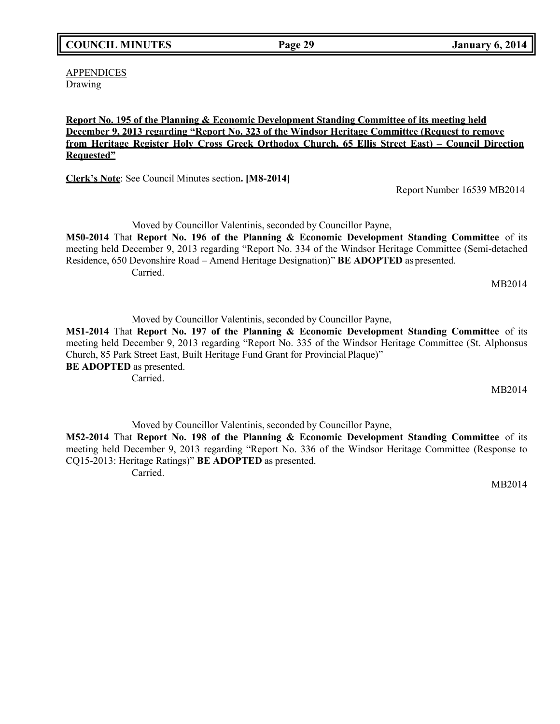**APPENDICES** Drawing

## **Report No. 195 of the Planning & Economic Development Standing Committee of its meeting held December 9, 2013 regarding "Report No. 323 of the Windsor Heritage Committee (Request to remove from Heritage Register Holy Cross Greek Orthodox Church, 65 Ellis Street East) – Council Direction Requested"**

**Clerk's Note**: See Council Minutes section**. [M8-2014]**

Report Number 16539 MB2014

Moved by Councillor Valentinis, seconded by Councillor Payne, **M50-2014** That **Report No. 196 of the Planning & Economic Development Standing Committee** of its meeting held December 9, 2013 regarding "Report No. 334 of the Windsor Heritage Committee (Semi-detached Residence, 650 Devonshire Road – Amend Heritage Designation)" **BE ADOPTED** as presented. Carried.

MB2014

Moved by Councillor Valentinis, seconded by Councillor Payne,

**M51-2014** That **Report No. 197 of the Planning & Economic Development Standing Committee** of its meeting held December 9, 2013 regarding "Report No. 335 of the Windsor Heritage Committee (St. Alphonsus Church, 85 Park Street East, Built Heritage Fund Grant for Provincial Plaque)" **BE ADOPTED** as presented.

Carried.

MB2014

Moved by Councillor Valentinis, seconded by Councillor Payne,

**M52-2014** That **Report No. 198 of the Planning & Economic Development Standing Committee** of its meeting held December 9, 2013 regarding "Report No. 336 of the Windsor Heritage Committee (Response to CQ15-2013: Heritage Ratings)" **BE ADOPTED** as presented. Carried.

MB2014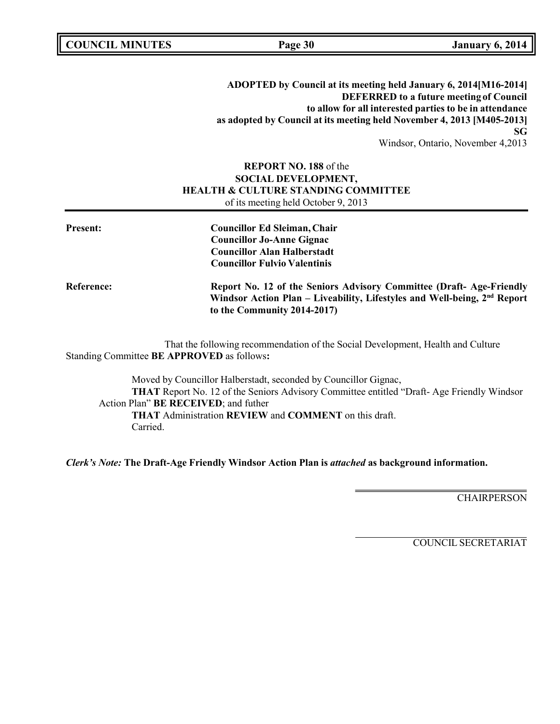**COUNCIL EXECUTE: COUNCIL EXECUTE: Page 30 January** 6, 2014

**ADOPTED by Council at its meeting held January 6, 2014[M16-2014] DEFERRED to a future meeting of Council to allow for all interested parties to be in attendance as adopted by Council at its meeting held November 4, 2013 [M405-2013] SG** Windsor, Ontario, November 4,2013

## **REPORT NO. 188** of the **SOCIAL DEVELOPMENT, HEALTH & CULTURE STANDING COMMITTEE** of its meeting held October 9, 2013

| <b>Present:</b>   | <b>Councillor Ed Sleiman, Chair</b><br><b>Councillor Jo-Anne Gignac</b><br><b>Councillor Alan Halberstadt</b><br><b>Councillor Fulvio Valentinis</b>                                       |
|-------------------|--------------------------------------------------------------------------------------------------------------------------------------------------------------------------------------------|
| <b>Reference:</b> | Report No. 12 of the Seniors Advisory Committee (Draft-Age-Friendly<br>Windsor Action Plan – Liveability, Lifestyles and Well-being, 2 <sup>nd</sup> Report<br>to the Community 2014-2017) |

That the following recommendation of the Social Development, Health and Culture Standing Committee **BE APPROVED** as follows**:**

Moved by Councillor Halberstadt, seconded by Councillor Gignac, **THAT** Report No. 12 of the Seniors Advisory Committee entitled "Draft- Age Friendly Windsor Action Plan" **BE RECEIVED**; and futher **THAT** Administration **REVIEW** and **COMMENT** on this draft. Carried.

*Clerk's Note:* **The Draft-Age Friendly Windsor Action Plan is** *attached* **as background information.**

**CHAIRPERSON**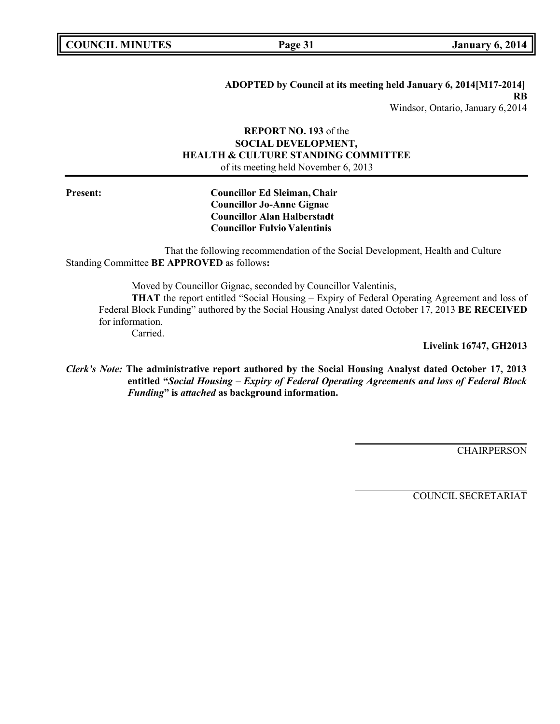# **ADOPTED by Council at its meeting held January 6, 2014[M17-2014] RB**

Windsor, Ontario, January 6,2014

## **REPORT NO. 193** of the **SOCIAL DEVELOPMENT, HEALTH & CULTURE STANDING COMMITTEE** of its meeting held November 6, 2013

## **Present: Councillor Ed Sleiman, Chair Councillor Jo-Anne Gignac Councillor Alan Halberstadt Councillor Fulvio Valentinis**

That the following recommendation of the Social Development, Health and Culture Standing Committee **BE APPROVED** as follows**:**

Moved by Councillor Gignac, seconded by Councillor Valentinis, **THAT** the report entitled "Social Housing – Expiry of Federal Operating Agreement and loss of Federal Block Funding" authored by the Social Housing Analyst dated October 17, 2013 **BE RECEIVED** for information. Carried.

**Livelink 16747, GH2013**

*Clerk's Note:* **The administrative report authored by the Social Housing Analyst dated October 17, 2013 entitled "***Social Housing – Expiry of Federal Operating Agreements and loss of Federal Block Funding***" is** *attached* **as background information.**

**CHAIRPERSON**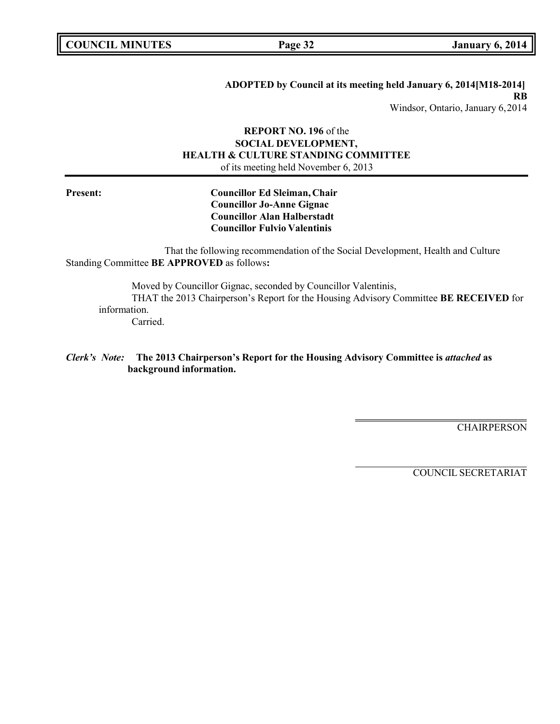# **ADOPTED by Council at its meeting held January 6, 2014[M18-2014] RB**

Windsor, Ontario, January 6,2014

## **REPORT NO. 196** of the **SOCIAL DEVELOPMENT, HEALTH & CULTURE STANDING COMMITTEE** of its meeting held November 6, 2013

**Present: Councillor Ed Sleiman, Chair Councillor Jo-Anne Gignac Councillor Alan Halberstadt Councillor Fulvio Valentinis**

That the following recommendation of the Social Development, Health and Culture Standing Committee **BE APPROVED** as follows**:**

Moved by Councillor Gignac, seconded by Councillor Valentinis, THAT the 2013 Chairperson's Report for the Housing Advisory Committee **BE RECEIVED** for information. Carried.

*Clerk's Note:* **The 2013 Chairperson's Report for the Housing Advisory Committee is** *attached* **as background information.**

**CHAIRPERSON**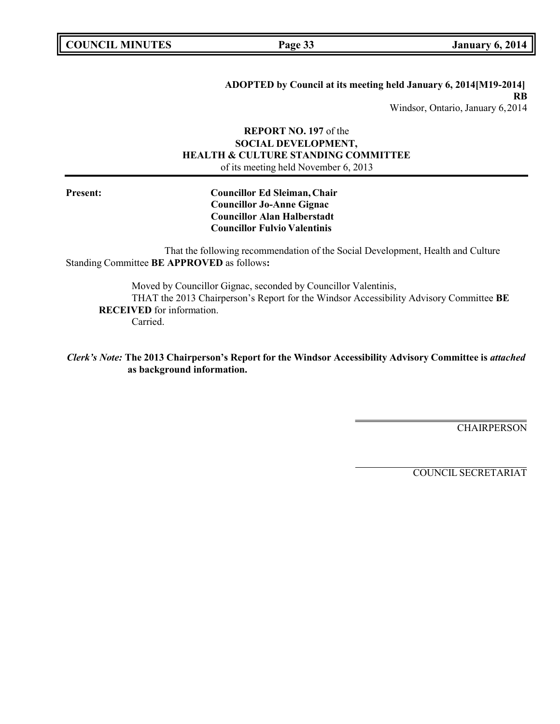# **ADOPTED by Council at its meeting held January 6, 2014[M19-2014] RB**

Windsor, Ontario, January 6,2014

## **REPORT NO. 197** of the **SOCIAL DEVELOPMENT, HEALTH & CULTURE STANDING COMMITTEE** of its meeting held November 6, 2013

**Present: Councillor Ed Sleiman, Chair Councillor Jo-Anne Gignac Councillor Alan Halberstadt Councillor Fulvio Valentinis**

That the following recommendation of the Social Development, Health and Culture Standing Committee **BE APPROVED** as follows**:**

Moved by Councillor Gignac, seconded by Councillor Valentinis, THAT the 2013 Chairperson's Report for the Windsor Accessibility Advisory Committee **BE RECEIVED** for information. Carried.

*Clerk's Note:* **The 2013 Chairperson's Report for the Windsor Accessibility Advisory Committee is** *attached* **as background information.**

**CHAIRPERSON**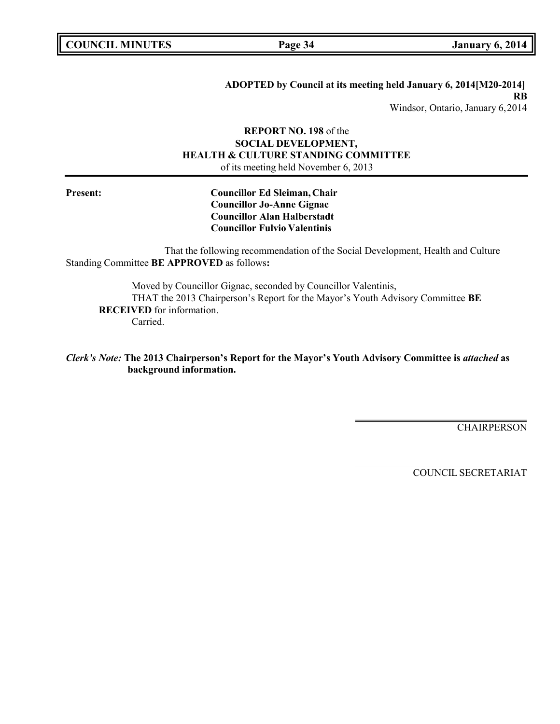# **ADOPTED by Council at its meeting held January 6, 2014[M20-2014] RB**

Windsor, Ontario, January 6,2014

## **REPORT NO. 198** of the **SOCIAL DEVELOPMENT, HEALTH & CULTURE STANDING COMMITTEE** of its meeting held November 6, 2013

**Present: Councillor Ed Sleiman, Chair Councillor Jo-Anne Gignac Councillor Alan Halberstadt Councillor Fulvio Valentinis**

That the following recommendation of the Social Development, Health and Culture Standing Committee **BE APPROVED** as follows**:**

Moved by Councillor Gignac, seconded by Councillor Valentinis, THAT the 2013 Chairperson's Report for the Mayor's Youth Advisory Committee **BE RECEIVED** for information. Carried.

*Clerk's Note:* **The 2013 Chairperson's Report for the Mayor's Youth Advisory Committee is** *attached* **as background information.**

**CHAIRPERSON**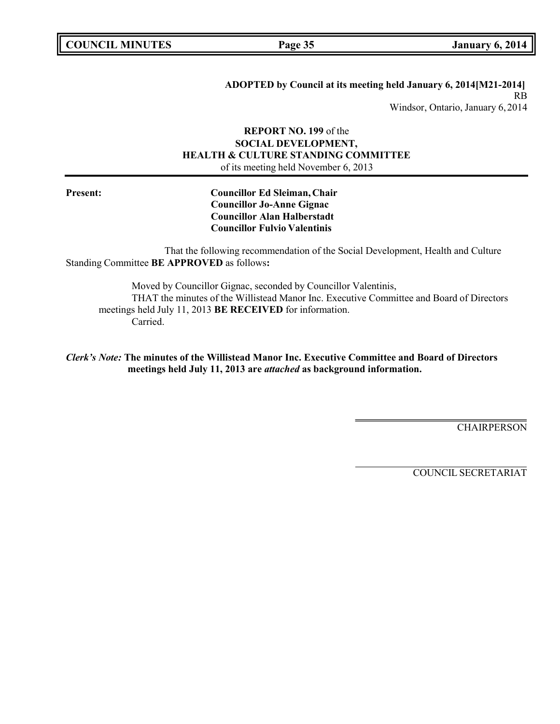## **ADOPTED by Council at its meeting held January 6, 2014[M21-2014]** RB

Windsor, Ontario, January 6,2014

## **REPORT NO. 199** of the **SOCIAL DEVELOPMENT, HEALTH & CULTURE STANDING COMMITTEE** of its meeting held November 6, 2013

**Present: Councillor Ed Sleiman, Chair Councillor Jo-Anne Gignac Councillor Alan Halberstadt Councillor Fulvio Valentinis**

That the following recommendation of the Social Development, Health and Culture Standing Committee **BE APPROVED** as follows**:**

Moved by Councillor Gignac, seconded by Councillor Valentinis, THAT the minutes of the Willistead Manor Inc. Executive Committee and Board of Directors meetings held July 11, 2013 **BE RECEIVED** for information. Carried.

*Clerk's Note:* **The minutes of the Willistead Manor Inc. Executive Committee and Board of Directors meetings held July 11, 2013 are** *attached* **as background information.**

**CHAIRPERSON**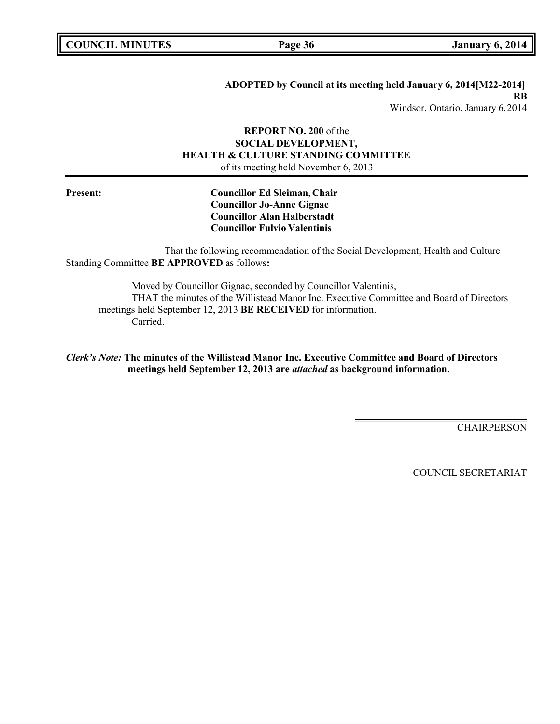## **ADOPTED by Council at its meeting held January 6, 2014[M22-2014] RB**

Windsor, Ontario, January 6,2014

## **REPORT NO. 200** of the **SOCIAL DEVELOPMENT, HEALTH & CULTURE STANDING COMMITTEE** of its meeting held November 6, 2013

**Present: Councillor Ed Sleiman, Chair Councillor Jo-Anne Gignac Councillor Alan Halberstadt Councillor Fulvio Valentinis**

That the following recommendation of the Social Development, Health and Culture Standing Committee **BE APPROVED** as follows**:**

Moved by Councillor Gignac, seconded by Councillor Valentinis, THAT the minutes of the Willistead Manor Inc. Executive Committee and Board of Directors meetings held September 12, 2013 **BE RECEIVED** for information. Carried.

*Clerk's Note:* **The minutes of the Willistead Manor Inc. Executive Committee and Board of Directors meetings held September 12, 2013 are** *attached* **as background information.**

**CHAIRPERSON**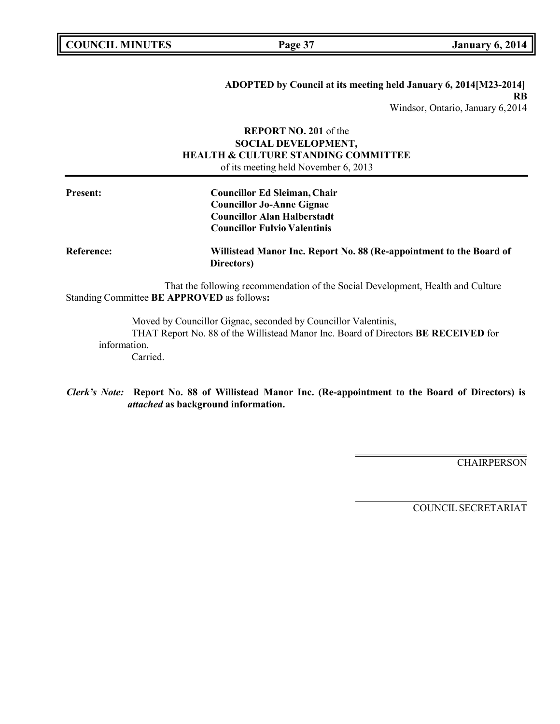# **ADOPTED by Council at its meeting held January 6, 2014[M23-2014] RB**

Windsor, Ontario, January 6,2014

## **REPORT NO. 201** of the **SOCIAL DEVELOPMENT, HEALTH & CULTURE STANDING COMMITTEE** of its meeting held November 6, 2013

| <b>Present:</b>   | <b>Councillor Ed Sleiman, Chair</b><br><b>Councillor Jo-Anne Gignac</b><br><b>Councillor Alan Halberstadt</b>                 |  |
|-------------------|-------------------------------------------------------------------------------------------------------------------------------|--|
|                   | <b>Councillor Fulvio Valentinis</b>                                                                                           |  |
| <b>Reference:</b> | Willistead Manor Inc. Report No. 88 (Re-appointment to the Board of<br>Directors)                                             |  |
|                   | That the following recommendation of the Social Development, Health and Culture<br>Standing Committee BE APPROVED as follows: |  |
|                   | Moved by Councillor Gignac, seconded by Councillor Valentinis,                                                                |  |

THAT Report No. 88 of the Willistead Manor Inc. Board of Directors **BE RECEIVED** for information.

Carried.

*Clerk's Note:* **Report No. 88 of Willistead Manor Inc. (Re-appointment to the Board of Directors) is** *attached* **as background information.**

**CHAIRPERSON**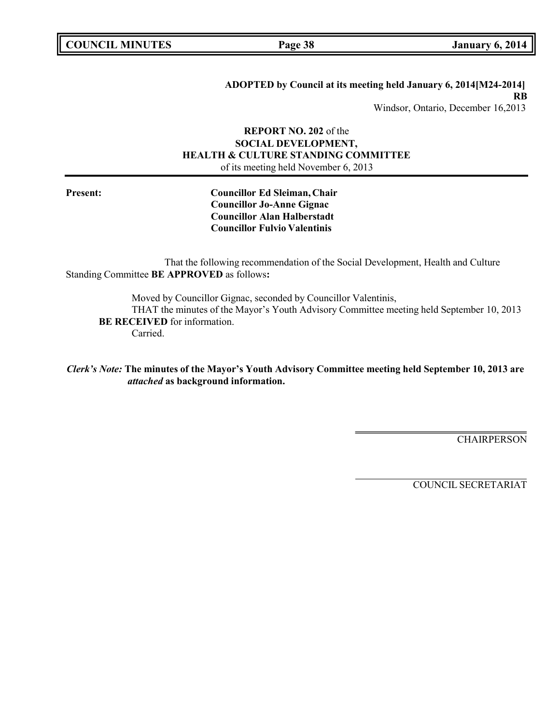### **ADOPTED by Council at its meeting held January 6, 2014[M24-2014] RB** Windsor, Ontario, December 16,2013

## **REPORT NO. 202** of the **SOCIAL DEVELOPMENT, HEALTH & CULTURE STANDING COMMITTEE** of its meeting held November 6, 2013

**Present: Councillor Ed Sleiman, Chair Councillor Jo-Anne Gignac Councillor Alan Halberstadt Councillor Fulvio Valentinis**

That the following recommendation of the Social Development, Health and Culture Standing Committee **BE APPROVED** as follows**:**

Moved by Councillor Gignac, seconded by Councillor Valentinis, THAT the minutes of the Mayor's Youth Advisory Committee meeting held September 10, 2013 **BE RECEIVED** for information. Carried.

*Clerk's Note:* **The minutes of the Mayor's Youth Advisory Committee meeting held September 10, 2013 are** *attached* **as background information.**

**CHAIRPERSON**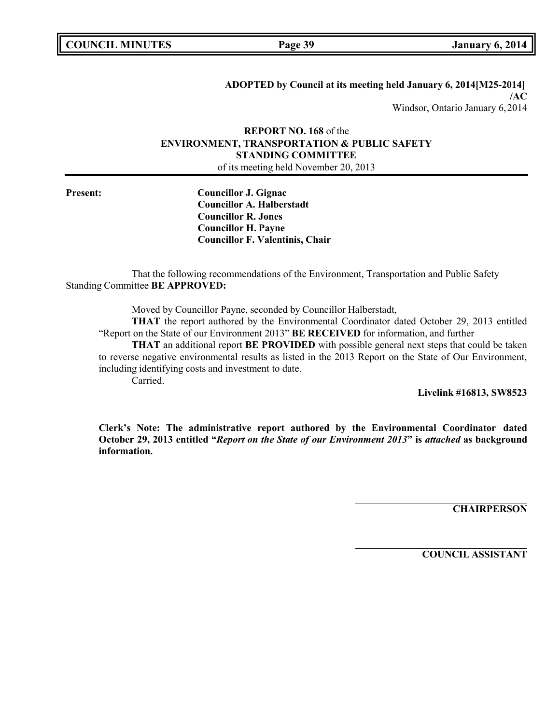**ADOPTED by Council at its meeting held January 6, 2014[M25-2014] /AC** Windsor, Ontario January 6,2014

## **REPORT NO. 168** of the **ENVIRONMENT, TRANSPORTATION & PUBLIC SAFETY STANDING COMMITTEE** of its meeting held November 20, 2013

**Present: Councillor J. Gignac Councillor A. Halberstadt Councillor R. Jones Councillor H. Payne Councillor F. Valentinis, Chair**

That the following recommendations of the Environment, Transportation and Public Safety Standing Committee **BE APPROVED:**

Moved by Councillor Payne, seconded by Councillor Halberstadt,

**THAT** the report authored by the Environmental Coordinator dated October 29, 2013 entitled "Report on the State of our Environment 2013" **BE RECEIVED** for information, and further

**THAT** an additional report **BE PROVIDED** with possible general next steps that could be taken to reverse negative environmental results as listed in the 2013 Report on the State of Our Environment, including identifying costs and investment to date.

Carried.

**Livelink #16813, SW8523**

**Clerk's Note: The administrative report authored by the Environmental Coordinator dated October 29, 2013 entitled "***Report on the State of our Environment 2013***" is** *attached* **as background information.**

**CHAIRPERSON**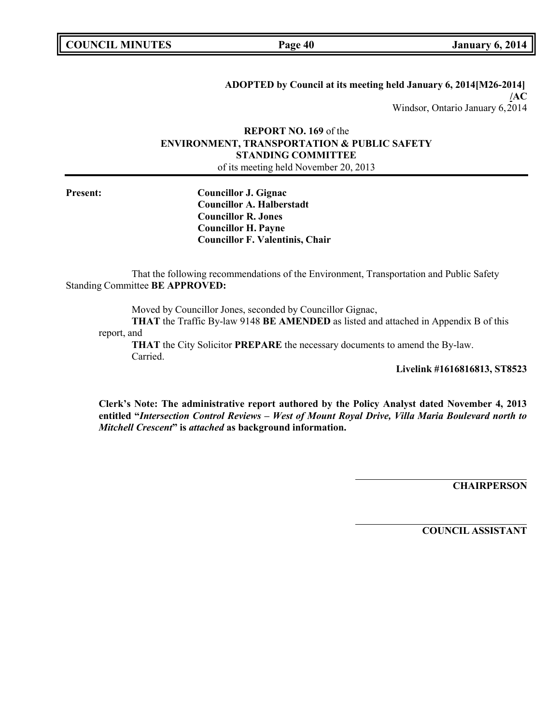**ADOPTED by Council at its meeting held January 6, 2014[M26-2014] /AC** Windsor, Ontario January 6,2014

## **REPORT NO. 169** of the **ENVIRONMENT, TRANSPORTATION & PUBLIC SAFETY STANDING COMMITTEE** of its meeting held November 20, 2013

**Present: Councillor J. Gignac Councillor A. Halberstadt Councillor R. Jones Councillor H. Payne Councillor F. Valentinis, Chair**

That the following recommendations of the Environment, Transportation and Public Safety Standing Committee **BE APPROVED:**

Moved by Councillor Jones, seconded by Councillor Gignac,

**THAT** the Traffic By-law 9148 **BE AMENDED** as listed and attached in Appendix B of this report, and

**THAT** the City Solicitor **PREPARE** the necessary documents to amend the By-law. Carried.

**Livelink #1616816813, ST8523**

**Clerk's Note: The administrative report authored by the Policy Analyst dated November 4, 2013 entitled "***Intersection Control Reviews – West of Mount Royal Drive, Villa Maria Boulevard north to Mitchell Crescent***" is** *attached* **as background information.**

**CHAIRPERSON**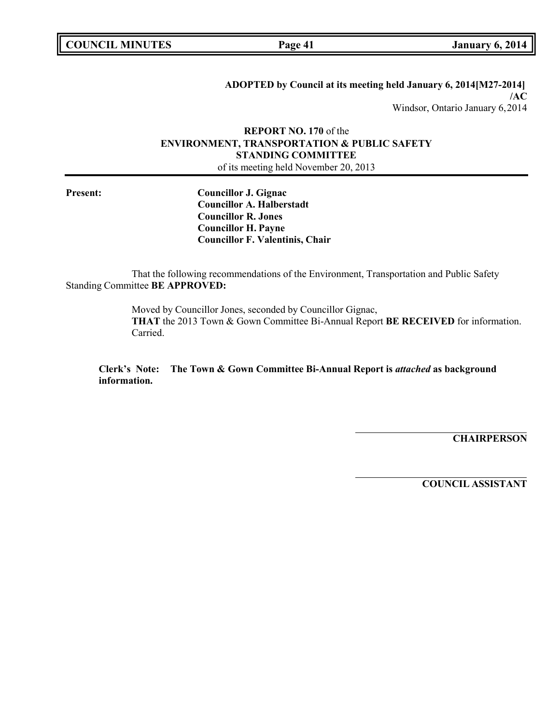**ADOPTED by Council at its meeting held January 6, 2014[M27-2014] /AC** Windsor, Ontario January 6,2014

## **REPORT NO. 170** of the **ENVIRONMENT, TRANSPORTATION & PUBLIC SAFETY STANDING COMMITTEE** of its meeting held November 20, 2013

**Present: Councillor J. Gignac Councillor A. Halberstadt Councillor R. Jones Councillor H. Payne Councillor F. Valentinis, Chair**

That the following recommendations of the Environment, Transportation and Public Safety Standing Committee **BE APPROVED:**

> Moved by Councillor Jones, seconded by Councillor Gignac, **THAT** the 2013 Town & Gown Committee Bi-Annual Report **BE RECEIVED** for information. Carried.

**Clerk's Note: The Town & Gown Committee Bi-Annual Report is** *attached* **as background information.**

**CHAIRPERSON**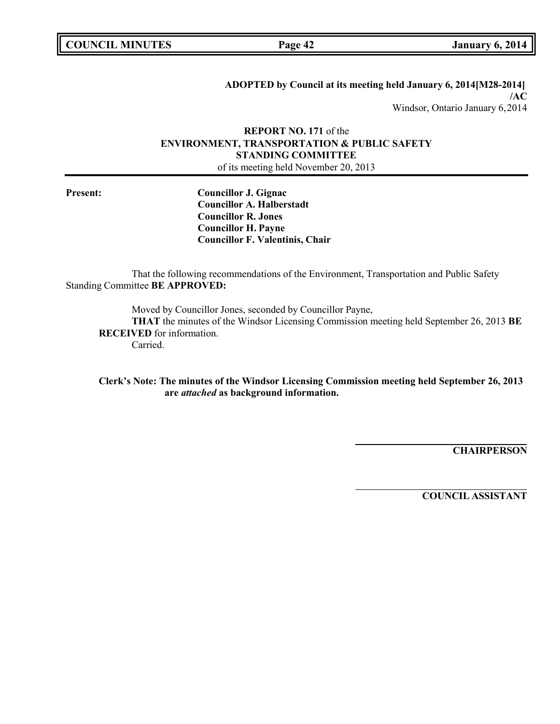**ADOPTED by Council at its meeting held January 6, 2014[M28-2014] /AC** Windsor, Ontario January 6,2014

## **REPORT NO. 171** of the **ENVIRONMENT, TRANSPORTATION & PUBLIC SAFETY STANDING COMMITTEE** of its meeting held November 20, 2013

**Present: Councillor J. Gignac Councillor A. Halberstadt Councillor R. Jones Councillor H. Payne Councillor F. Valentinis, Chair**

That the following recommendations of the Environment, Transportation and Public Safety Standing Committee **BE APPROVED:**

Moved by Councillor Jones, seconded by Councillor Payne,

**THAT** the minutes of the Windsor Licensing Commission meeting held September 26, 2013 **BE RECEIVED** for information.

Carried.

**Clerk's Note: The minutes of the Windsor Licensing Commission meeting held September 26, 2013 are** *attached* **as background information.**

**CHAIRPERSON**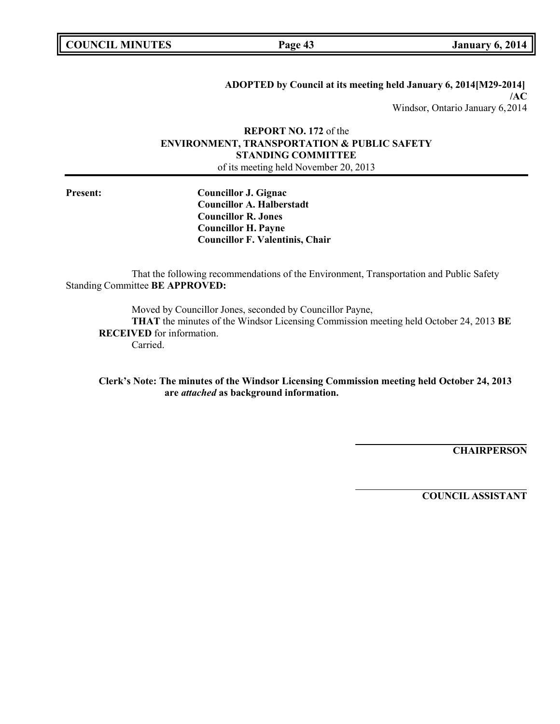**ADOPTED by Council at its meeting held January 6, 2014[M29-2014] /AC** Windsor, Ontario January 6,2014

## **REPORT NO. 172** of the **ENVIRONMENT, TRANSPORTATION & PUBLIC SAFETY STANDING COMMITTEE** of its meeting held November 20, 2013

**Present: Councillor J. Gignac Councillor A. Halberstadt Councillor R. Jones Councillor H. Payne Councillor F. Valentinis, Chair**

That the following recommendations of the Environment, Transportation and Public Safety Standing Committee **BE APPROVED:**

Moved by Councillor Jones, seconded by Councillor Payne,

**THAT** the minutes of the Windsor Licensing Commission meeting held October 24, 2013 **BE RECEIVED** for information.

Carried.

**Clerk's Note: The minutes of the Windsor Licensing Commission meeting held October 24, 2013 are** *attached* **as background information.**

**CHAIRPERSON**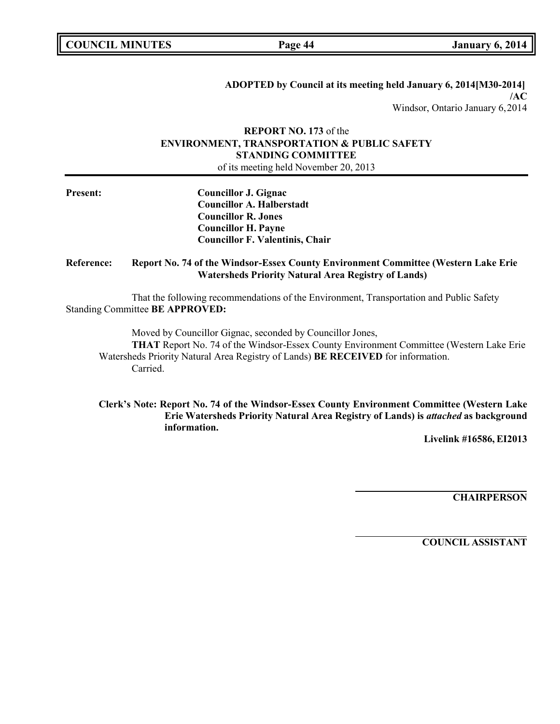**ADOPTED by Council at its meeting held January 6, 2014[M30-2014] /AC** Windsor, Ontario January 6,2014

## **REPORT NO. 173** of the **ENVIRONMENT, TRANSPORTATION & PUBLIC SAFETY STANDING COMMITTEE** of its meeting held November 20, 2013

| <b>Present:</b> | <b>Councillor J. Gignac</b><br><b>Councillor A. Halberstadt</b><br><b>Councillor R. Jones</b><br><b>Councillor H. Payne</b><br><b>Councillor F. Valentinis, Chair</b>                                                                                       |  |
|-----------------|-------------------------------------------------------------------------------------------------------------------------------------------------------------------------------------------------------------------------------------------------------------|--|
| Reference:      | Report No. 74 of the Windsor-Essex County Environment Committee (Western Lake Erie<br><b>Watersheds Priority Natural Area Registry of Lands)</b>                                                                                                            |  |
|                 | That the following recommendations of the Environment, Transportation and Public Safety<br>Standing Committee BE APPROVED:                                                                                                                                  |  |
|                 | Moved by Councillor Gignac, seconded by Councillor Jones,<br><b>THAT</b> Report No. 74 of the Windsor-Essex County Environment Committee (Western Lake Erie<br>Watersheds Priority Natural Area Registry of Lands) BE RECEIVED for information.<br>Carried. |  |

**Clerk's Note: Report No. 74 of the Windsor-Essex County Environment Committee (Western Lake Erie Watersheds Priority Natural Area Registry of Lands) is** *attached* **as background information.**

**Livelink #16586, EI2013**

**CHAIRPERSON**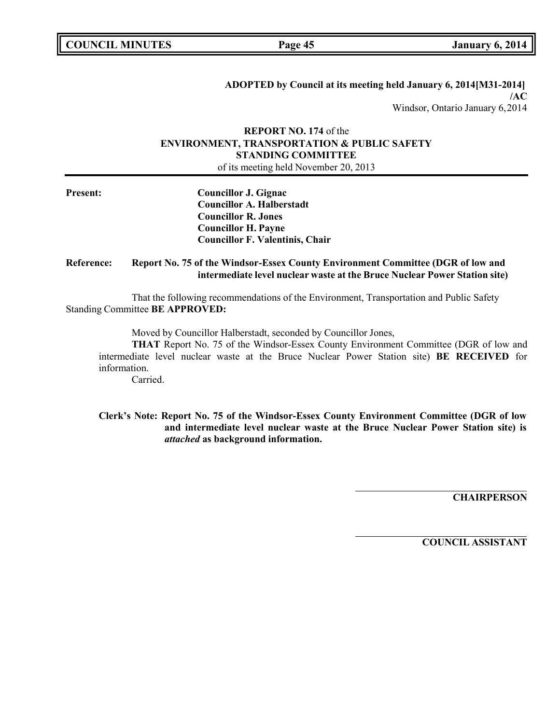**ADOPTED by Council at its meeting held January 6, 2014[M31-2014] /AC** Windsor, Ontario January 6,2014

## **REPORT NO. 174** of the **ENVIRONMENT, TRANSPORTATION & PUBLIC SAFETY STANDING COMMITTEE** of its meeting held November 20, 2013

| <b>Present:</b>   | <b>Councillor J. Gignac</b>                                                                                                                                  |  |  |
|-------------------|--------------------------------------------------------------------------------------------------------------------------------------------------------------|--|--|
|                   | <b>Councillor A. Halberstadt</b>                                                                                                                             |  |  |
|                   | <b>Councillor R. Jones</b>                                                                                                                                   |  |  |
|                   | <b>Councillor H. Payne</b>                                                                                                                                   |  |  |
|                   | <b>Councillor F. Valentinis, Chair</b>                                                                                                                       |  |  |
| <b>Reference:</b> | Report No. 75 of the Windsor-Essex County Environment Committee (DGR of low and<br>intermediate level nuclear waste at the Bruce Nuclear Power Station site) |  |  |
|                   | That the following recommendations of the Environment, Transportation and Public Safety                                                                      |  |  |
|                   | <b>Standing Committee BE APPROVED:</b>                                                                                                                       |  |  |
|                   | Moved by Councillor Halberstadt, seconded by Councillor Jones,                                                                                               |  |  |
|                   | <b>THAT</b> Report No. 75 of the Windsor-Essex County Environment Committee (DGR of low and                                                                  |  |  |
|                   | intermediate level nuclear waste at the Bruce Nuclear Power Station site) BE RECEIVED for                                                                    |  |  |
|                   | information.                                                                                                                                                 |  |  |

Carried.

**Clerk's Note: Report No. 75 of the Windsor-Essex County Environment Committee (DGR of low and intermediate level nuclear waste at the Bruce Nuclear Power Station site) is** *attached* **as background information.**

**CHAIRPERSON**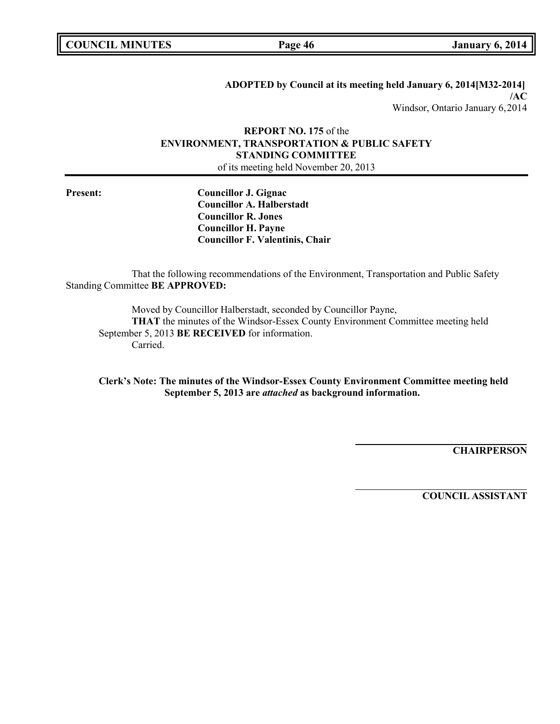**ADOPTED by Council at its meeting held January 6, 2014[M32-2014] /AC** Windsor, Ontario January 6,2014

## **REPORT NO. 175** of the **ENVIRONMENT, TRANSPORTATION & PUBLIC SAFETY STANDING COMMITTEE** of its meeting held November 20, 2013

**Present: Councillor J. Gignac Councillor A. Halberstadt Councillor R. Jones Councillor H. Payne Councillor F. Valentinis, Chair**

That the following recommendations of the Environment, Transportation and Public Safety Standing Committee **BE APPROVED:**

Moved by Councillor Halberstadt, seconded by Councillor Payne, **THAT** the minutes of the Windsor-Essex County Environment Committee meeting held September 5, 2013 **BE RECEIVED** for information. Carried.

**Clerk's Note: The minutes of the Windsor-Essex County Environment Committee meeting held September 5, 2013 are** *attached* **as background information.**

**CHAIRPERSON**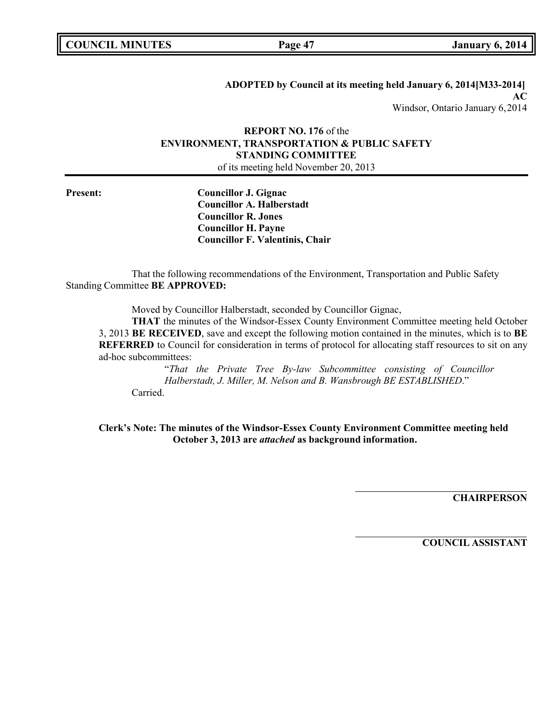**ADOPTED by Council at its meeting held January 6, 2014[M33-2014] AC** Windsor, Ontario January 6,2014

## **REPORT NO. 176** of the **ENVIRONMENT, TRANSPORTATION & PUBLIC SAFETY STANDING COMMITTEE** of its meeting held November 20, 2013

**Present: Councillor J. Gignac Councillor A. Halberstadt Councillor R. Jones Councillor H. Payne Councillor F. Valentinis, Chair**

That the following recommendations of the Environment, Transportation and Public Safety Standing Committee **BE APPROVED:**

Moved by Councillor Halberstadt, seconded by Councillor Gignac,

**THAT** the minutes of the Windsor-Essex County Environment Committee meeting held October 3, 2013 **BE RECEIVED**, save and except the following motion contained in the minutes, which is to **BE REFERRED** to Council for consideration in terms of protocol for allocating staff resources to sit on any ad-hoc subcommittees:

"*That the Private Tree By-law Subcommittee consisting of Councillor Halberstadt, J. Miller, M. Nelson and B. Wansbrough BE ESTABLISHED*." Carried.

**Clerk's Note: The minutes of the Windsor-Essex County Environment Committee meeting held October 3, 2013 are** *attached* **as background information.**

**CHAIRPERSON**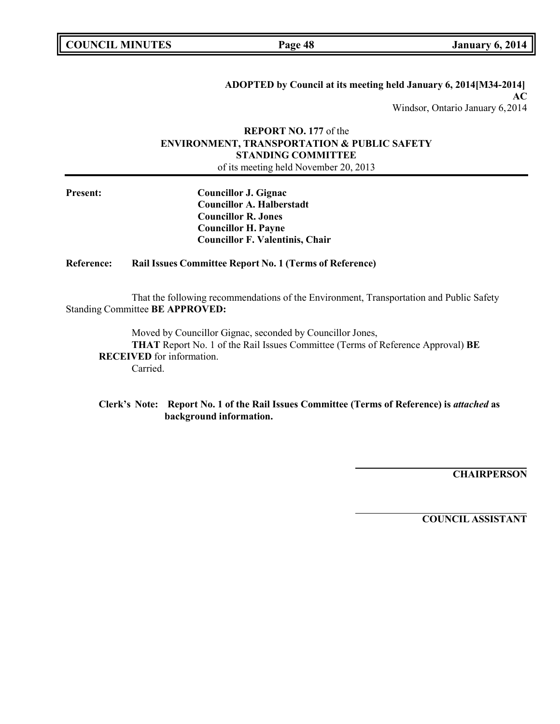**ADOPTED by Council at its meeting held January 6, 2014[M34-2014] AC**

Windsor, Ontario January 6,2014

## **REPORT NO. 177** of the **ENVIRONMENT, TRANSPORTATION & PUBLIC SAFETY STANDING COMMITTEE** of its meeting held November 20, 2013

**Present: Councillor J. Gignac Councillor A. Halberstadt Councillor R. Jones Councillor H. Payne Councillor F. Valentinis, Chair**

### **Reference: Rail Issues Committee Report No. 1 (Terms of Reference)**

That the following recommendations of the Environment, Transportation and Public Safety Standing Committee **BE APPROVED:**

Moved by Councillor Gignac, seconded by Councillor Jones, **THAT** Report No. 1 of the Rail Issues Committee (Terms of Reference Approval) **BE RECEIVED** for information. Carried.

### **Clerk's Note: Report No. 1 of the Rail Issues Committee (Terms of Reference) is** *attached* **as background information.**

**CHAIRPERSON**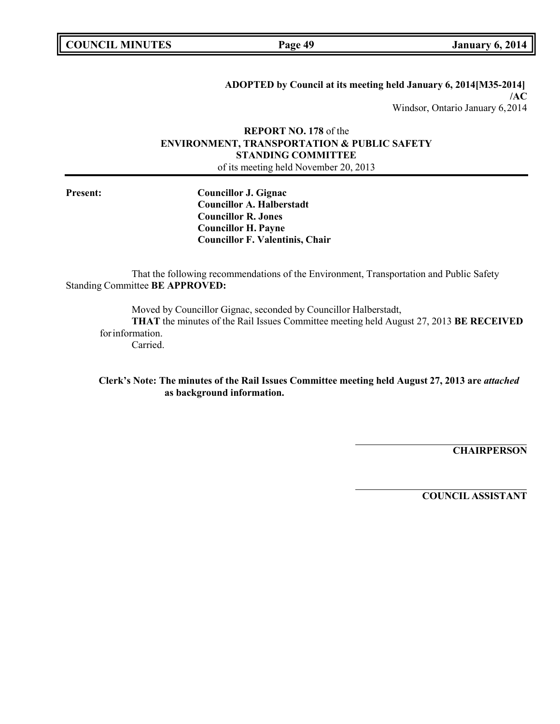**ADOPTED by Council at its meeting held January 6, 2014[M35-2014] /AC** Windsor, Ontario January 6,2014

## **REPORT NO. 178** of the **ENVIRONMENT, TRANSPORTATION & PUBLIC SAFETY STANDING COMMITTEE** of its meeting held November 20, 2013

**Present: Councillor J. Gignac Councillor A. Halberstadt Councillor R. Jones Councillor H. Payne Councillor F. Valentinis, Chair**

That the following recommendations of the Environment, Transportation and Public Safety Standing Committee **BE APPROVED:**

Moved by Councillor Gignac, seconded by Councillor Halberstadt,

**THAT** the minutes of the Rail Issues Committee meeting held August 27, 2013 **BE RECEIVED** forinformation.

Carried.

**Clerk's Note: The minutes of the Rail Issues Committee meeting held August 27, 2013 are** *attached* **as background information.**

**CHAIRPERSON**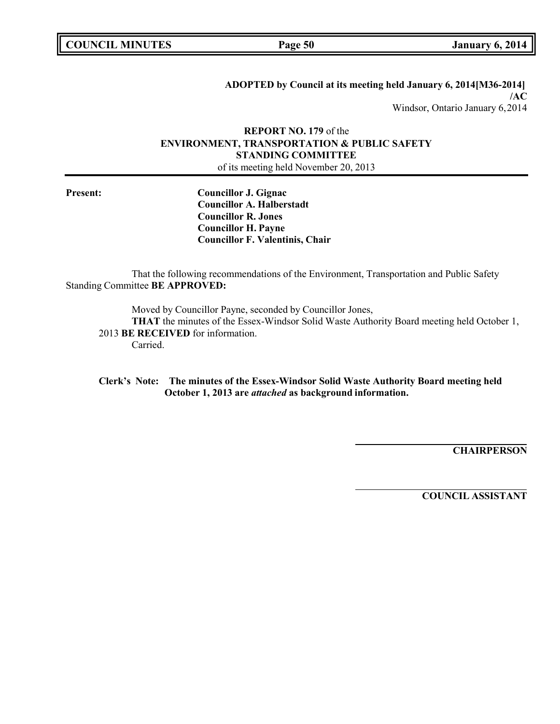**ADOPTED by Council at its meeting held January 6, 2014[M36-2014] /AC** Windsor, Ontario January 6,2014

## **REPORT NO. 179** of the **ENVIRONMENT, TRANSPORTATION & PUBLIC SAFETY STANDING COMMITTEE** of its meeting held November 20, 2013

**Present: Councillor J. Gignac Councillor A. Halberstadt Councillor R. Jones Councillor H. Payne Councillor F. Valentinis, Chair**

That the following recommendations of the Environment, Transportation and Public Safety Standing Committee **BE APPROVED:**

Moved by Councillor Payne, seconded by Councillor Jones,

**THAT** the minutes of the Essex-Windsor Solid Waste Authority Board meeting held October 1, 2013 **BE RECEIVED** for information.

Carried.

**Clerk's Note: The minutes of the Essex-Windsor Solid Waste Authority Board meeting held October 1, 2013 are** *attached* **as background information.**

**CHAIRPERSON**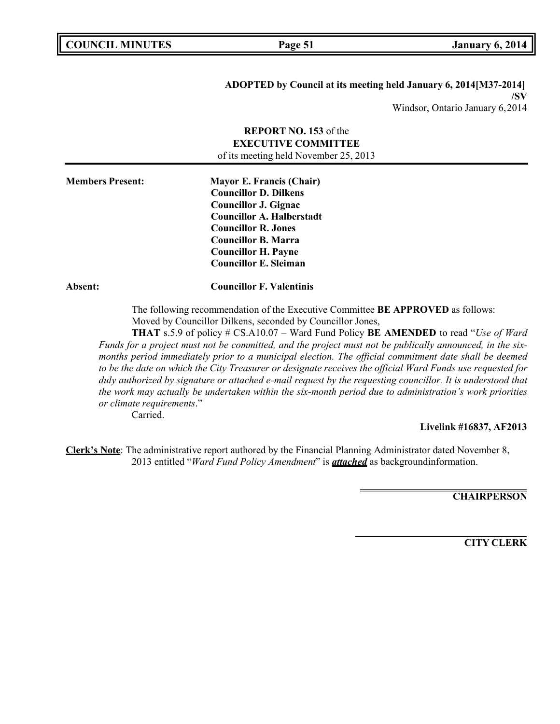### **ADOPTED by Council at its meeting held January 6, 2014[M37-2014] /SV** Windsor, Ontario January 6,2014

**REPORT NO. 153** of the **EXECUTIVE COMMITTEE** of its meeting held November 25, 2013 **Members Present: Mayor E. Francis (Chair) Councillor D. Dilkens Councillor J. Gignac Councillor A. Halberstadt Councillor R. Jones Councillor B. Marra Councillor H. Payne Councillor E. Sleiman Absent: Councillor F. Valentinis** The following recommendation of the Executive Committee **BE APPROVED** as follows: Moved by Councillor Dilkens, seconded by Councillor Jones, **THAT** s.5.9 of policy # CS.A10.07 – Ward Fund Policy **BE AMENDED** to read "*Use of Ward*

*Funds for a project must not be committed, and the project must not be publically announced, in the sixmonths period immediately prior to a municipal election. The official commitment date shall be deemed to be the date on which the City Treasurer or designate receives the official Ward Funds use requested for duly authorized by signature or attached e-mail request by the requesting councillor. It is understood that the work may actually be undertaken within the six-month period due to administration's work priorities or climate requirements*."

Carried.

### **Livelink #16837, AF2013**

**Clerk's Note**: The administrative report authored by the Financial Planning Administrator dated November 8, 2013 entitled "*Ward Fund Policy Amendment*" is *attached* as backgroundinformation.

**CHAIRPERSON**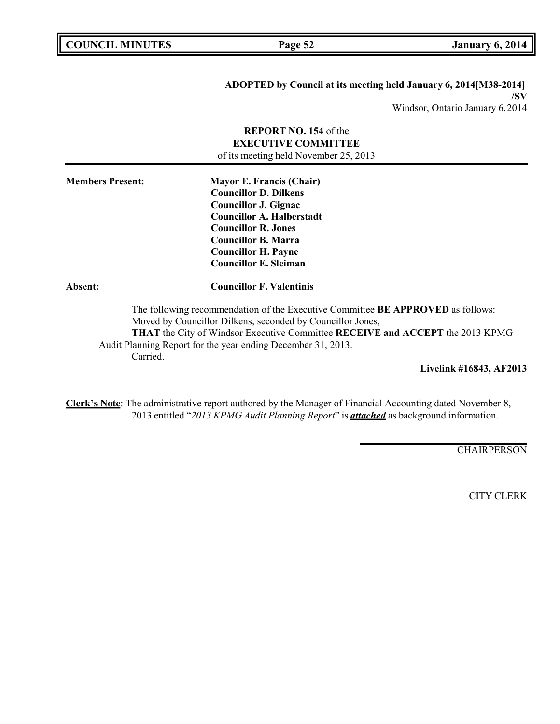**COUNCIL EXECUTE: COUNCIL EXECUTE: COUNCIL EXECUTE: COUNCIL EXECUTE: COUNCIL EXECUTE: COUNCIL EXECUTE: COUNCIL EXECUTE: COUNCIL EXECUTE: COUNCIL EXECUTE: COUNCIL COUNCIL COUNCIL COUNCIL COUNCIL**

# **ADOPTED by Council at its meeting held January 6, 2014[M38-2014] /SV**

Windsor, Ontario January 6,2014

|                         | <b>REPORT NO. 154 of the</b><br><b>EXECUTIVE COMMITTEE</b><br>of its meeting held November 25, 2013                                                                                                                                                                                                   |
|-------------------------|-------------------------------------------------------------------------------------------------------------------------------------------------------------------------------------------------------------------------------------------------------------------------------------------------------|
| <b>Members Present:</b> | <b>Mayor E. Francis (Chair)</b><br><b>Councillor D. Dilkens</b><br><b>Councillor J. Gignac</b><br><b>Councillor A. Halberstadt</b><br><b>Councillor R. Jones</b><br><b>Councillor B. Marra</b><br><b>Councillor H. Payne</b><br><b>Councillor E. Sleiman</b>                                          |
| Absent:                 | <b>Councillor F. Valentinis</b>                                                                                                                                                                                                                                                                       |
| Carried.                | The following recommendation of the Executive Committee BE APPROVED as follows:<br>Moved by Councillor Dilkens, seconded by Councillor Jones,<br><b>THAT</b> the City of Windsor Executive Committee RECEIVE and ACCEPT the 2013 KPMG<br>Audit Planning Report for the year ending December 31, 2013. |

**Livelink #16843, AF2013**

**Clerk's Note**: The administrative report authored by the Manager of Financial Accounting dated November 8, 2013 entitled "*2013 KPMG Audit Planning Report*" is *attached* as background information.

**CHAIRPERSON**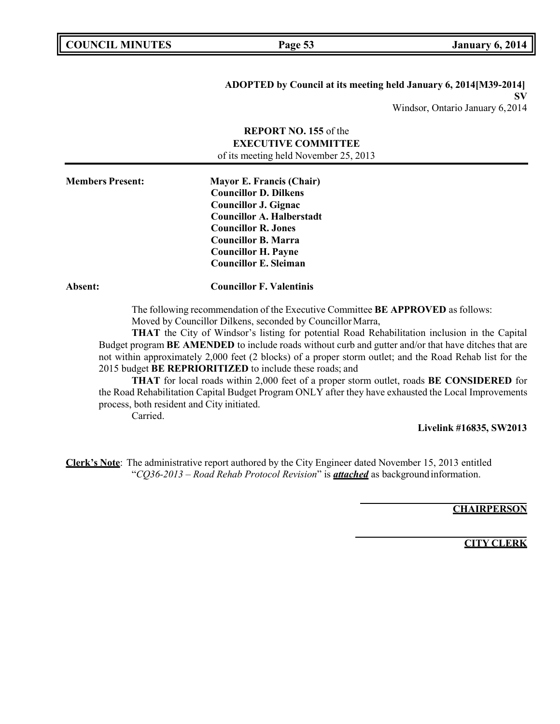### **ADOPTED by Council at its meeting held January 6, 2014[M39-2014] SV**

Windsor, Ontario January 6,2014

|                         | <b>REPORT NO. 155 of the</b><br><b>EXECUTIVE COMMITTEE</b><br>of its meeting held November 25, 2013                                                                                                                                                                                                                                                                                                                                                                                                                                                                                                                                                                                                                                                                                                                                                                                                                    |
|-------------------------|------------------------------------------------------------------------------------------------------------------------------------------------------------------------------------------------------------------------------------------------------------------------------------------------------------------------------------------------------------------------------------------------------------------------------------------------------------------------------------------------------------------------------------------------------------------------------------------------------------------------------------------------------------------------------------------------------------------------------------------------------------------------------------------------------------------------------------------------------------------------------------------------------------------------|
| <b>Members Present:</b> | <b>Mayor E. Francis (Chair)</b><br><b>Councillor D. Dilkens</b><br><b>Councillor J. Gignac</b><br><b>Councillor A. Halberstadt</b><br><b>Councillor R. Jones</b><br><b>Councillor B. Marra</b><br><b>Councillor H. Payne</b><br><b>Councillor E. Sleiman</b>                                                                                                                                                                                                                                                                                                                                                                                                                                                                                                                                                                                                                                                           |
| Absent:                 | <b>Councillor F. Valentinis</b>                                                                                                                                                                                                                                                                                                                                                                                                                                                                                                                                                                                                                                                                                                                                                                                                                                                                                        |
|                         | The following recommendation of the Executive Committee BE APPROVED as follows:<br>Moved by Councillor Dilkens, seconded by Councillor Marra,<br><b>THAT</b> the City of Windsor's listing for potential Road Rehabilitation inclusion in the Capital<br>Budget program <b>BE AMENDED</b> to include roads without curb and gutter and/or that have ditches that are<br>not within approximately 2,000 feet (2 blocks) of a proper storm outlet; and the Road Rehab list for the<br>2015 budget BE REPRIORITIZED to include these roads; and<br>$\mathbf{T}$ $\mathbf{T}$ $\mathbf{I}$ $\mathbf{T}$ $\mathbf{I}$ $\mathbf{T}$ $\mathbf{T}$ $\mathbf{T}$ $\mathbf{T}$ $\mathbf{T}$ $\mathbf{T}$ $\mathbf{T}$ $\mathbf{T}$ $\mathbf{T}$ $\mathbf{T}$ $\mathbf{T}$ $\mathbf{T}$ $\mathbf{T}$ $\mathbf{T}$ $\mathbf{T}$ $\mathbf{T}$ $\mathbf{T}$ $\mathbf{T}$ $\mathbf{T}$ $\mathbf{T}$ $\mathbf{T}$ $\mathbf{T}$ $\math$ |

**THAT** for local roads within 2,000 feet of a proper storm outlet, roads **BE CONSIDERED** for the Road Rehabilitation Capital Budget Program ONLY after they have exhausted the Local Improvements process, both resident and City initiated.

Carried.

**Livelink #16835, SW2013**

**Clerk's Note**: The administrative report authored by the City Engineer dated November 15, 2013 entitled "*CQ36-2013 – Road Rehab Protocol Revision*" is *attached* as background information.

### **CHAIRPERSON**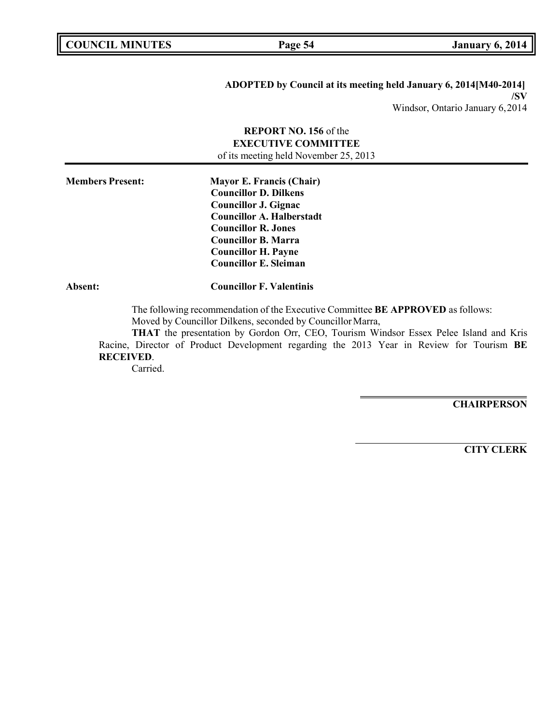## **ADOPTED by Council at its meeting held January 6, 2014[M40-2014] /SV**

Windsor, Ontario January 6,2014

## **REPORT NO. 156** of the **EXECUTIVE COMMITTEE** of its meeting held November 25, 2013

**Members Present: Mayor E. Francis (Chair) Councillor D. Dilkens Councillor J. Gignac Councillor A. Halberstadt Councillor R. Jones Councillor B. Marra Councillor H. Payne Councillor E. Sleiman**

**Absent: Councillor F. Valentinis**

The following recommendation of the Executive Committee **BE APPROVED** as follows: Moved by Councillor Dilkens, seconded by Councillor Marra,

**THAT** the presentation by Gordon Orr, CEO, Tourism Windsor Essex Pelee Island and Kris Racine, Director of Product Development regarding the 2013 Year in Review for Tourism **BE RECEIVED**.

Carried.

**CHAIRPERSON**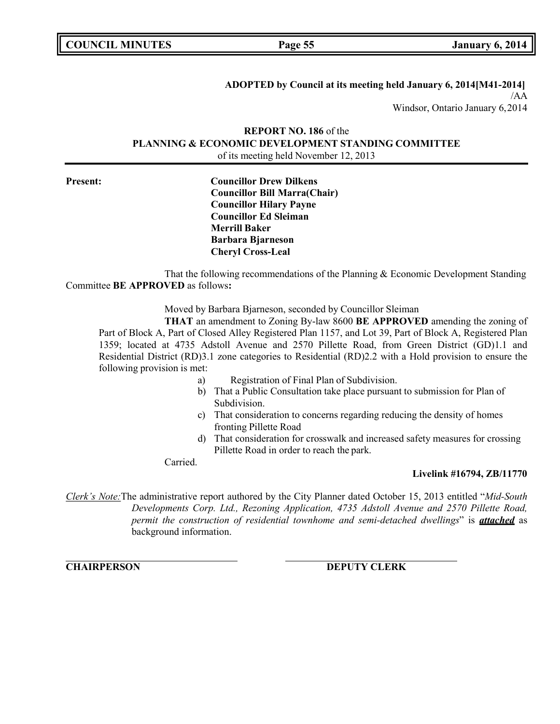**COUNCIL EXECUTE: COUNCIL EXECUTE: COUNCIL EXECUTE: COUNCIL EXECUTE: COUNCIL EXECUTE: COUNCIL** 

### **ADOPTED by Council at its meeting held January 6, 2014[M41-2014]**

/AA Windsor, Ontario January 6,2014

## **REPORT NO. 186** of the **PLANNING & ECONOMIC DEVELOPMENT STANDING COMMITTEE** of its meeting held November 12, 2013

**Present: Councillor Drew Dilkens Councillor Bill Marra(Chair) Councillor Hilary Payne Councillor Ed Sleiman Merrill Baker Barbara Bjarneson Cheryl Cross-Leal**

That the following recommendations of the Planning & Economic Development Standing Committee **BE APPROVED** as follows**:**

Moved by Barbara Bjarneson, seconded by Councillor Sleiman

**THAT** an amendment to Zoning By-law 8600 **BE APPROVED** amending the zoning of Part of Block A, Part of Closed Alley Registered Plan 1157, and Lot 39, Part of Block A, Registered Plan 1359; located at 4735 Adstoll Avenue and 2570 Pillette Road, from Green District (GD)1.1 and Residential District (RD)3.1 zone categories to Residential (RD)2.2 with a Hold provision to ensure the following provision is met:

- a) Registration of Final Plan of Subdivision.
- b) That a Public Consultation take place pursuant to submission for Plan of Subdivision.
- c) That consideration to concerns regarding reducing the density of homes fronting Pillette Road
- d) That consideration for crosswalk and increased safety measures for crossing Pillette Road in order to reach the park.

Carried.

### **Livelink #16794, ZB/11770**

*Clerk's Note:*The administrative report authored by the City Planner dated October 15, 2013 entitled "*Mid-South Developments Corp. Ltd., Rezoning Application, 4735 Adstoll Avenue and 2570 Pillette Road, permit the construction of residential townhome and semi-detached dwellings*" is *attached* as background information.

**CHAIRPERSON DEPUTY CLERK**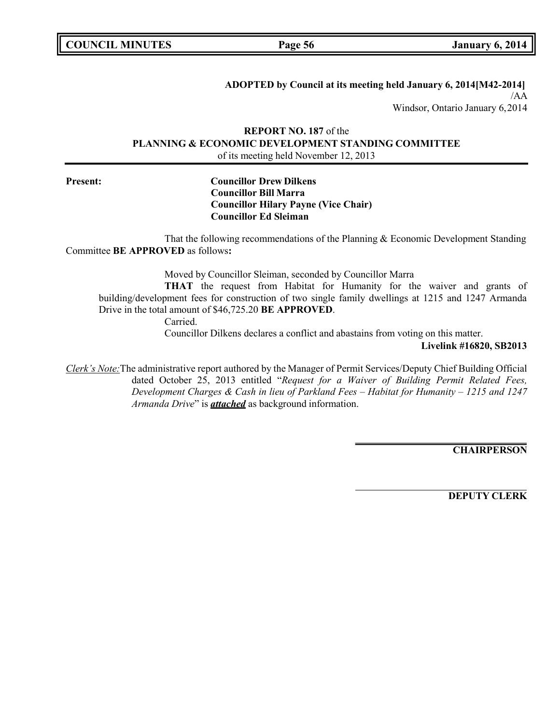| <b>COUNCIL MINUTES</b> |  |
|------------------------|--|
|------------------------|--|

### **ADOPTED by Council at its meeting held January 6, 2014[M42-2014]**

/AA Windsor, Ontario January 6,2014

## **REPORT NO. 187** of the **PLANNING & ECONOMIC DEVELOPMENT STANDING COMMITTEE** of its meeting held November 12, 2013

### **Present: Councillor Drew Dilkens Councillor Bill Marra Councillor Hilary Payne (Vice Chair) Councillor Ed Sleiman**

That the following recommendations of the Planning & Economic Development Standing Committee **BE APPROVED** as follows**:**

Moved by Councillor Sleiman, seconded by Councillor Marra

**THAT** the request from Habitat for Humanity for the waiver and grants of building/development fees for construction of two single family dwellings at 1215 and 1247 Armanda Drive in the total amount of \$46,725.20 **BE APPROVED**.

Carried.

Councillor Dilkens declares a conflict and abastains from voting on this matter.

### **Livelink #16820, SB2013**

*Clerk's Note:*The administrative report authored by the Manager of Permit Services/Deputy Chief Building Official dated October 25, 2013 entitled "*Request for a Waiver of Building Permit Related Fees, Development Charges & Cash in lieu of Parkland Fees – Habitat for Humanity – 1215 and 1247 Armanda Drive*" is *attached* as background information.

**CHAIRPERSON**

**DEPUTY CLERK**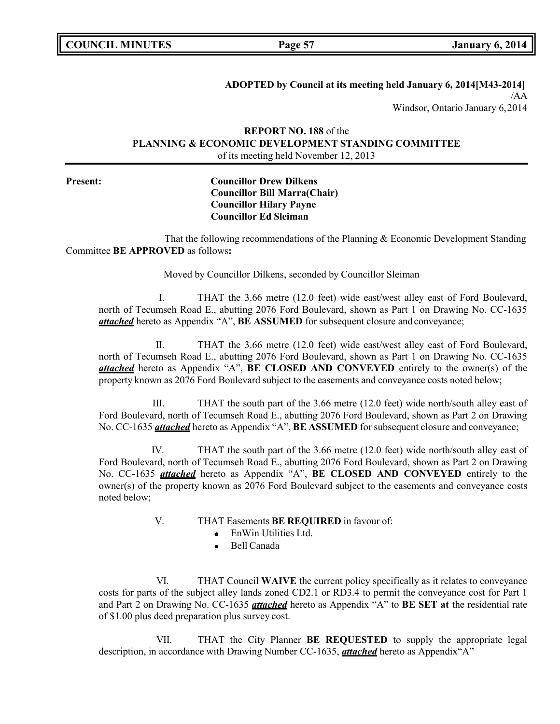## **ADOPTED by Council at its meeting held January 6, 2014[M43-2014]**

/AA Windsor, Ontario January 6,2014

## **REPORT NO. 188** of the **PLANNING & ECONOMIC DEVELOPMENT STANDING COMMITTEE** of its meeting held November 12, 2013

### **Present: Councillor Drew Dilkens Councillor Bill Marra(Chair) Councillor Hilary Payne Councillor Ed Sleiman**

That the following recommendations of the Planning & Economic Development Standing Committee **BE APPROVED** as follows**:**

Moved by Councillor Dilkens, seconded by Councillor Sleiman

I. THAT the 3.66 metre (12.0 feet) wide east/west alley east of Ford Boulevard, north of Tecumseh Road E., abutting 2076 Ford Boulevard, shown as Part 1 on Drawing No. CC-1635 *attached* hereto as Appendix "A", **BE ASSUMED** for subsequent closure andconveyance;

II. THAT the 3.66 metre (12.0 feet) wide east/west alley east of Ford Boulevard, north of Tecumseh Road E., abutting 2076 Ford Boulevard, shown as Part 1 on Drawing No. CC-1635 *attached* hereto as Appendix "A", **BE CLOSED AND CONVEYED** entirely to the owner(s) of the property known as 2076 Ford Boulevard subject to the easements and conveyance costs noted below;

III. THAT the south part of the 3.66 metre (12.0 feet) wide north/south alley east of Ford Boulevard, north of Tecumseh Road E., abutting 2076 Ford Boulevard, shown as Part 2 on Drawing No. CC-1635 *attached* hereto as Appendix "A", **BE ASSUMED** for subsequent closure and conveyance;

IV. THAT the south part of the 3.66 metre (12.0 feet) wide north/south alley east of Ford Boulevard, north of Tecumseh Road E., abutting 2076 Ford Boulevard, shown as Part 2 on Drawing No. CC-1635 *attached* hereto as Appendix "A", **BE CLOSED AND CONVEYED** entirely to the owner(s) of the property known as 2076 Ford Boulevard subject to the easements and conveyance costs noted below;

- V. THAT Easements **BE REQUIRED** in favour of:
	- EnWin Utilities Ltd.
	- Bell Canada  $\bullet$

VI. THAT Council **WAIVE** the current policy specifically as it relates to conveyance costs for parts of the subject alley lands zoned CD2.1 or RD3.4 to permit the conveyance cost for Part 1 and Part 2 on Drawing No. CC-1635 *attached* hereto as Appendix "A" to **BE SET at** the residential rate of \$1.00 plus deed preparation plus survey cost.

VII. THAT the City Planner **BE REQUESTED** to supply the appropriate legal description, in accordance with Drawing Number CC-1635, *attached* hereto as Appendix"A"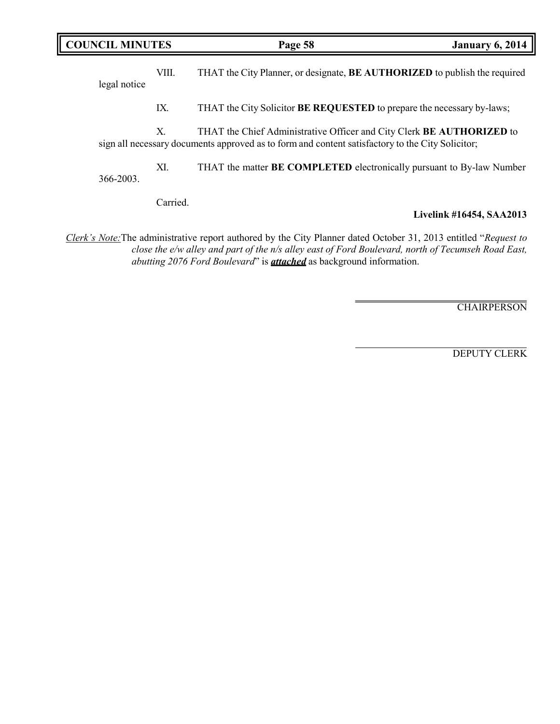| <b>COUNCIL MINUTES</b> |       | Page 58                                                                                                                                                                   | <b>January 6, 2014</b> |
|------------------------|-------|---------------------------------------------------------------------------------------------------------------------------------------------------------------------------|------------------------|
| legal notice           | VIII. | THAT the City Planner, or designate, <b>BE AUTHORIZED</b> to publish the required                                                                                         |                        |
|                        | IX.   | THAT the City Solicitor <b>BE REQUESTED</b> to prepare the necessary by-laws;                                                                                             |                        |
|                        | Х.    | THAT the Chief Administrative Officer and City Clerk BE AUTHORIZED to<br>sign all necessary documents approved as to form and content satisfactory to the City Solicitor; |                        |
| 366-2003.              | XI.   | THAT the matter <b>BE COMPLETED</b> electronically pursuant to By-law Number                                                                                              |                        |

Carried.

## **Livelink #16454, SAA2013**

*Clerk's Note:*The administrative report authored by the City Planner dated October 31, 2013 entitled "*Request to close the e/w alley and part of the n/s alley east of Ford Boulevard, north of Tecumseh Road East, abutting 2076 Ford Boulevard*" is *attached* as background information.

**CHAIRPERSON** 

DEPUTY CLERK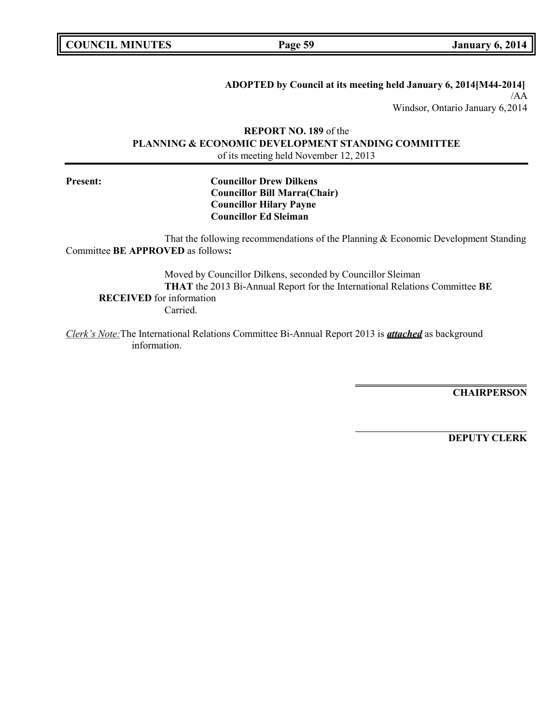**COUNCIL EXECUTE: COUNCIL EXECUTE: Page 59 January** 6, 2014

### **ADOPTED by Council at its meeting held January 6, 2014[M44-2014]**

/AA Windsor, Ontario January 6,2014

## **REPORT NO. 189** of the **PLANNING & ECONOMIC DEVELOPMENT STANDING COMMITTEE** of its meeting held November 12, 2013

### **Present: Councillor Drew Dilkens Councillor Bill Marra(Chair) Councillor Hilary Payne Councillor Ed Sleiman**

That the following recommendations of the Planning & Economic Development Standing Committee **BE APPROVED** as follows**:**

Moved by Councillor Dilkens, seconded by Councillor Sleiman **THAT** the 2013 Bi-Annual Report for the International Relations Committee **BE RECEIVED** for information Carried.

*Clerk's Note:*The International Relations Committee Bi-Annual Report 2013 is *attached* as background information.

**CHAIRPERSON**

**DEPUTY CLERK**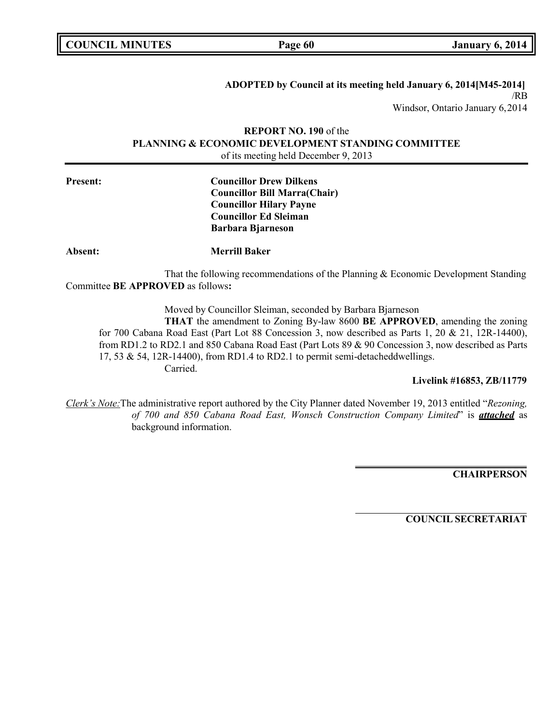| <b>COUNCIL MINUTES</b> |  |
|------------------------|--|
|------------------------|--|

**COUNCIL COUNCIL COUNCIL Page** 60 **January** 6, 2014

**ADOPTED by Council at its meeting held January 6, 2014[M45-2014]** /RB Windsor, Ontario January 6,2014

## **REPORT NO. 190** of the **PLANNING & ECONOMIC DEVELOPMENT STANDING COMMITTEE** of its meeting held December 9, 2013

## **Present: Councillor Drew Dilkens Councillor Bill Marra(Chair) Councillor Hilary Payne Councillor Ed Sleiman Barbara Bjarneson**

**Absent: Merrill Baker**

That the following recommendations of the Planning & Economic Development Standing Committee **BE APPROVED** as follows**:**

Moved by Councillor Sleiman, seconded by Barbara Bjarneson

**THAT** the amendment to Zoning By-law 8600 **BE APPROVED**, amending the zoning for 700 Cabana Road East (Part Lot 88 Concession 3, now described as Parts 1, 20 & 21, 12R-14400), from RD1.2 to RD2.1 and 850 Cabana Road East (Part Lots 89 & 90 Concession 3, now described as Parts 17, 53 & 54, 12R-14400), from RD1.4 to RD2.1 to permit semi-detacheddwellings. Carried.

### **Livelink #16853, ZB/11779**

*Clerk's Note:*The administrative report authored by the City Planner dated November 19, 2013 entitled "*Rezoning, of 700 and 850 Cabana Road East, Wonsch Construction Company Limited*" is *attached* as background information.

**CHAIRPERSON**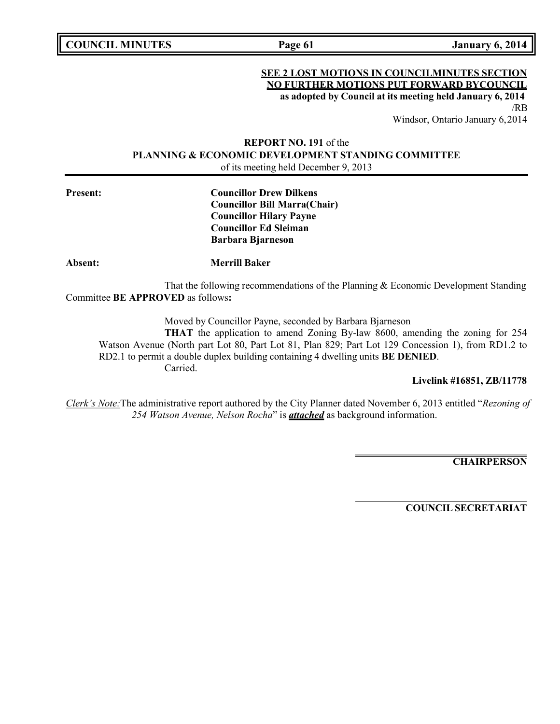**COUNCIL MINUTES Page 61 January 6, 2014**

### **SEE 2 LOST MOTIONS IN COUNCILMINUTES SECTION NO FURTHER MOTIONS PUT FORWARD BYCOUNCIL as adopted by Council at its meeting held January 6, 2014** /RB

Windsor, Ontario January 6,2014

## **REPORT NO. 191** of the **PLANNING & ECONOMIC DEVELOPMENT STANDING COMMITTEE** of its meeting held December 9, 2013

**Present: Councillor Drew Dilkens Councillor Bill Marra(Chair) Councillor Hilary Payne Councillor Ed Sleiman Barbara Bjarneson**

**Absent: Merrill Baker**

That the following recommendations of the Planning & Economic Development Standing Committee **BE APPROVED** as follows**:**

Moved by Councillor Payne, seconded by Barbara Bjarneson

**THAT** the application to amend Zoning By-law 8600, amending the zoning for 254 Watson Avenue (North part Lot 80, Part Lot 81, Plan 829; Part Lot 129 Concession 1), from RD1.2 to RD2.1 to permit a double duplex building containing 4 dwelling units **BE DENIED**. Carried.

**Livelink #16851, ZB/11778**

*Clerk's Note:*The administrative report authored by the City Planner dated November 6, 2013 entitled "*Rezoning of 254 Watson Avenue, Nelson Rocha*" is *attached* as background information.

**CHAIRPERSON**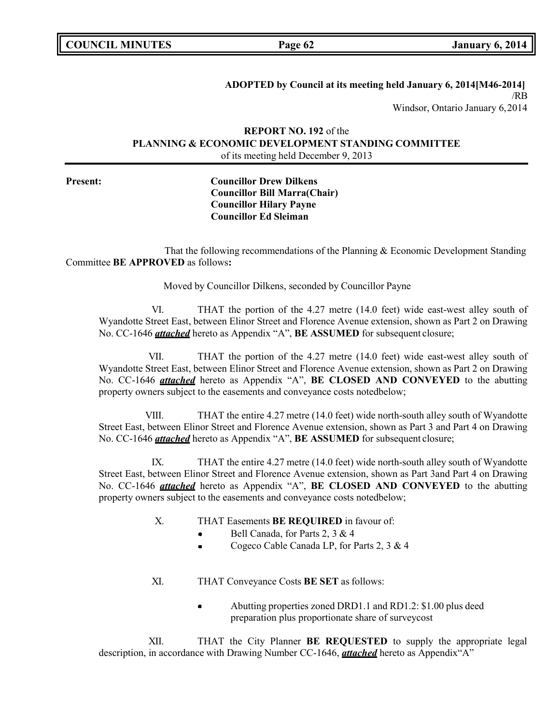| <b>COUNCIL MINUTES</b> |  |
|------------------------|--|
|------------------------|--|

**COUNCIL EXAMPLE 12 ISONE 12014 January** 6, 2014

**ADOPTED by Council at its meeting held January 6, 2014[M46-2014]** /RB Windsor, Ontario January 6,2014

## **REPORT NO. 192** of the **PLANNING & ECONOMIC DEVELOPMENT STANDING COMMITTEE** of its meeting held December 9, 2013

## **Present: Councillor Drew Dilkens Councillor Bill Marra(Chair) Councillor Hilary Payne Councillor Ed Sleiman**

That the following recommendations of the Planning & Economic Development Standing Committee **BE APPROVED** as follows**:**

Moved by Councillor Dilkens, seconded by Councillor Payne

VI. THAT the portion of the 4.27 metre (14.0 feet) wide east-west alley south of Wyandotte Street East, between Elinor Street and Florence Avenue extension, shown as Part 2 on Drawing No. CC-1646 *attached* hereto as Appendix "A", **BE ASSUMED** for subsequent closure;

VII. THAT the portion of the 4.27 metre (14.0 feet) wide east-west alley south of Wyandotte Street East, between Elinor Street and Florence Avenue extension, shown as Part 2 on Drawing No. CC-1646 *attached* hereto as Appendix "A", **BE CLOSED AND CONVEYED** to the abutting property owners subject to the easements and conveyance costs notedbelow;

VIII. THAT the entire 4.27 metre (14.0 feet) wide north-south alley south of Wyandotte Street East, between Elinor Street and Florence Avenue extension, shown as Part 3 and Part 4 on Drawing No. CC-1646 *attached* hereto as Appendix "A", **BE ASSUMED** for subsequent closure;

IX. THAT the entire 4.27 metre (14.0 feet) wide north-south alley south of Wyandotte Street East, between Elinor Street and Florence Avenue extension, shown as Part 3and Part 4 on Drawing No. CC-1646 *attached* hereto as Appendix "A", **BE CLOSED AND CONVEYED** to the abutting property owners subject to the easements and conveyance costs notedbelow;

- X. THAT Easements **BE REQUIRED** in favour of:
	- Bell Canada, for Parts 2, 3 & 4
	- Cogeco Cable Canada LP, for Parts 2, 3 & 4
- XI. THAT Conveyance Costs **BE SET** as follows:
	- Abutting properties zoned DRD1.1 and RD1.2: \$1.00 plus deed  $\bullet$ preparation plus proportionate share of surveycost

XII. THAT the City Planner **BE REQUESTED** to supply the appropriate legal description, in accordance with Drawing Number CC-1646, *attached* hereto as Appendix"A"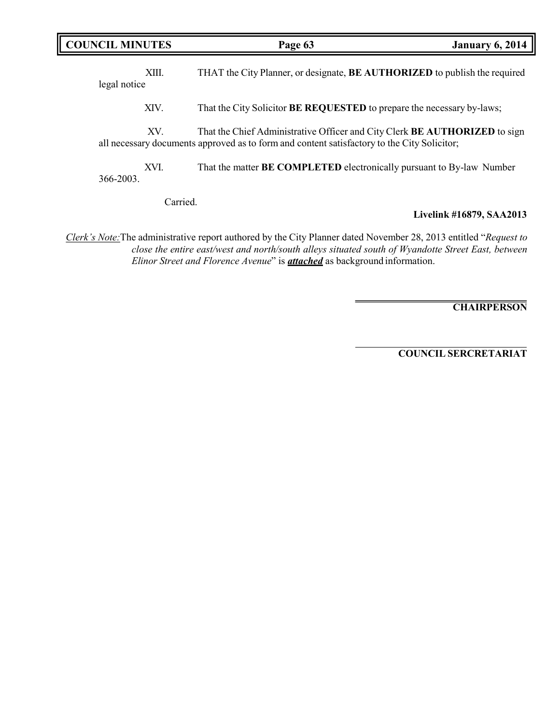| <b>COUNCIL MINUTES</b> | Page 63                                                                                                                                                                          | <b>January 6, 2014</b> |
|------------------------|----------------------------------------------------------------------------------------------------------------------------------------------------------------------------------|------------------------|
| XIII.<br>legal notice  | THAT the City Planner, or designate, <b>BE AUTHORIZED</b> to publish the required                                                                                                |                        |
| XIV.                   | That the City Solicitor <b>BE REQUESTED</b> to prepare the necessary by-laws;                                                                                                    |                        |
| XV.                    | That the Chief Administrative Officer and City Clerk <b>BE AUTHORIZED</b> to sign<br>all necessary documents approved as to form and content satisfactory to the City Solicitor; |                        |
| XVI.<br>366-2003.      | That the matter BE COMPLETED electronically pursuant to By-law Number                                                                                                            |                        |

Carried.

## **Livelink #16879, SAA2013**

*Clerk's Note:*The administrative report authored by the City Planner dated November 28, 2013 entitled "*Request to close the entire east/west and north/south alleys situated south of Wyandotte Street East, between Elinor Street and Florence Avenue*" is *attached* as background information.

**CHAIRPERSON**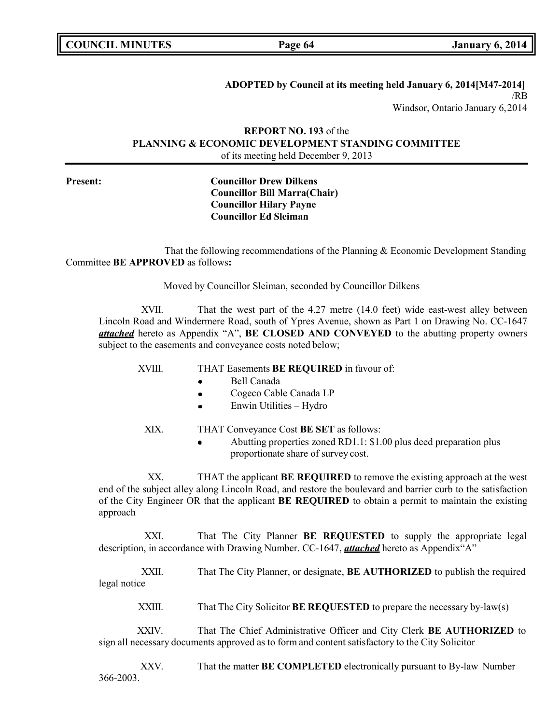**COUNCIL EXECUTE: COUNCIL EXECUTE: COUNCIL EXECUTE: COUNCIL EXECUTE: COUNCIL EXECUTE: COUNCIL** 

**ADOPTED by Council at its meeting held January 6, 2014[M47-2014]** /RB Windsor, Ontario January 6,2014

## **REPORT NO. 193** of the **PLANNING & ECONOMIC DEVELOPMENT STANDING COMMITTEE** of its meeting held December 9, 2013

## **Present: Councillor Drew Dilkens Councillor Bill Marra(Chair) Councillor Hilary Payne Councillor Ed Sleiman**

That the following recommendations of the Planning & Economic Development Standing Committee **BE APPROVED** as follows**:**

Moved by Councillor Sleiman, seconded by Councillor Dilkens

XVII. That the west part of the 4.27 metre (14.0 feet) wide east-west alley between Lincoln Road and Windermere Road, south of Ypres Avenue, shown as Part 1 on Drawing No. CC-1647 *attached* hereto as Appendix "A", **BE CLOSED AND CONVEYED** to the abutting property owners subject to the easements and conveyance costs noted below;

XVIII. THAT Easements **BE REQUIRED** in favour of:

- Bell Canada
- Cogeco Cable Canada LP
- Enwin Utilities Hydro
- XIX. THAT Conveyance Cost **BE SET** as follows:
	- Abutting properties zoned RD1.1: \$1.00 plus deed preparation plus proportionate share of survey cost.

XX. THAT the applicant **BE REQUIRED** to remove the existing approach at the west end of the subject alley along Lincoln Road, and restore the boulevard and barrier curb to the satisfaction of the City Engineer OR that the applicant **BE REQUIRED** to obtain a permit to maintain the existing approach

XXI. That The City Planner **BE REQUESTED** to supply the appropriate legal description, in accordance with Drawing Number. CC-1647, *attached* hereto as Appendix"A"

XXII. That The City Planner, or designate, **BE AUTHORIZED** to publish the required legal notice

XXIII. That The City Solicitor **BE REQUESTED** to prepare the necessary by-law(s)

XXIV. That The Chief Administrative Officer and City Clerk **BE AUTHORIZED** to sign all necessary documents approved as to form and content satisfactory to the City Solicitor

XXV. That the matter **BE COMPLETED** electronically pursuant to By-law Number 366-2003.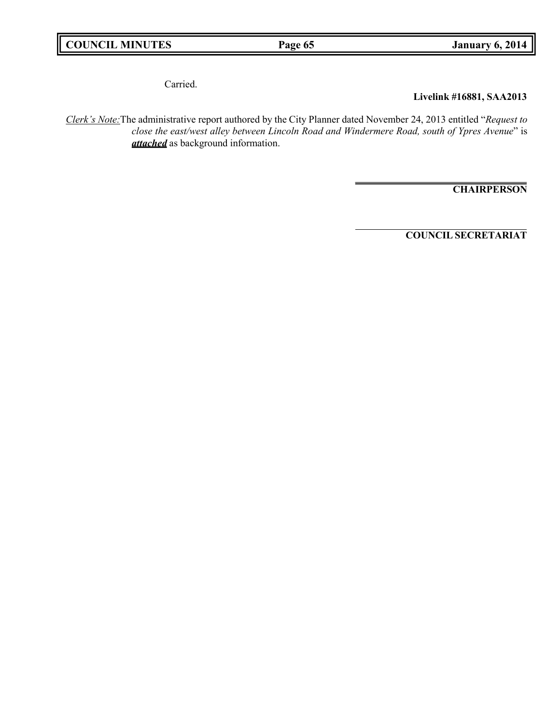Carried.

## **Livelink #16881, SAA2013**

*Clerk's Note:*The administrative report authored by the City Planner dated November 24, 2013 entitled "*Request to close the east/west alley between Lincoln Road and Windermere Road, south of Ypres Avenue*" is *attached* as background information.

**CHAIRPERSON**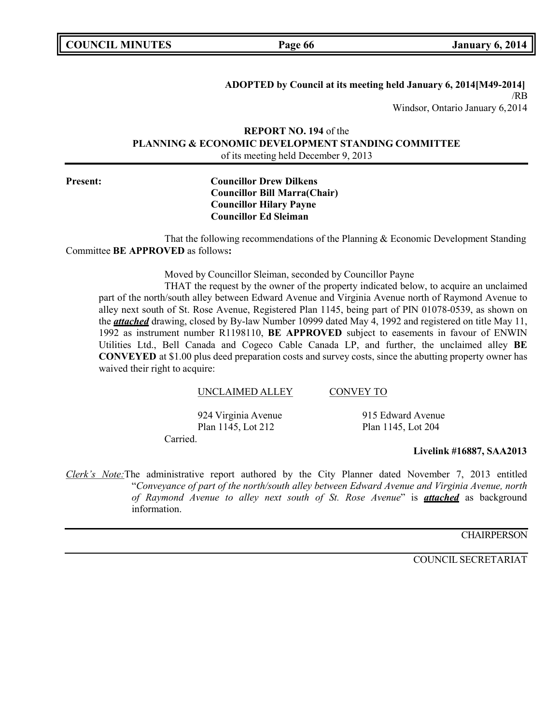**COUNCIL EXAMPLE 12 ISONET 12014 January** 6, 2014

**ADOPTED by Council at its meeting held January 6, 2014[M49-2014]** /RB Windsor, Ontario January 6,2014

## **REPORT NO. 194** of the **PLANNING & ECONOMIC DEVELOPMENT STANDING COMMITTEE** of its meeting held December 9, 2013

### **Present: Councillor Drew Dilkens Councillor Bill Marra(Chair) Councillor Hilary Payne Councillor Ed Sleiman**

That the following recommendations of the Planning & Economic Development Standing Committee **BE APPROVED** as follows**:**

Moved by Councillor Sleiman, seconded by Councillor Payne

THAT the request by the owner of the property indicated below, to acquire an unclaimed part of the north/south alley between Edward Avenue and Virginia Avenue north of Raymond Avenue to alley next south of St. Rose Avenue, Registered Plan 1145, being part of PIN 01078-0539, as shown on the *attached* drawing, closed by By-law Number 10999 dated May 4, 1992 and registered on title May 11, 1992 as instrument number R1198110, **BE APPROVED** subject to easements in favour of ENWIN Utilities Ltd., Bell Canada and Cogeco Cable Canada LP, and further, the unclaimed alley **BE CONVEYED** at \$1.00 plus deed preparation costs and survey costs, since the abutting property owner has waived their right to acquire:

### UNCLAIMED ALLEY CONVEY TO

Carried. 924 Virginia Avenue 915 Edward Avenue Plan 1145, Lot 212 Plan 1145, Lot 204

### **Livelink #16887, SAA2013**

*Clerk's Note:*The administrative report authored by the City Planner dated November 7, 2013 entitled "*Conveyance of part of the north/south alley between Edward Avenue and Virginia Avenue, north of Raymond Avenue to alley next south of St. Rose Avenue*" is *attached* as background information.

### **CHAIRPERSON**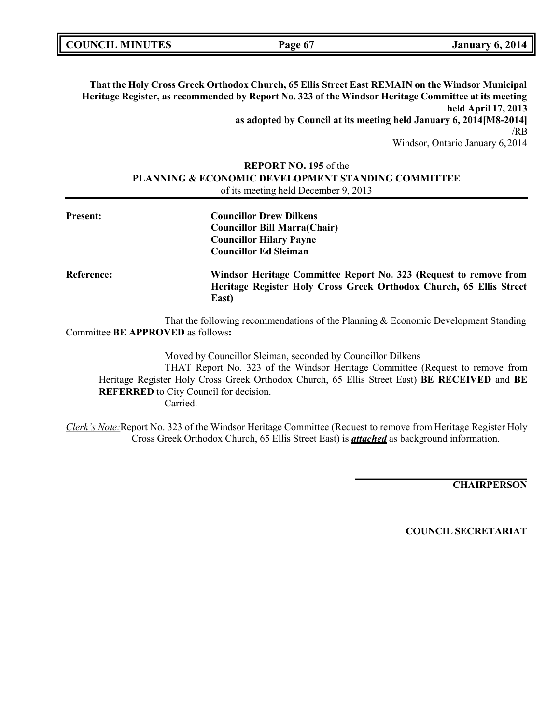| <b>COUNCIL MINUTES</b> | Page 6 <sup>-</sup> | <b>January 6, 2014</b> |
|------------------------|---------------------|------------------------|
|                        |                     |                        |

**That the Holy Cross Greek Orthodox Church, 65 Ellis Street East REMAIN on the Windsor Municipal Heritage Register, as recommended by Report No. 323 of the Windsor Heritage Committee at its meeting held April 17, 2013 as adopted by Council at its meeting held January 6, 2014[M8-2014]** /RB Windsor, Ontario January 6,2014

## **REPORT NO. 195** of the **PLANNING & ECONOMIC DEVELOPMENT STANDING COMMITTEE** of its meeting held December 9, 2013

| <b>Present:</b> | <b>Councillor Drew Dilkens</b><br><b>Councillor Bill Marra(Chair)</b><br><b>Councillor Hilary Payne</b><br><b>Councillor Ed Sleiman</b>           |
|-----------------|---------------------------------------------------------------------------------------------------------------------------------------------------|
| Reference:      | Windsor Heritage Committee Report No. 323 (Request to remove from<br>Heritage Register Holy Cross Greek Orthodox Church, 65 Ellis Street<br>East) |

That the following recommendations of the Planning & Economic Development Standing Committee **BE APPROVED** as follows**:**

Moved by Councillor Sleiman, seconded by Councillor Dilkens THAT Report No. 323 of the Windsor Heritage Committee (Request to remove from Heritage Register Holy Cross Greek Orthodox Church, 65 Ellis Street East) **BE RECEIVED** and **BE REFERRED** to City Council for decision. Carried.

*Clerk's Note:*Report No. 323 of the Windsor Heritage Committee (Request to remove from Heritage Register Holy Cross Greek Orthodox Church, 65 Ellis Street East) is *attached* as background information.

**CHAIRPERSON**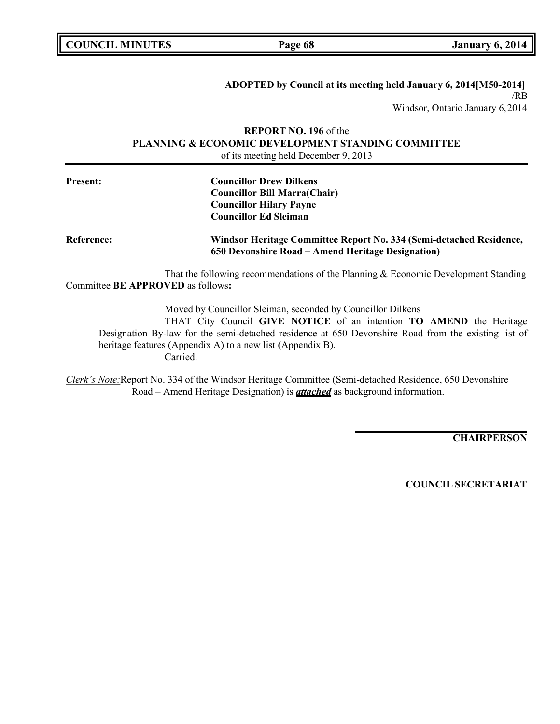| <b>COUNCIL MINUTES</b> |  |
|------------------------|--|
|------------------------|--|

**COUNCIL COUNCIL COUNCIL Page 68 January** 6, 2014

### **ADOPTED by Council at its meeting held January 6, 2014[M50-2014]** /RB Windsor, Ontario January 6,2014

## **REPORT NO. 196** of the **PLANNING & ECONOMIC DEVELOPMENT STANDING COMMITTEE** of its meeting held December 9, 2013

| <b>Present:</b>                   | <b>Councillor Drew Dilkens</b>                                                                                           |
|-----------------------------------|--------------------------------------------------------------------------------------------------------------------------|
|                                   | <b>Councillor Bill Marra(Chair)</b>                                                                                      |
|                                   | <b>Councillor Hilary Payne</b>                                                                                           |
|                                   | <b>Councillor Ed Sleiman</b>                                                                                             |
| <b>Reference:</b>                 | Windsor Heritage Committee Report No. 334 (Semi-detached Residence,<br>650 Devonshire Road – Amend Heritage Designation) |
|                                   | That the following recommendations of the Planning & Economic Development Standing                                       |
| Committee BE APPROVED as follows: |                                                                                                                          |

Moved by Councillor Sleiman, seconded by Councillor Dilkens

THAT City Council **GIVE NOTICE** of an intention **TO AMEND** the Heritage Designation By-law for the semi-detached residence at 650 Devonshire Road from the existing list of heritage features (Appendix A) to a new list (Appendix B). Carried.

*Clerk's Note:*Report No. 334 of the Windsor Heritage Committee (Semi-detached Residence, 650 Devonshire Road – Amend Heritage Designation) is *attached* as background information.

**CHAIRPERSON**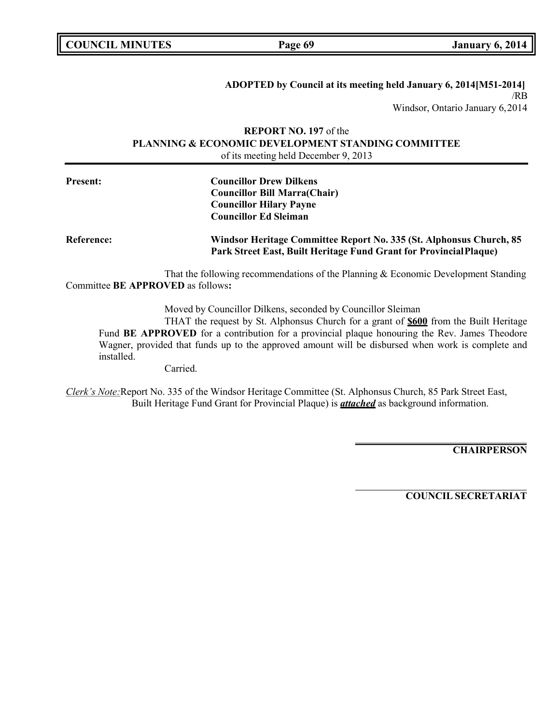| <b>COUNCIL MINUTES</b> |
|------------------------|
|------------------------|

**COUNCIL COUNCIL COUNCIL Page 69 January** 6, 2014

**ADOPTED by Council at its meeting held January 6, 2014[M51-2014]** /RB Windsor, Ontario January 6,2014

## **REPORT NO. 197** of the **PLANNING & ECONOMIC DEVELOPMENT STANDING COMMITTEE** of its meeting held December 9, 2013

| <b>Present:</b>   | <b>Councillor Drew Dilkens</b><br><b>Councillor Bill Marra(Chair)</b><br><b>Councillor Hilary Payne</b><br><b>Councillor Ed Sleiman</b>   |
|-------------------|-------------------------------------------------------------------------------------------------------------------------------------------|
| <b>Reference:</b> | Windsor Heritage Committee Report No. 335 (St. Alphonsus Church, 85<br>Park Street East, Built Heritage Fund Grant for Provincial Plaque) |

That the following recommendations of the Planning & Economic Development Standing Committee **BE APPROVED** as follows**:**

Moved by Councillor Dilkens, seconded by Councillor Sleiman

THAT the request by St. Alphonsus Church for a grant of **\$600** from the Built Heritage Fund **BE APPROVED** for a contribution for a provincial plaque honouring the Rev. James Theodore Wagner, provided that funds up to the approved amount will be disbursed when work is complete and installed.

Carried.

*Clerk's Note:*Report No. 335 of the Windsor Heritage Committee (St. Alphonsus Church, 85 Park Street East, Built Heritage Fund Grant for Provincial Plaque) is *attached* as background information.

**CHAIRPERSON**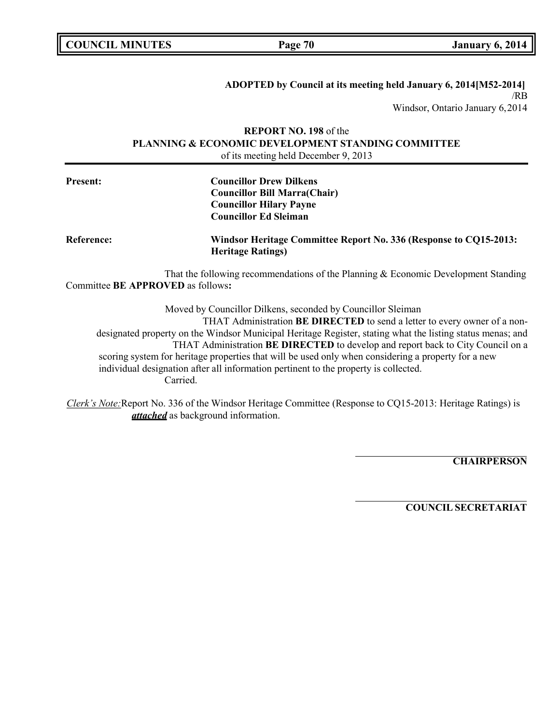| <b>COUNCIL MINUTES</b> |
|------------------------|
|------------------------|

**COUNCIL COUNCIL COUNCIL Page** 70 **January** 6, 2014

# **ADOPTED by Council at its meeting held January 6, 2014[M52-2014]** /RB

Windsor, Ontario January 6,2014

## **REPORT NO. 198** of the **PLANNING & ECONOMIC DEVELOPMENT STANDING COMMITTEE** of its meeting held December 9, 2013

| <b>Present:</b>                   | <b>Councillor Drew Dilkens</b><br><b>Councillor Bill Marra(Chair)</b><br><b>Councillor Hilary Payne</b><br><b>Councillor Ed Sleiman</b>  |
|-----------------------------------|------------------------------------------------------------------------------------------------------------------------------------------|
| <b>Reference:</b>                 | Windsor Heritage Committee Report No. 336 (Response to CQ15-2013:<br><b>Heritage Ratings)</b>                                            |
| Committee BE APPROVED as follows: | That the following recommendations of the Planning & Economic Development Standing                                                       |
|                                   | Moved by Councillor Dilkens, seconded by Councillor Sleiman<br>THAT Administration BE DIRECTED to send a letter to every owner of a non- |

designated property on the Windsor Municipal Heritage Register, stating what the listing status menas; and THAT Administration **BE DIRECTED** to develop and report back to City Council on a scoring system for heritage properties that will be used only when considering a property for a new individual designation after all information pertinent to the property is collected. Carried.

*Clerk's Note:*Report No. 336 of the Windsor Heritage Committee (Response to CQ15-2013: Heritage Ratings) is *attached* as background information.

**CHAIRPERSON**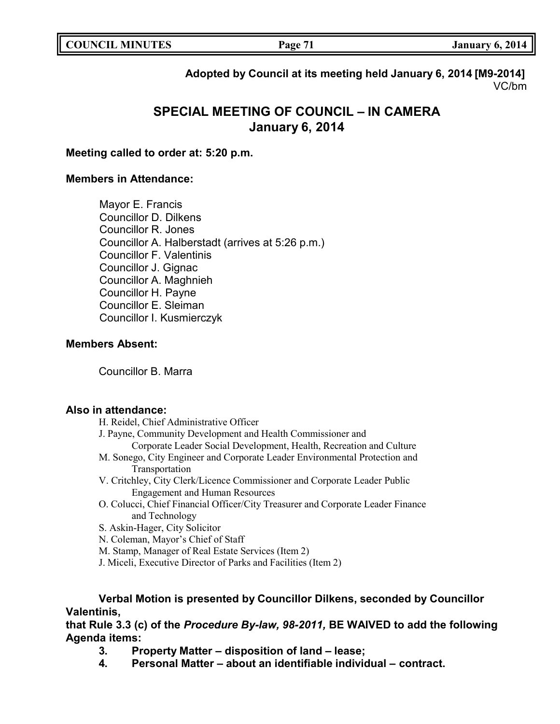| <b>COUNCIL</b><br><b>MINUTES</b><br>LD. | Page<br>ag | 2014<br>January 6. |
|-----------------------------------------|------------|--------------------|
|                                         |            |                    |

## **Adopted by Council at its meeting held January 6, 2014 [M9-2014]** VC/bm

# **SPECIAL MEETING OF COUNCIL – IN CAMERA January 6, 2014**

## **Meeting called to order at: 5:20 p.m.**

## **Members in Attendance:**

Mayor E. Francis Councillor D. Dilkens Councillor R. Jones Councillor A. Halberstadt (arrives at 5:26 p.m.) Councillor F. Valentinis Councillor J. Gignac Councillor A. Maghnieh Councillor H. Payne Councillor E. Sleiman Councillor I. Kusmierczyk

## **Members Absent:**

Councillor B. Marra

### **Also in attendance:**

- H. Reidel, Chief Administrative Officer
- J. Payne, Community Development and Health Commissioner and
	- Corporate Leader Social Development, Health, Recreation and Culture
- M. Sonego, City Engineer and Corporate Leader Environmental Protection and Transportation
- V. Critchley, City Clerk/Licence Commissioner and Corporate Leader Public Engagement and Human Resources
- O. Colucci, Chief Financial Officer/City Treasurer and Corporate Leader Finance and Technology
- S. Askin-Hager, City Solicitor

N. Coleman, Mayor's Chief of Staff

M. Stamp, Manager of Real Estate Services (Item 2)

J. Miceli, Executive Director of Parks and Facilities (Item 2)

## **Verbal Motion is presented by Councillor Dilkens, seconded by Councillor Valentinis,**

**that Rule 3.3 (c) of the** *Procedure By-law, 98-2011,* **BE WAIVED to add the following Agenda items:**

- **3. Property Matter – disposition of land – lease;**
- **4. Personal Matter – about an identifiable individual – contract.**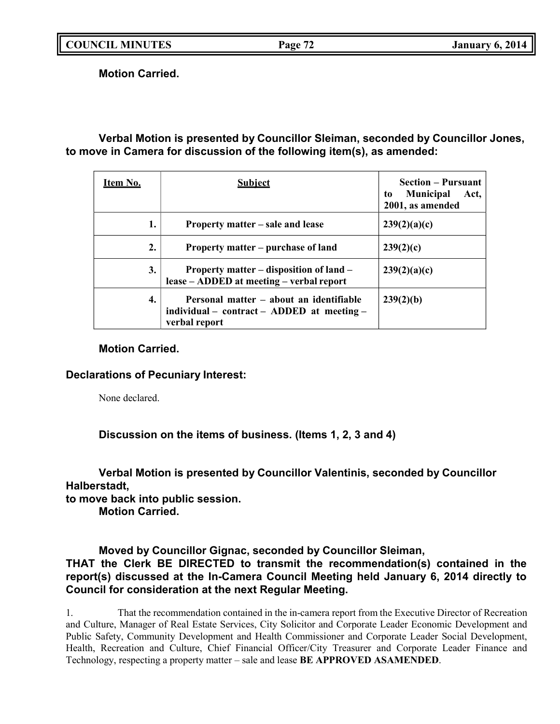**COUNCIL MINUTES Page 72 January 6, 2014**

**Motion Carried.**

**Verbal Motion is presented by Councillor Sleiman, seconded by Councillor Jones, to move in Camera for discussion of the following item(s), as amended:**

| <u>Item No.</u> | <b>Subject</b>                                                                                         | <b>Section – Pursuant</b><br><b>Municipal</b><br>Act,<br>to<br>2001, as amended |
|-----------------|--------------------------------------------------------------------------------------------------------|---------------------------------------------------------------------------------|
| 1.              | Property matter – sale and lease                                                                       | 239(2)(a)(c)                                                                    |
| 2.              | Property matter – purchase of land                                                                     | 239(2)(c)                                                                       |
| 3.              | Property matter – disposition of land –<br>lease - ADDED at meeting - verbal report                    | 239(2)(a)(c)                                                                    |
| 4.              | Personal matter – about an identifiable<br>individual – contract – ADDED at meeting –<br>verbal report | 239(2)(b)                                                                       |

## **Motion Carried.**

**Declarations of Pecuniary Interest:**

None declared.

**Discussion on the items of business. (Items 1, 2, 3 and 4)**

**Verbal Motion is presented by Councillor Valentinis, seconded by Councillor Halberstadt,**

**to move back into public session.**

**Motion Carried.**

**Moved by Councillor Gignac, seconded by Councillor Sleiman, THAT the Clerk BE DIRECTED to transmit the recommendation(s) contained in the report(s) discussed at the In-Camera Council Meeting held January 6, 2014 directly to Council for consideration at the next Regular Meeting.**

1. That the recommendation contained in the in-camera report from the Executive Director of Recreation and Culture, Manager of Real Estate Services, City Solicitor and Corporate Leader Economic Development and Public Safety, Community Development and Health Commissioner and Corporate Leader Social Development, Health, Recreation and Culture, Chief Financial Officer/City Treasurer and Corporate Leader Finance and Technology, respecting a property matter – sale and lease **BE APPROVED ASAMENDED**.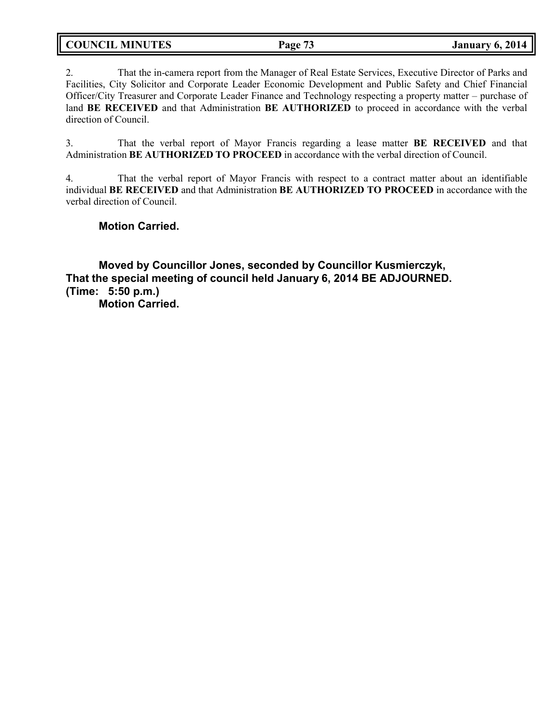**COUNCIL MINUTES Page 73 January 6, 2014**

2. That the in-camera report from the Manager of Real Estate Services, Executive Director of Parks and Facilities, City Solicitor and Corporate Leader Economic Development and Public Safety and Chief Financial Officer/City Treasurer and Corporate Leader Finance and Technology respecting a property matter – purchase of land **BE RECEIVED** and that Administration **BE AUTHORIZED** to proceed in accordance with the verbal direction of Council.

3. That the verbal report of Mayor Francis regarding a lease matter **BE RECEIVED** and that Administration **BE AUTHORIZED TO PROCEED** in accordance with the verbal direction of Council.

4. That the verbal report of Mayor Francis with respect to a contract matter about an identifiable individual **BE RECEIVED** and that Administration **BE AUTHORIZED TO PROCEED** in accordance with the verbal direction of Council.

**Motion Carried.**

**Moved by Councillor Jones, seconded by Councillor Kusmierczyk, That the special meeting of council held January 6, 2014 BE ADJOURNED. (Time: 5:50 p.m.) Motion Carried.**